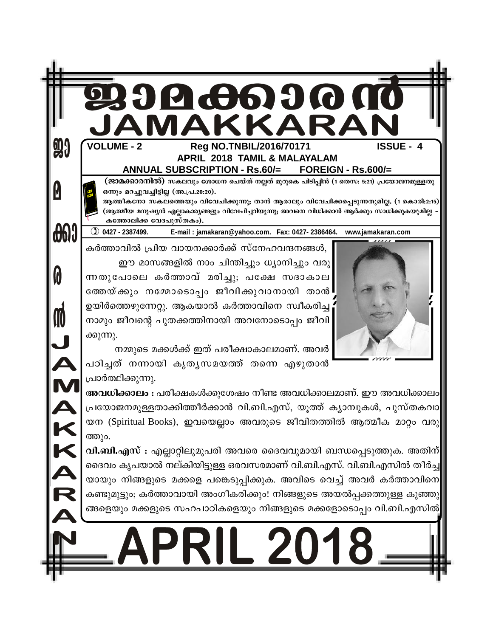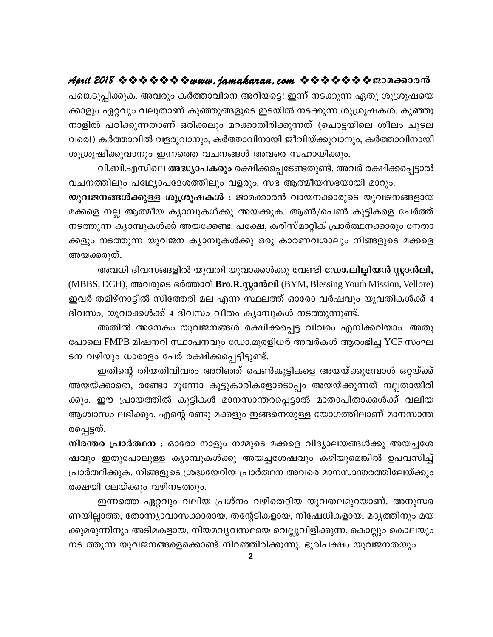പങ്കെടുപ്പിക്കുക. അവരും കർത്താവിനെ അറിയട്ടെ! ഇന്ന് നടക്കുന്ന ഏതു ശുശ്രൂഷയെ ക്കാളും ഏറ്റവും വലുതാണ് കുഞ്ഞുങ്ങളുടെ ഇടയിൽ നടക്കുന്ന ശുശ്രൂഷകൾ. കുഞ്ഞു നാളിൽ പഠിക്കുന്നതാണ് ഒരിക്കലും മറക്കാതിരിക്കുന്നത് (ചൊട്ടയിലെ ശീലം ചുടല വരെ!) കർത്താവിൽ വളരുവാനും, കർത്താവിനായി ജീവിയ്ക്കുവാനും, കർത്താവിനായി ശുശ്രൂഷിക്കുവാനും ഇന്നത്തെ വചനങ്ങൾ അവരെ സഹായിക്കും.

വി.ബി.എസിലെ അദ്ധ്യാപകരും രക്ഷിക്കപ്പെടേണ്ടതുണ്ട്. അവർ രക്ഷിക്കപ്പെട്ടാൽ വചനത്തിലും പഥ്യോപദേശത്തിലും വളരും. സഭ ആത്മീയസഭയായി മാറും.

യുവജനങ്ങൾക്കുള്ള ശുശ്രൂഷകൾ : ജാമക്കാരൻ വായനക്കാരുടെ യുവജനങ്ങളായ മക്കളെ നല്ല ആത്മീയ ക്യാമ്പുകൾക്കു അയക്കുക. ആൺ/പെൺ കുട്ടികളെ ചേർത്ത് നടത്തുന്ന ക്യാമ്പുകൾക്ക് അയക്കേണ്ട. പക്ഷേ, കരിസ്മാറ്റിക് പ്രാർത്ഥനക്കാരും നേതാ ക്കളും നടത്തുന്ന യുവജന ക്യാമ്പുകൾക്കു ഒരു കാരണവശാലും നിങ്ങളുടെ മക്കളെ അയക്കരുത്.

അവധി ദിവസങ്ങളിൽ യുവതി യുവാക്കൾക്കു വേണ്ടി ഡോ.ലില്ലിയൻ സ്റ്റാൻലി, (MBBS, DCH), അവരുടെ ഭർത്താവ് Bro.R.സ്റ്റാൻലി (BYM, Blessing Youth Mission, Vellore) ഇവർ തമിഴ്നാട്ടിൽ സിത്തേരി മല എന്ന സ്ഥലത്ത് ഓരോ വർഷവും യുവതികൾക്ക് 4 ദിവസം, യൂവാക്കൾക്ക് 4 ദിവസം വീതം ക്യാമ്പുകൾ നടത്തുന്നുണ്ട്.

അതിൽ അനേകം യുവജനങ്ങൾ രക്ഷിക്കപ്പെട്ട വിവരം എനിക്കറിയാം. അതു പോലെ FMPB മിഷനറി സ്ഥാപനവും ഡോ.മുരളിധർ അവർകൾ ആരംഭിച്ച YCF സംഘ ടന വഴിയും ധാരാളം പേർ രക്ഷിക്കപ്പെട്ടിട്ടുണ്ട്.

ഇതിന്റെ തിയതിവിവരം അറിഞ്ഞ് പെൺകുട്ടികളെ അയയ്ക്കുമ്പോൾ ഒറ്റയ്ക്ക് അയയ്ക്കാതെ, രണ്ടോ മൂന്നോ കൂട്ടുകാരികളോടൊപ്പം അയയ്ക്കുന്നത് നല്ലതായിരി ക്കും. ഈ പ്രായത്തിൽ കുട്ടികൾ മാനസാന്തരപ്പെട്ടാൽ മാതാപിതാക്കൾക്ക് വലിയ ആശ്വാസം ലഭിക്കും. എന്റെ രണ്ടു മക്കളും ഇങ്ങനെയുള്ള യോഗത്തിലാണ് മാനസാന്ത രപ്പെട്ടത്.

നിരന്തര പ്രാർത്ഥന : ഓരോ നാളും നമ്മുടെ മക്കളെ വിദ്യാലയങ്ങൾക്കു അയച്ചശേ ഷവും ഇതുപോലുള്ള ക്യാമ്പുകൾക്കു അയച്ചശേഷവും കഴിയുമെങ്കിൽ ഉപവസിച്ച് പ്രാർത്ഥിക്കുക. നിങ്ങളുടെ ശ്രദ്ധയേറിയ പ്രാർത്ഥന അവരെ മാനസാന്തരത്തിലേയ്ക്കും രക്ഷയി ലേയ്ക്കും വഴിനടത്തും.

ഇന്നത്തെ ഏറ്റവും വലിയ പ്രശ്നം വഴിതെറ്റിയ യുവതലമുറയാണ്. അനുസര ണയില്ലാത്ത, തോന്ന്യാവാസക്കാരായ, തന്റേടികളായ, നിഷേധികളായ, മദ്യത്തിനും മയ ക്കുമരുന്നിനും അടിമകളായ, നിയമവൃവസ്ഥയെ വെല്ലുവിളിക്കുന്ന, കൊല്ലും കൊലയും നട ത്തുന്ന യുവജനങ്ങളെക്കൊണ്ട് നിറഞ്ഞിരിക്കുന്നു. ഭൂരിപക്ഷം യുവജനതയും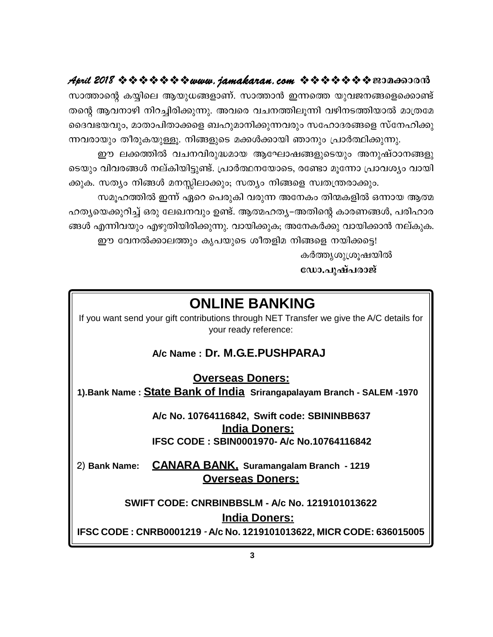സാത്താന്റെ കയ്യിലെ ആയുധങ്ങളാണ്. സാത്താൻ ഇന്നത്തെ യുവജനങ്ങളെക്കൊണ്ട് തന്റെ ആവനാഴി നിറച്ചിരിക്കുന്നു. അവരെ വചനത്തിലുന്നി വഴിനടത്തിയാൽ മാത്രമേ ദൈവഭയവും, മാതാപിതാക്കളെ ബഹുമാനിക്കുന്നവരും സഹോദരങ്ങളെ സ്നേഹിക്കു ന്നവരായും തീരുകയുള്ളു. നിങ്ങളുടെ മക്കൾക്കായി ഞാനും പ്രാർത്ഥിക്കുന്നു.

ഈ ലക്കത്തിൽ വചനവിരുദ്ധമായ ആഘോഷങ്ങളുടെയും അനുഷ്ഠാനങ്ങളു ടെയും വിവരങ്ങൾ നല്കിയിട്ടുണ്ട്. പ്രാർത്ഥനയോടെ, രണ്ടോ മുന്നോ പ്രാവശ്യം വായി ക്കുക. സത്യം നിങ്ങൾ മനസ്സിലാക്കും; സത്യം നിങ്ങളെ സ്വതന്ത്രരാക്കും.

സമൂഹത്തിൽ ഇന്ന് ഏറെ പെരുകി വരുന്ന അനേകം തിന്മകളിൽ ഒന്നായ ആത്മ ഹത്യയെക്കുറിച്ച് ഒരു ലേഖനവും ഉണ്ട്. ആത്മഹത്യ–അതിന്റെ കാരണങ്ങൾ, പരിഹാര ങ്ങൾ എന്നിവയും എഴുതിയിരിക്കുന്നു. വായിക്കുക; അനേകർക്കു വായിക്കാൻ നല്കുക.

ഈ വേനൽക്കാലത്തും കൃപയുടെ ശീതളിമ നിങ്ങളെ നയിക്കട്ടെ!

കർത്തൃശുശ്രൂഷയിൽ

ഡോ.പുഷ്പരാജ്

### **ONLINE BANKING**

If you want send your gift contributions through NET Transfer we give the A/C details for your ready reference:

#### A/c Name: Dr. M.G.E.PUSHPARAJ

**Overseas Doners:** 1). Bank Name: State Bank of India Srirangapalayam Branch - SALEM -1970

> A/c No. 10764116842, Swift code: SBININBB637 **India Doners:** IFSC CODE: SBIN0001970- A/c No.10764116842

2) Bank Name: CANARA BANK, Suramangalam Branch - 1219 **Overseas Doners:** 

**SWIFT CODE: CNRBINBBSLM - A/c No. 1219101013622 India Doners:** IFSC CODE: CNRB0001219 - A/c No. 1219101013622, MICR CODE: 636015005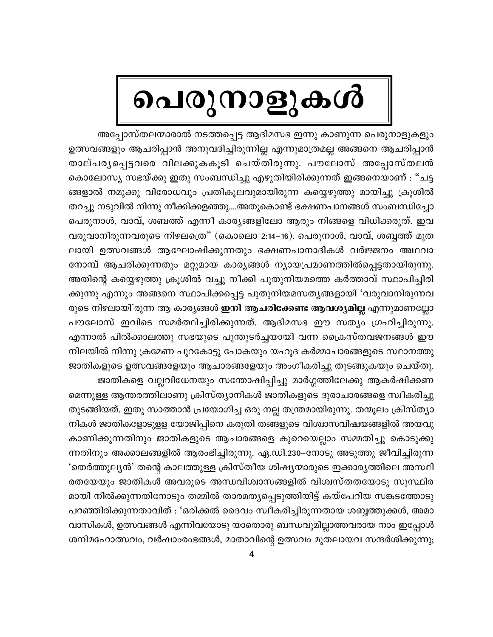# പെരുനാളുകൾ

അപ്പോസ്തലന്മാരാൽ നടത്തപ്പെട്ട ആദിമസഭ ഇന്നു കാണുന്ന പെരുനാളുകളും ഉത്സവങ്ങളും ആചരിപ്പാൻ അനുവദിച്ചിരുന്നില്ല എന്നുമാത്രമല്ല അങ്ങനെ ആചരിപ്പാൻ താല്പര്യപ്പെട്ടവരെ വിലക്കുകകൂടി ചെയ്തിരുന്നു. പൗലോസ് അപ്പോസ്തലൻ കൊലോസ്യ സഭയ്ക്കു ഇതു സംബന്ധിച്ചു എഴുതിയിരിക്കുന്നത് ഇങ്ങനെയാണ് : "ചട്ട ങ്ങളാൽ നമുക്കു വിരോധവും പ്രതികൂലവുമായിരുന്ന കയ്യെഴുത്തു മായിച്ചു ക്രൂശിൽ തറച്ചു നടുവിൽ നിന്നു നീക്കിക്കളഞ്ഞു....അതുകൊണ്ട് ഭക്ഷണപാനങ്ങൾ സംബന്ധിച്ചോ പെരുനാൾ, വാവ്, ശബത്ത് എന്നീ കാര്യങ്ങളിലോ ആരും നിങ്ങളെ വിധിക്കരുത്. ഇവ വരുവാനിരുന്നവരുടെ നിഴലത്രെ" (കൊലൊ 2:14−16). പെരുനാൾ, വാവ്, ശബ്ബത്ത് മുത ലായി ഉത്സവങ്ങൾ ആഘോഷിക്കുന്നതും ഭക്ഷണപാനാദികൾ വർജ്ജനം അഥവാ നോമ്പ് ആചരിക്കുന്നതും മറ്റുമായ കാര്യങ്ങൾ ന്യായപ്രമാണത്തിൽപ്പെട്ടതായിരുന്നു. അതിന്റെ കയ്യെഴുത്തു ക്രൂശിൽ വച്ചു നീക്കി പുതുനിയമത്തെ കർത്താവ് സ്ഥാപിച്ചിരി ക്കുന്നു എന്നും അങ്ങനെ സ്ഥാപിക്കപ്പെട്ട പുതുനിയമസതൃങ്ങളായി 'വരുവാനിരുന്നവ രുടെ നിഴലായി'രുന്ന ആ കാര്യങ്ങൾ **ഇനി ആചരിക്കേണ്ട ആവശ്യമില്ല** എന്നുമാണല്ലോ പൗലോസ് ഇവിടെ സമർത്ഥിച്ചിരിക്കുന്നത്. ആദിമസഭ ഈ സത്യം ഗ്രഹിച്ചിരുന്നു. എന്നാൽ പിൽക്കാലത്തു സഭയുടെ പുന്തുടർച്ചയായി വന്ന ക്രൈസ്തവജനങ്ങൾ ഈ നിലയിൽ നിന്നു ക്രമേണ പുറകോട്ടു പോകയും യഹൂദ കർമ്മാചാരങ്ങളുടെ സ്ഥാനത്തു ജാതികളുടെ ഉത്സവങ്ങളേയും ആചാരങ്ങളേയും അംഗീകരിച്ചു തുടങ്ങുകയും ചെയ്തു. ജാതികളെ വല്ലവിധേനയും സന്തോഷിപ്പിച്ചു മാർഗ്ഗത്തിലേക്കു ആകർഷിക്കണ

മെന്നുള്ള ആന്തരത്തിലാണു ക്രിസ്ത്യാനികൾ ജാതികളുടെ ദുരാചാരങ്ങളെ സ്വീകരിച്ചു തുടങ്ങിയത്. ഇതു സാത്താൻ പ്രയോഗിച്ച ഒരു നല്ല തന്ത്രമായിരുന്നു. തന്മൂലം ക്രിസ്ത്യാ നികൾ ജാതികളോടുളള യോജിപ്പിനെ കരുതി തങ്ങളുടെ വിശ്വാസവിഷയങ്ങളിൽ അയവു കാണിക്കുന്നതിനും ജാതികളുടെ ആചാരങ്ങളെ കുറെയെല്ലാം സമ്മതിച്ചു കൊടുക്കു ന്നതിനും അക്കാലങ്ങളിൽ ആരംഭിച്ചിരുന്നു. ഏ.ഡി.230–നോടു അടുത്തു ജീവിച്ചിരുന്ന 'തെർത്തുലൃൻ' തന്റെ കാലത്തുള്ള ക്രിസ്തീയ ശിഷൃന്മാരുടെ ഇക്കാരൃത്തിലെ അസ്ഥി രതയേയും ജാതികൾ അവരുടെ അന്ധവിശ്വാസങ്ങളിൽ വിശ്വസ്തതയോടു സുസ്ഥിര മായി നിൽക്കുന്നതിനോടും തമ്മിൽ താരമത്യപ്പെടുത്തിയിട്ട് കയ്പേറിയ സങ്കടത്തോടു പറഞ്ഞിരിക്കുന്നതാവിത് : 'ഒരിക്കൽ ദൈവം സ്വീകരിച്ചിരുന്നതായ ശബ്ബത്തുക്കൾ, അമാ വാസികൾ, ഉത്സവങ്ങൾ എന്നിവയോടു യാതൊരു ബന്ധവുമില്ലാത്തവരായ നാം ഇപ്പോൾ ശനിമഹോത്സവം, വർഷാംരംഭങ്ങൾ, മാതാവിന്റെ ഉത്സവം മുതലായവ സന്ദർശിക്കുന്നു;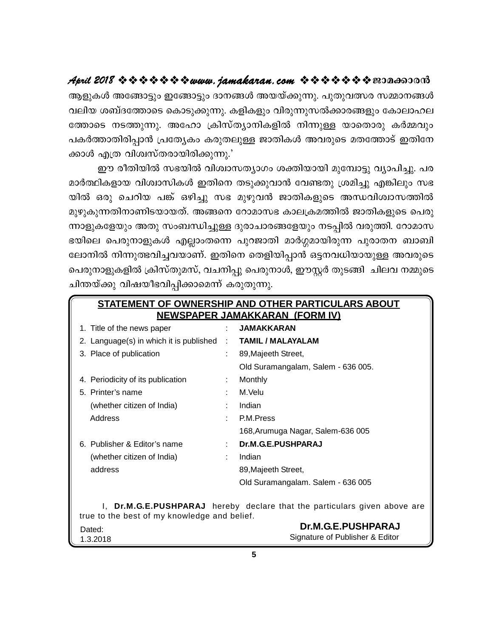ആളുകൾ അങ്ങോട്ടും ഇങ്ങോട്ടും ദാനങ്ങൾ അയയ്ക്കുന്നു. പുതുവത്സര സമ്മാനങ്ങൾ വലിയ ശബ്ദത്തോടെ കൊടുക്കുന്നു. കളികളും വിരുന്നുസൽക്കാരങ്ങളും കോലാഹല ത്തോടെ നടത്തുന്നു. അഹോ ക്രിസ്ത്യാനികളിൽ നിന്നുള്ള യാതൊരു കർമ്മവും പകർത്താതിരിപ്പാൻ പ്രത്യേകം കരുതലുള്ള ജാതികൾ അവരുടെ മതത്തോട് ഇതിനേ ക്കാൾ എത്ര വിശ്വസ്തരായിരിക്കുന്നു.'

ഈ രീതിയിൽ സഭയിൽ വിശ്വാസത്യാഗം ശക്തിയായി മുമ്പോട്ടു വ്യാപിച്ചു. പര മാർത്ഥികളായ വിശ്വാസികൾ ഇതിനെ തടുക്കുവാൻ വേണ്ടതു ശ്രമിച്ചു എങ്കിലും സഭ യിൽ ഒരു ചെറിയ പങ്ക് ഒഴിച്ചു സഭ മുഴുവൻ ജാതികളുടെ അന്ധവിശ്വാസത്തിൽ മുഴുകുന്നതിനാണിടയായത്. അങ്ങനെ റോമാസഭ കാലക്രമത്തിൽ ജാതികളുടെ പെരു ന്നാളുകളേയും അതു സംബന്ധിച്ചുള്ള ദുരാചാരങ്ങളേയും നടപ്പിൽ വരുത്തി. റോമാസ ഭയിലെ പെരുനാളുകൾ എല്ലാംതന്നെ പുറജാതി മാർഗ്ഗമായിരുന്ന പുരാതന ബാബി ലോനിൽ നിന്നുത്ഭവിച്ചവയാണ്. ഇതിനെ തെളിയിപ്പാൻ ഒട്ടനവധിയായുള്ള അവരുടെ പെരുനാളുകളിൽ ക്രിസ്തുമസ്, വചനിപ്പു പെരുനാൾ, ഈസ്റ്റർ തുടങ്ങി ചിലവ നമ്മുടെ ചിന്തയ്ക്കു വിഷയീഭവിപ്പിക്കാമെന്ന് കരുതുന്നു.

| <b>STATEMENT OF OWNERSHIP AND OTHER PARTICULARS ABOUT</b>                 |    |                                    |
|---------------------------------------------------------------------------|----|------------------------------------|
| <u>NEWSPAPER JAMAKKARAN (FORM IV)</u>                                     |    |                                    |
| 1. Title of the news paper                                                |    | <b>JAMAKKARAN</b>                  |
| 2. Language(s) in which it is published                                   | t. | <b>TAMIL / MALAYALAM</b>           |
| 3. Place of publication                                                   |    | 89, Majeeth Street,                |
|                                                                           |    | Old Suramangalam, Salem - 636 005. |
| 4. Periodicity of its publication                                         |    | Monthly                            |
| 5. Printer's name                                                         |    | M.Velu                             |
| (whether citizen of India)                                                |    | Indian                             |
| Address                                                                   | ٠. | P.M.Press                          |
|                                                                           |    | 168, Arumuga Nagar, Salem-636 005  |
| 6. Publisher & Editor's name                                              |    | Dr.M.G.E.PUSHPARAJ                 |
| (whether citizen of India)                                                |    | Indian                             |
| address                                                                   |    | 89, Majeeth Street,                |
|                                                                           |    | Old Suramangalam. Salem - 636 005  |
|                                                                           |    |                                    |
| I, Dr.M.G.E.PUSHPARAJ hereby declare that the particulars given above are |    |                                    |
| true to the best of my knowledge and belief.<br>Dr.M.G.E.PUSHPARAJ        |    |                                    |
| Dated:<br>1.3.2018                                                        |    | Signature of Publisher & Editor    |
|                                                                           |    |                                    |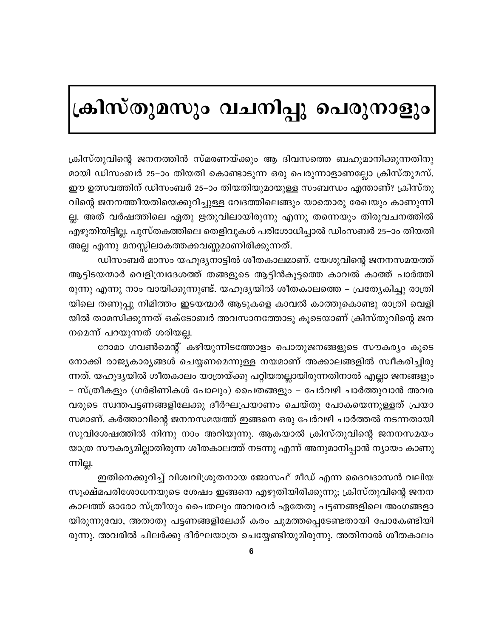# ക്രിസ്തുമസും വചനിപ്പു പെരുനാളും

ക്രിസ്തുവിന്റെ ജനനത്തിൻ സ്മരണയ്ക്കും ആ ദിവസത്തെ ബഹുമാനിക്കുന്നതിനു മായി ഡിസംബർ 25–ാം തിയതി കൊണ്ടാടുന്ന ഒരു പെരുന്നാളാണല്ലോ ക്രിസ്തുമസ്. ഈ ഉത്സവത്തിന് ഡിസംബർ 25–ാം തിയതിയുമായുള്ള സംബന്ധം എന്താണ്? ക്രിസ്തു വിന്റെ ജനനത്തീയതിയെക്കുറിച്ചുള്ള വേദത്തിലെങ്ങും യാതൊരു രേഖയും കാണുന്നി ല്ല. അത് വർഷത്തിലെ ഏതു ഋതുവിലായിരുന്നു എന്നു തന്നെയും തിരുവചനത്തിൽ എഴുതിയിട്ടില്ല. പുസ്തകത്തിലെ തെളിവുകൾ പരിശോധിച്ചാൽ ഡിംസബർ 25–ാം തിയതി അല്ല എന്നു മനസ്സിലാകത്തക്കവണ്ണമാണിരിക്കുന്നത്.

ഡിസംബർ മാസം യഹൂദൃനാട്ടിൽ ശീതകാലമാണ്. യേശുവിന്റെ ജനനസമയത്ത് ആട്ടിടയന്മാർ വെളിമ്പ്രദേശത്ത് തങ്ങളുടെ ആട്ടിൻകൂട്ടത്തെ കാവൽ കാത്ത് പാർത്തി രുന്നു എന്നു നാം വായിക്കുന്നുണ്ട്. യഹൂദ്യയിൽ ശീതകാലത്തെ – പ്രത്യേകിച്ചു രാത്രി യിലെ തണുപ്പു നിമിത്തം ഇടയന്മാർ ആടുകളെ കാവൽ കാത്തുകൊണ്ടു രാത്രി വെളി യിൽ താമസിക്കുന്നത് ഒക്ടോബർ അവസാനത്തോടു കൂടെയാണ് ക്രിസ്തുവിന്റെ ജന നമെന്ന് പറയുന്നത് ശരിയല്ല.

റോമാ ഗവൺമെന്റ് കഴിയുന്നിടത്തോളം പൊതുജനങ്ങളുടെ സൗകര്യം കൂടെ നോക്കി രാജ്യകാര്യങ്ങൾ ചെയ്യണമെന്നുള്ള നയമാണ് അക്കാലങ്ങളിൽ സ്വീകരിച്ചിരു ന്നത്. യഹൂദ്യയിൽ ശീതകാലം യാത്രയ്ക്കു പറ്റിയതല്ലായിരുന്നതിനാൽ എല്ലാ ജനങ്ങളും – സ്ത്രീകളും (ഗർഭിണികൾ പോലും) പൈതങ്ങളും – പേർവഴി ചാർത്തുവാൻ അവര വരുടെ സ്വന്തപട്ടണങ്ങളിലേക്കു ദീർഘപ്രയാണം ചെയ്തു പോകയെന്നുള്ളത് പ്രയാ സമാണ്. കർത്താവിന്റെ ജനനസമയത്ത് ഇങ്ങനെ ഒരു പേർവഴി ചാർത്തൽ നടന്നതായി സുവിശേഷത്തിൽ നിന്നു നാം അറിയുന്നു. ആകയാൽ ക്രിസ്തുവിന്റെ ജനനസമയം യാത്ര സൗകര്യമില്ലാതിരുന്ന ശീതകാലത്ത് നടന്നു എന്ന് അനുമാനിപ്പാൻ ന്യായം കാണു ന്നില്ല.

ഇതിനെക്കുറിച്ച് വിശ്വവിശ്രുതനായ ജോസഫ് മീഡ് എന്ന ദൈവദാസൻ വലിയ സൂക്ഷ്മപരിശോധനയുടെ ശേഷം ഇങ്ങനെ എഴുതിയിരിക്കുന്നു; ക്രിസ്തുവിന്റെ ജനന കാലത്ത് ഓരോ സ്ത്രീയും പൈതലും അവരവർ ഏതേതു പട്ടണങ്ങളിലെ അംഗങ്ങളാ യിരുന്നുവോ, അതാതു പട്ടണങ്ങളിലേക്ക് കരം ചുമത്തപ്പെടേണ്ടതായി പോകേണ്ടിയി രുന്നു. അവരിൽ ചിലർക്കു ദീർഘയാത്ര ചെയ്യേണ്ടിയുമിരുന്നു. അതിനാൽ ശീതകാലം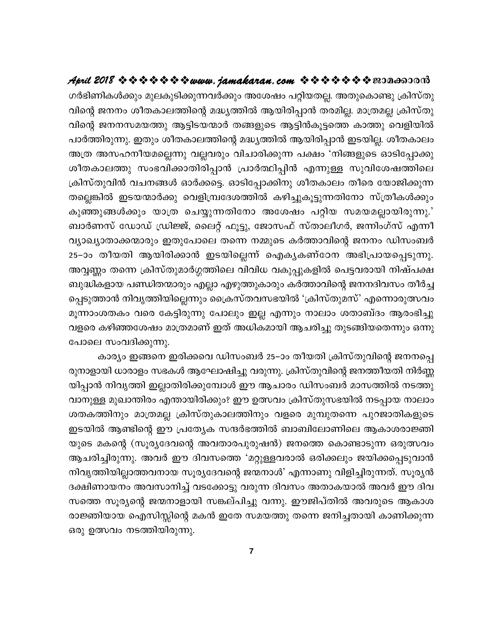#### ഗർഭിണികൾക്കും മുലകുടിക്കുന്നവർക്കും അശേഷം പറ്റിയതല്ല. അതുകൊണ്ടു ക്രിസ്തു വിന്റെ ജനനം ശീതകാലത്തിന്റെ മദ്ധ്യത്തിൽ ആയിരിപ്പാൻ തരമില്ല. മാത്രമല്ല ക്രിസ്തു വിന്റെ ജനനസമയത്തു ആട്ടിടയന്മാർ തങ്ങളുടെ ആട്ടിൻകൂട്ടത്തെ കാത്തു വെളിയിൽ പാർത്തിരുന്നു. ഇതും ശീതകാലത്തിന്റെ മദ്ധ്യത്തിൽ ആയിരിപ്പാൻ ഇടയില്ല. ശീതകാലം അത്ര അസഹനീയമല്ലെന്നു വല്ലവരും വിചാരിക്കുന്ന പക്ഷം 'നിങ്ങളുടെ ഓടിപ്പോക്കു ശീതകാലത്തു സംഭവിക്കാതിരിപ്പാൻ പ്രാർത്ഥിപ്പിൻ എന്നുള്ള സുവിശേഷത്തിലെ ക്രിസ്തുവിൻ വചനങ്ങൾ ഓർക്കട്ടെ. ഓടിപ്പോക്കിനു ശീതകാലം തീരെ യോജിക്കുന്ന തല്ലെങ്കിൽ ഇടയന്മാർക്കു വെളിമ്പ്രദേശത്തിൽ കഴിച്ചുകൂട്ടുന്നതിനോ സ്ത്രീകൾക്കും കുഞ്ഞുങ്ങൾക്കും യാത്ര ചെയ്യുന്നതിനോ അശേഷം പറ്റിയ സമയമല്ലായിരുന്നു.' ബാർണസ് ഡോഡ് ഡ്രിജ്ജ്, ലൈറ്റ് ഫൂട്ടു, ജോസഫ് സ്താലീഗർ, ജന്നിംഗ്സ് എന്നീ വ്യാഖ്യാതാക്കന്മാരും ഇതുപോലെ തന്നെ നമ്മുടെ കർത്താവിന്റെ ജനനം ഡിസംബർ 25–ാം തീയതി ആയിരിക്കാൻ ഇടയില്ലെന്ന് ഐകൃകണ്ഠേന അഭിപ്രായപ്പെടുന്നു. അവ്വണ്ണം തന്നെ ക്രിസ്തുമാർഗ്ഗത്തിലെ വിവിധ വകുപ്പുകളിൽ പെട്ടവരായി നിഷ്പക്ഷ ബുദ്ധികളായ പണ്ഡിതന്മാരും എല്ലാ എഴുത്തുകാരും കർത്താവിന്റെ ജനനദിവസം തീർച്ച പ്പെടുത്താൻ നിവൃത്തിയില്ലെന്നും ക്രൈസ്തവസഭയിൽ 'ക്രിസ്തുമസ്' എന്നൊരുത്സവം മൂന്നാംശതകം വരെ കേട്ടിരുന്നു പോലും ഇല്ല എന്നും നാലാം ശതാബ്ദം ആരംഭിച്ചു വളരെ കഴിഞ്ഞശേഷം മാത്രമാണ് ഇത് അധികമായി ആചരിച്ചു തുടങ്ങിയതെന്നും ഒന്നു പോലെ സംവദിക്കുന്നു.

കാര്യം ഇങ്ങനെ ഇരിക്കവെ ഡിസംബർ 25–ാം തീയതി ക്രിസ്തുവിന്റെ ജനനപ്പെ രുനാളായി ധാരാളം സഭകൾ ആഘോഷിച്ചു വരുന്നു. ക്രിസ്തുവിന്റെ ജനത്തീയതി നിർണ്ണ യിപ്പാൻ നിവൃത്തി ഇല്ലാതിരിക്കുമ്പോൾ ഈ ആചാരം ഡിസംബർ മാസത്തിൽ നടത്തു വാനുള്ള മുഖാന്തിരം എന്തായിരിക്കും? ഈ ഉത്സവം ക്രിസ്തുസഭയിൽ നടപ്പായ നാലാം ശതകത്തിനും മാത്രമല്ല ക്രിസ്തുകാലത്തിനും വളരെ മുമ്പുതന്നെ പുറജാതികളുടെ ഇടയിൽ ആണ്ടിന്റെ ഈ പ്രത്യേക സന്ദർഭത്തിൽ ബാബിലോണിലെ ആകാശരാജ്ഞി യുടെ മകന്റെ (സൂര്യദേവന്റെ അവതാരപുരുഷൻ) ജനത്തെ കൊണ്ടാടുന്ന ഒരുത്സവം ആചരിച്ചിരുന്നു. അവർ ഈ ദിവസത്തെ 'മറ്റുള്ളവരാൽ ഒരിക്കലും ജയിക്കപ്പെടുവാൻ നിവൃത്തിയില്ലാത്തവനായ സൂര്യദേവന്റെ ജന്മനാൾ' എന്നാണു വിളിച്ചിരുന്നത്. സൂര്യൻ ദക്ഷിണായനം അവസാനിച്ച് വടക്കോട്ടു വരുന്ന ദിവസം അതാകയാൽ അവർ ഈ ദിവ സത്തെ സൂര്യന്റെ ജന്മനാളായി സങ്കല്പിച്ചു വന്നു. ഈജിപ്തിൽ അവരുടെ ആകാശ രാജ്ഞിയായ ഐസിസ്സിന്റെ മകൻ ഇതേ സമയത്തു തന്നെ ജനിച്ചതായി കാണിക്കുന്ന ഒരു ഉത്സവം നടത്തിയിരുന്നു.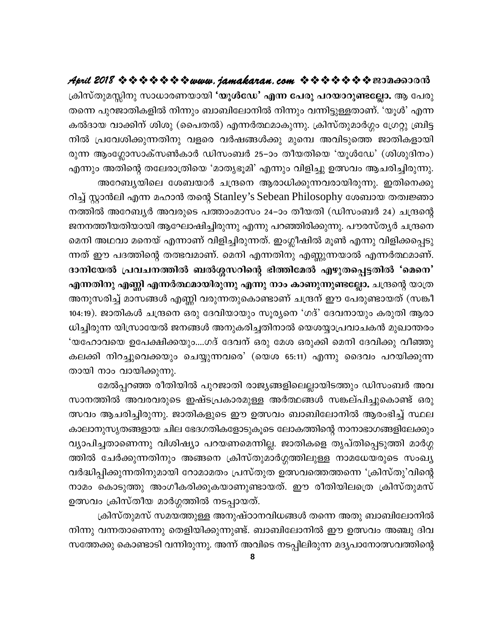ക്രിസ്തുമസ്സിനു സാധാരണയായി 'യൂൾഡേ' എന്ന പേരു പറയാറുണ്ടല്ലോ. ആ പേരു തന്നെ പുറജാതികളിൽ നിന്നും ബാബിലോനിൽ നിന്നും വന്നിട്ടുള്ളതാണ്. 'യൂൾ' എന്ന കൽദായ വാക്കിന് ശിശു (പൈതൽ) എന്നർത്ഥമാകുന്നു. ക്രിസ്തുമാർഗ്ഗം ഗ്രേറ്റു ബ്രിട്ട നിൽ പ്രവേശിക്കുന്നതിനു വളരെ വർഷങ്ങൾക്കു മുമ്പെ അവിടുത്തെ ജാതികളായി രുന്ന ആംഗ്ലോസാക്സൺകാർ ഡിസംബർ 25–ാം തീയതിയെ 'യൂൾഡേ' (ശിശുദിനം) എന്നും അതിന്റെ തലേരാത്രിയെ 'മാതൃഭൂമി' എന്നും വിളിച്ചു ഉത്സവം ആചരിച്ചിരുന്നു. അറേബ്യയിലെ ശേബയാർ ചന്ദ്രനെ ആരാധിക്കുന്നവരായിരുന്നു. ഇതിനെക്കു

റിച്ച് സ്റ്റാൻലി എന്ന മഹാൻ തന്റെ Stanley's Sebean Philosophy ശേബായ തത്വജ്ഞാ നത്തിൽ അറേബ്യർ അവരുടെ പത്താംമാസം 24–ാം തീയതി (ഡിസംബർ 24) ചന്ദ്രന്റെ ജനനത്തീയതിയായി ആഘോഷിച്ചിരുന്നു എന്നു പറഞ്ഞിരിക്കുന്നു. പൗരസ്തൃർ ചന്ദ്രനെ മെനി അഥവാ മനെയ് എന്നാണ് വിളിച്ചിരുന്നത്. ഇംഗ്ലീഷിൽ മൂൺ എന്നു വിളിക്കപ്പെടു ന്നത് ഈ പദത്തിന്റെ തത്ഭവമാണ്. മെനി എന്നതിനു എണ്ണുന്നയാൽ എന്നർത്ഥമാണ്. ദാനിയേൽ പ്രവചനത്തിൽ ബൽശ്ശസറിന്റെ ഭിത്തിമേൽ എഴുതപ്പെട്ടതിൽ 'മെനെ' എന്നതിനു എണ്ണി എന്നർത്ഥമായിരുന്നു എന്നു നാം കാണുന്നുണ്ടല്ലോ. ചന്ദ്രന്റെ യാത്ര അനുസരിച്ച് മാസങ്ങൾ എണ്ണി വരുന്നതുകൊണ്ടാണ് ചന്ദ്രന് ഈ പേരുണ്ടായത് (സങ്കീ 104:19). ജാതികൾ ചന്ദ്രനെ ഒരു ദേവിയായും സൂര്യനെ 'ഗദ്' ദേവനായും കരുതി ആരാ ധിച്ചിരുന്ന യിസ്രായേൽ ജനങ്ങൾ അനുകരിച്ചതിനാൽ യെശയ്യാപ്രവാചകൻ മുഖാന്തരം 'യഹോവയെ ഉപേക്ഷിക്കയും....ഗദ് ദേവന് ഒരു മേശ ഒരുക്കി മെനി ദേവിക്കു വീഞ്ഞു കലക്കി നിറച്ചുവെക്കയും ചെയ്യുന്നവരെ' (യെശ 65:11) എന്നു ദൈവം പറയിക്കുന്ന തായി നാം വായിക്കുന്നു.

മേൽപ്പറഞ്ഞ രീതിയിൽ പുറജാതി രാജ്യങ്ങളിലെല്ലായിടത്തും ഡിസംബർ അവ സാനത്തിൽ അവരവരുടെ ഇഷ്ടപ്രകാരമുള്ള അർത്ഥങ്ങൾ സങ്കല്പിച്ചുകൊണ്ട് ഒരു ത്സവം ആചരിച്ചിരുന്നു. ജാതികളുടെ ഈ ഉത്സവം ബാബിലോനിൽ ആരംഭിച്ച് സ്ഥല കാലാനുസൃതങ്ങളായ ചില ഭേദഗതികളോടുകൂടെ ലോകത്തിന്റെ നാനാഭാഗങ്ങളിലേക്കും വ്യാപിച്ചതാണെന്നു വിശിഷ്യാ പറയണമെന്നില്ല. ജാതികളെ തൃപ്തിപ്പെടുത്തി മാർഗ്ഗ ത്തിൽ ചേർക്കുന്നതിനും അങ്ങനെ ക്രിസ്തുമാർഗ്ഗത്തിലുള്ള നാമധേയരുടെ സംഖ്യ വർദ്ധിപ്പിക്കുന്നതിനുമായി റോമാമതം പ്രസ്തുത ഉത്സവത്തെത്തന്നെ 'ക്രിസ്തു'വിന്റെ നാമം കൊടുത്തു അംഗീകരിക്കുകയാണുണ്ടായത്. ഈ രീതിയിലത്രെ ക്രിസ്തുമസ് ഉത്സവം ക്രിസ്തീയ മാർഗ്ഗത്തിൽ നടപ്പായത്.

ക്രിസ്തുമസ് സമയത്തുള്ള അനുഷ്ഠാനവിധങ്ങൾ തന്നെ അതു ബാബിലോനിൽ നിന്നു വന്നതാണെന്നു തെളിയിക്കുന്നുണ്ട്. ബാബിലോനിൽ ഈ ഉത്സവം അഞ്ചു ദിവ സത്തേക്കു കൊണ്ടാടി വന്നിരുന്നു. അന്ന് അവിടെ നടപ്പിലിരുന്ന മദൃപാനോത്സവത്തിന്റെ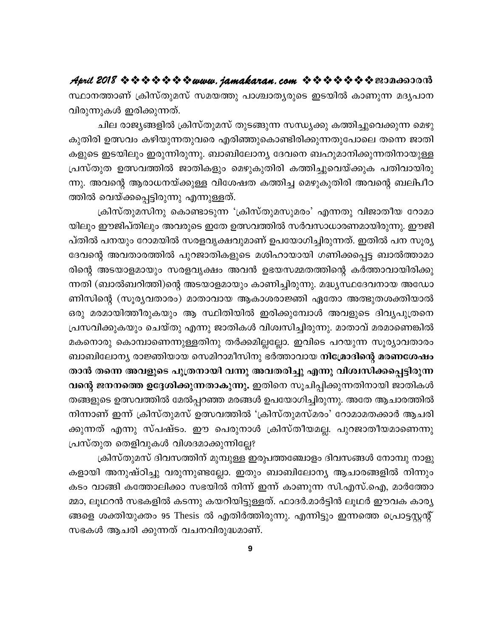സ്ഥാനത്താണ് ക്രിസ്തുമസ് സമയത്തു പാശ്ചാതൃരുടെ ഇടയിൽ കാണുന്ന മദൃപാന വിരുന്നുകൾ ഇരിക്കുന്നത്.

ചില രാജ്യങ്ങളിൽ ക്രിസ്തുമസ് തുടങ്ങുന്ന സന്ധ്യക്കു കത്തിച്ചുവെക്കുന്ന മെഴു കുതിരി ഉത്സവം കഴിയുന്നതുവരെ എരിഞ്ഞുകൊണ്ടിരിക്കുന്നതുപോലെ തന്നെ ജാതി കളുടെ ഇടയിലും ഇരുന്നിരുന്നു. ബാബിലോന്യ ദേവനെ ബഹുമാനിക്കുന്നതിനായുള്ള പ്രസ്തുത ഉത്സവത്തിൽ ജാതികളും മെഴുകുതിരി കത്തിച്ചുവെയ്ക്കുക പതിവായിരു ന്നു. അവന്റെ ആരാധനയ്ക്കുള്ള വിശേഷത കത്തിച്ച മെഴുകുതിരി അവന്റെ ബലിപീഠ ത്തിൽ വെയ്ക്കപ്പെട്ടിരുന്നു എന്നുള്ളത്.

ക്രിസ്തുമസിനു കൊണ്ടാടുന്ന 'ക്രിസ്തുമസുമരം' എന്നതു വിജാതീയ റോമാ യിലും ഈജിപ്തിലും അവരുടെ ഇതേ ഉത്സവത്തിൽ സർവസാധാരണമായിരുന്നു. ഈജി പ്തിൽ പനയും റോമയിൽ സരളവൃക്ഷവുമാണ് ഉപയോഗിച്ചിരുന്നത്. ഇതിൽ പന സൂര്യ ദേവന്റെ അവതാരത്തിൽ പുറജാതികളുടെ മശിഹായായി ഗണിക്കപ്പെട്ട ബാൽത്താമാ രിന്റെ അടയാളമായും സരളവൃക്ഷം അവൻ ഉഭയസമ്മതത്തിന്റെ കർത്താവായിരിക്കു ന്നതി (ബാൽബറിത്തി)ന്റെ അടയാളമായും കാണിച്ചിരുന്നു. മദ്ധ്യസ്ഥദേവനായ അഡോ ണിസിന്റെ (സൂര്യവതാരം) മാതാവായ ആകാശരാജ്ഞി ഏതോ അത്ഭുതശക്തിയാൽ ഒരു മരമായിത്തീരുകയും ആ സ്ഥിതിയിൽ ഇരിക്കുമ്പോൾ അവളുടെ ദിവൃപുത്രനെ പ്രസവിക്കുകയും ചെയ്തു എന്നു ജാതികൾ വിശ്വസിച്ചിരുന്നു. മാതാവ് മരമാണെങ്കിൽ മകനൊരു കൊമ്പാണെന്നുള്ളതിനു തർക്കമില്ലല്ലോ. ഇവിടെ പറയുന്ന സൂര്യാവതാരം ബാബിലോന്യ രാജ്ഞിയായ സെമിറാമീസിനു ഭർത്താവായ നിമ്രോദിന്റെ മരണശേഷം താൻ തന്നെ അവളുടെ പുത്രനായി വന്നു അവതരിച്ചു എന്നു വിശ്വസിക്കപ്പെട്ടിരുന്ന വന്റെ ജനനത്തെ ഉദ്ദേശിക്കുന്നതാകുന്നു. ഇതിനെ സൂചിപ്പിക്കുന്നതിനായി ജാതികൾ തങ്ങളുടെ ഉത്സവത്തിൽ മേൽപ്പറഞ്ഞ മരങ്ങൾ ഉപയോഗിച്ചിരുന്നു. അതേ ആചാരത്തിൽ നിന്നാണ് ഇന്ന് ക്രിസ്തുമസ് ഉത്സവത്തിൽ 'ക്രിസ്തുമസ്മരം' റോമാമതക്കാർ ആചരി ക്കുന്നത് എന്നു സ്പഷ്ടം. ഈ പെരുനാൾ ക്രിസ്തീയമല്ല. പുറജാതീയമാണെന്നു പ്രസ്തുത തെളിവുകൾ വിശദമാക്കുന്നില്ലേ?

ക്രിസ്തുമസ് ദിവസത്തിന് മുമ്പുള്ള ഇരുപത്തഞ്ചോളം ദിവസങ്ങൾ നോമ്പു നാളു കളായി അനുഷ്ഠിച്ചു വരുന്നുണ്ടല്ലോ. ഇതും ബാബിലോന്യ ആചാരങ്ങളിൽ നിന്നും കടം വാങ്ങി കത്തോലിക്കാ സഭയിൽ നിന്ന് ഇന്ന് കാണുന്ന സി.എസ്.ഐ, മാർത്തോ മ്മാ, ലൂഥറൻ സഭകളിൽ കടന്നു കയറിയിട്ടുള്ളത്. ഫാദർ.മാർട്ടിൻ ലൂഥർ ഈവക കാര്യ ങ്ങളെ ശക്തിയുക്തം 95 Thesis ൽ എതിർത്തിരുന്നു. എന്നിട്ടും ഇന്നത്തെ പ്രൊട്ടസ്റ്റന്റ് സഭകൾ ആചരി ക്കുന്നത് വചനവിരുദ്ധമാണ്.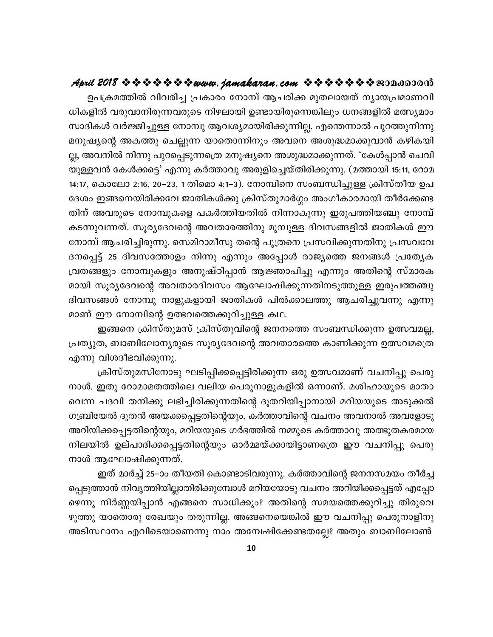ഉപക്രമത്തിൽ വിവരിച്ച പ്രകാരം നോമ്പ് ആചരിക്ക മുതലായത് ന്യായപ്രമാണവി ധികളിൽ വരുവാനിരുന്നവരുടെ നിഴലായി ഉണ്ടായിരുന്നെങ്കിലും ധനങ്ങളിൽ മത്സ്യമാം സാദികൾ വർജ്ജിച്ചുള്ള നോമ്പു ആവശ്യമായിരിക്കുന്നില്ല. എന്തെന്നാൽ പുറത്തുനിന്നു മനുഷ്യന്റെ അകത്തു ചെല്ലുന്ന യാതൊന്നിനും അവനെ അശുദ്ധമാക്കുവാൻ കഴികയി ല്ല, അവനിൽ നിന്നു പുറപ്പെടുന്നത്രെ മനുഷ്യനെ അശുദ്ധമാക്കുന്നത്. 'കേൾപ്പാൻ ചെവി യുള്ളവൻ കേൾക്കട്ടെ' എന്നു കർത്താവു അരുളിച്ചെയ്തിരിക്കുന്നു. (മത്തായി 15:11, റോമ 14:17, കൊലോ 2:16, 20–23, 1 തിമൊ 4:1–3). നോമ്പിനെ സംബന്ധിച്ചുള്ള ക്രിസ്തീയ ഉപ ദേശം ഇങ്ങനെയിരിക്കവേ ജാതികൾക്കു ക്രിസ്തുമാർഗ്ഗം അംഗീകാരമായി തീർക്കേണ്ട തിന് അവരുടെ നോമ്പുകളെ പകർത്തിയതിൽ നിന്നാകുന്നു ഇരുപത്തിയഞ്ചു നോമ്പ് കടന്നുവന്നത്. സൂര്യദേവന്റെ അവതാരത്തിനു മുമ്പുള്ള ദിവസങ്ങളിൽ ജാതികൾ ഈ നോമ്പ് ആചരിച്ചിരുന്നു. സെമിറാമീസു തന്റെ പുത്രനെ പ്രസവിക്കുന്നതിനു പ്രസവവേ ദനപ്പെട്ട് 25 ദിവസത്തോളം നിന്നു എന്നും അപ്പോൾ രാജ്യത്തെ ജനങ്ങൾ പ്രത്യേക വ്രതങ്ങളും നോമ്പുകളും അനുഷ്ഠിപ്പാൻ ആജ്ഞാപിച്ചു എന്നും അതിന്റെ സ്മാരക മായി സൂര്യദേവന്റെ അവതാരദിവസം ആഘോഷിക്കുന്നതിനടുത്തുള്ള ഇരുപത്തഞ്ചു ദിവസങ്ങൾ നോമ്പു നാളുകളായി ജാതികൾ പിൽക്കാലത്തു ആചരിച്ചുവന്നു എന്നു മാണ് ഈ നോമ്പിന്റെ ഉത്ഭവത്തെക്കുറിച്ചുള്ള കഥ.

ഇങ്ങനെ ക്രിസ്തുമസ് ക്രിസ്തുവിന്റെ ജനനത്തെ സംബന്ധിക്കുന്ന ഉത്സവമല്ല, പ്രത്യുത, ബാബിലോന്യരുടെ സൂര്യദേവന്റെ അവതാരത്തെ കാണിക്കുന്ന ഉത്സവമത്രെ എന്നു വിശദീഭവിക്കുന്നു.

ക്രിസ്തുമസിനോടു ഘടിപ്പിക്കപ്പെട്ടിരിക്കുന്ന ഒരു ഉത്സവമാണ് വചനിപ്പു പെരു നാൾ. ഇതു റോമാമതത്തിലെ വലിയ പെരുനാളുകളിൽ ഒന്നാണ്. മശിഹായുടെ മാതാ വെന്ന പദവി തനിക്കു ലഭിച്ചിരിക്കുന്നതിന്റെ ദൂതറിയിപ്പാനായി മറിയയുടെ അടുക്കൽ ഗബ്രിയേൽ ദൂതൻ അയക്കപ്പെട്ടതിന്റെയും, കർത്താവിന്റെ വചനം അവനാൽ അവളോടു അറിയിക്കപ്പെട്ടതിന്റെയും, മറിയയുടെ ഗർഭത്തിൽ നമ്മുടെ കർത്താവു അത്ഭുതകരമായ നിലയിൽ ഉല്പാദിക്കപ്പെട്ടതിന്റെയും ഓർമ്മയ്ക്കായിട്ടാണത്രെ ഈ വചനിപ്പു പെരു നാൾ ആഘോഷിക്കുന്നത്.

ഇത് മാർച്ച് 25–ാം തീയതി കൊണ്ടാടിവരുന്നു. കർത്താവിന്റെ ജനനസമയം തീർച്ച പ്പെടുത്താൻ നിവൃത്തിയില്ലാതിരിക്കുമ്പോൾ മറിയയോടു വചനം അറിയിക്കപ്പെട്ടത് എപ്പോ ഴെന്നു നിർണ്ണയിപ്പാൻ എങ്ങനെ സാധിക്കും? അതിന്റെ സമയത്തെക്കുറിച്ചു തിരുവെ ഴുത്തു യാതൊരു രേഖയും തരുന്നില്ല. അങ്ങനെയെങ്കിൽ ഈ വചനിപ്പു പെരുനാളിനു അടിസ്ഥാനം എവിടെയാണെന്നു നാം അന്വേഷിക്കേണ്ടതല്ലേ? അതും ബാബിലോൺ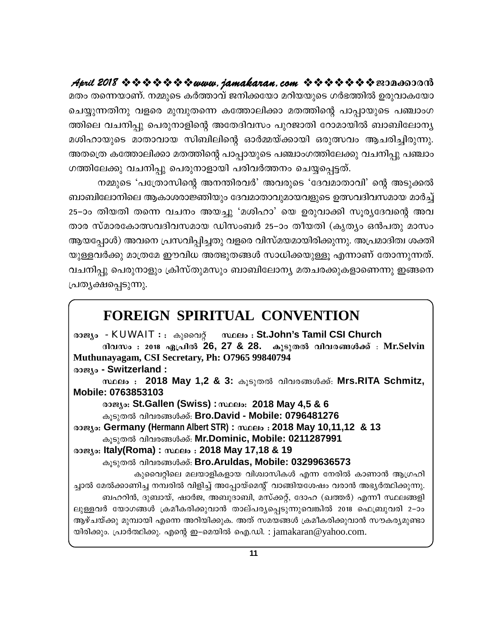മതം തന്നെയാണ്. നമ്മുടെ കർത്താവ് ജനിക്കയോ മറിയയുടെ ഗർഭത്തിൽ ഉരുവാകയോ ചെയ്യുന്നതിനു വളരെ മുമ്പുതന്നെ കത്തോലിക്കാ മതത്തിന്റെ പാപ്പായുടെ പഞ്ചാംഗ ത്തിലെ വചനിപ്പു പെരുനാളിന്റെ അതേദിവസം പുറജാതി റോമായിൽ ബാബിലോന്യ മശിഹായുടെ മാതാവായ സിബിലിന്റെ ഓർമ്മയ്ക്കായി ഒരുത്സവം ആചരിച്ചിരുന്നു. അതത്രെ കത്തോലിക്കാ മതത്തിന്റെ പാപ്പായുടെ പഞ്ചാംഗത്തിലേക്കു വചനിപ്പു പഞ്ചാം ഗത്തിലേക്കു വചനിപ്പു പെരുനാളായി പരിവർത്തനം ചെയ്യപ്പെട്ടത്.

നമ്മുടെ 'പത്രോസിന്റെ അനന്തിരവർ' അവരുടെ 'ദേവമാതാവി' ന്റെ അടുക്കൽ ബാബിലോനിലെ ആകാശരാജ്ഞിയും ദേവമാതാവുമായവളുടെ ഉത്സവദിവസമായ മാർച്ച് 25–ാം തിയതി തന്നെ വചനം അയച്ചു 'മശിഹാ' യെ ഉരുവാക്കി സൂര്യദേവന്റെ അവ താര സ്മാരകോത്സവദിവസമായ ഡിസംബർ 25–ാം തീയതി (കൃത്യം ഒൻപതു മാസം ആയപ്പോൾ) അവനെ പ്രസവിപ്പിച്ചതു വളരെ വിസ്മയമായിരിക്കുന്നു. അപ്രമാദിത്വ ശക്തി യുള്ളവർക്കു മാത്രമേ ഈവിധ അത്ഭുതങ്ങൾ സാധിക്കയുള്ളൂ എന്നാണ് തോന്നുന്നത്. വചനിപ്പു പെരുനാളും ക്രിസ്തുമസും ബാബിലോന്യ മതചരക്കുകളാണെന്നു ഇങ്ങനെ പ്രതൃക്ഷപ്പെടുന്നു.

#### **FOREIGN SPIRITUAL CONVENTION**

രാജ്യം - KUWAIT : . കുവൈറ്റ് സ്ഥലം : St.John's Tamil CSI Church ദിവസം : 2018 ഏപ്രിൽ 26, 27 & 28. കൂടുതൽ വിവരങ്ങൾക്ക് : Mr.Selvin Muthunayagam, CSI Secretary, Ph: O7965 99840794 @oæso - Switzerland: സ്ഥലം : 2018 May 1,2 & 3: കൂടുതൽ വിവരങ്ങൾക്ക്: Mrs.RITA Schmitz, Mobile: 0763853103 രാജ്യം: St.Gallen (Swiss) : സ്ഥലം: 2018 May 4,5 & 6 കൂടുതൽ വിവരങ്ങൾക്ക്: Bro.David - Mobile: 0796481276 രാജ്യം: Germany (Hermann Albert STR) : സ്ഥലം : 2018 May 10,11,12 & 13 കൂടുതൽ വിവരങ്ങൾക്ക്: Mr.Dominic, Mobile: 0211287991 രാജ്യം: Italy(Roma) : സ്ഥലം : 2018 May 17,18 & 19 കൂടുതൽ വിവരങ്ങൾക്ക്: Bro.Aruldas, Mobile: 03299636573 കുവൈറ്റിലെ മലയാളികളായ വിശ്വാസികൾ എന്ന നേരിൽ കാണാൻ ആഗ്രഹി ച്ചാൽ മേൽക്കാണിച്ച നമ്പരിൽ വിളിച്ച് അപ്പോയ്മെന്റ് വാങ്ങിയശേഷം വരാൻ അഭ്യർത്ഥിക്കുന്നു. ബഹറിൻ, ദുബായ്, ഷാർജ, അബുദാബി, മസ്ക്കറ്റ്, ദോഹ (ഖത്തർ) എന്നീ സ്ഥലങ്ങളി ലുള്ളവർ യോഗങ്ങൾ ക്രമീകരിക്കുവാൻ താല്പര്യപ്പെടുന്നുവെങ്കിൽ 2018 ഫെബ്രുവരി 2-ാം ആഴ്ചയ്ക്കു മുമ്പായി എന്നെ അറിയിക്കുക. അത് സമയങ്ങൾ ക്രമീകരിക്കുവാൻ സൗകര്യമുണ്ടാ യിരിക്കും. പ്രാർത്ഥിക്കു. എന്റെ ഇ–മെയിൽ ഐ.ഡി. : jamakaran@yahoo.com.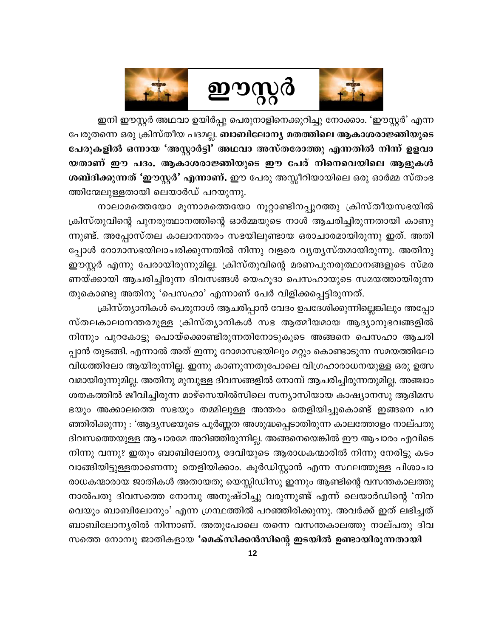



ഇനി ഈസ്റ്റർ അഥവാ ഉയിർപ്പു പെരുനാളിനെക്കുറിച്ചു നോക്കാം. 'ഈസ്റ്റർ' എന്ന പേരുതന്നെ ഒരു ക്രിസ്തീയ പദമല്ല. **ബാബിലോന്യ മതത്തിലെ ആകാശരാജ്ഞിയുടെ** പേരുകളിൽ ഒന്നായ 'അസ്റ്റാർട്ടി' അഥവാ അസ്തരോത്തു എന്നതിൽ നിന്ന് ഉളവാ യതാണ് ഈ പദം. ആകാശരാജ്ഞിയുടെ ഈ പേര് നിനെവെയിലെ ആളുകൾ ശബ്ദിക്കുന്നത് 'ഈസ്റ്റർ' എന്നാണ്. ഈ പേരു അസ്സീറിയായിലെ ഒരു ഓർമ്മ സ്തംഭ ത്തിന്മേലുള്ളതായി ലെയാർഡ് പറയുന്നു.

നാലാമത്തെയോ മൂന്നാമത്തെയോ നൂറ്റാണ്ടിനപ്പുറത്തു ക്രിസ്തീയസഭയിൽ ക്രിസ്തുവിന്റെ പുനരുത്ഥാനത്തിന്റെ ഓർമ്മയുടെ നാൾ ആചരിച്ചിരുന്നതായി കാണു ന്നുണ്ട്. അപ്പോസ്തല കാലാനന്തരം സഭയിലുണ്ടായ ഒരാചാരമായിരുന്നു ഇത്. അതി പ്പോൾ റോമാസഭയിലാചരിക്കുന്നതിൽ നിന്നു വളരെ വ്യത്യസ്തമായിരുന്നു. അതിനു ഈസ്റ്റർ എന്നു പേരായിരുന്നുമില്ല. ക്രിസ്തുവിന്റെ മരണപുനരുത്ഥാനങ്ങളുടെ സ്മര ണയ്ക്കായി ആചരിച്ചിരുന്ന ദിവസങ്ങൾ യെഹൂദാ പെസഹായുടെ സമയത്തായിരുന്ന തുകൊണ്ടു അതിനു 'പെസഹാ' എന്നാണ് പേർ വിളിക്കപ്പെട്ടിരുന്നത്.

ക്രിസ്ത്യാനികൾ പെരുനാൾ ആചരിപ്പാൻ വേദം ഉപദേശിക്കുന്നില്ലെങ്കിലും അപ്പോ സ്തലകാലാനന്തരമുള്ള ക്രിസ്ത്യാനികൾ സഭ ആത്മീയമായ ആദ്യാനുഭവങ്ങളിൽ നിന്നും പുറകോട്ടു പൊയ്ക്കൊണ്ടിരുന്നതിനോടുകൂടെ അങ്ങനെ പെസഹാ ആചരി പ്പാൻ തുടങ്ങി. എന്നാൽ അത് ഇന്നു റോമാസഭയിലും മറ്റും കൊണ്ടാടുന്ന സമയത്തിലോ വിധത്തിലോ ആയിരുന്നില്ല. ഇന്നു കാണുന്നതുപോലെ വിഗ്രഹാരാധനയുള്ള ഒരു ഉത്സ വമായിരുന്നുമില്ല. അതിനു മുമ്പുള്ള ദിവസങ്ങളിൽ നോമ്പ് ആചരിച്ചിരുന്നതുമില്ല. അഞ്ചാം ശതകത്തിൽ ജീവിച്ചിരുന്ന മാഴ്സെയിൽസിലെ സന്യാസിയായ കാഷ്യാനസു ആദിമസ ഭയും അക്കാലത്തെ സഭയും തമ്മിലുള്ള അന്തരം തെളിയിച്ചുകൊണ്ട് ഇങ്ങനെ പറ ഞ്ഞിരിക്കുന്നു : 'ആദ്യസഭയുടെ പൂർണ്ണത അശുദ്ധപ്പെടാതിരുന്ന കാലത്തോളം നാല്പതു ദിവസത്തെയുള്ള ആചാരമേ അറിഞ്ഞിരുന്നില്ല. അങ്ങനെയെങ്കിൽ ഈ ആചാരം എവിടെ നിന്നു വന്നു? ഇതും ബാബിലോന്യ ദേവിയുടെ ആരാധകന്മാരിൽ നിന്നു നേരിട്ടു കടം വാങ്ങിയിട്ടുള്ളതാണെന്നു തെളിയിക്കാം. കൂർഡിസ്റ്റാൻ എന്ന സ്ഥലത്തുള്ള പിശാചാ രാധകന്മാരായ ജാതികൾ അതായതു യെസ്സിഡിസു ഇന്നും ആണ്ടിന്റെ വസന്തകാലത്തു നാൽപതു ദിവസത്തെ നോമ്പു അനുഷ്ഠിച്ചു വരുന്നുണ്ട് എന്ന് ലെയാർഡിന്റെ 'നിന വെയും ബാബിലോനും' എന്ന ഗ്രന്ഥത്തിൽ പറഞ്ഞിരിക്കുന്നു. അവർക്ക് ഇത് ലഭിച്ചത് ബാബിലോന്യരിൽ നിന്നാണ്. അതുപോലെ തന്നെ വസന്തകാലത്തു നാല്പതു ദിവ

സത്തെ നോമ്പു ജാതികളായ 'മെക്സിക്കൻസിന്റെ ഇടയിൽ ഉണ്ടായിരുന്നതായി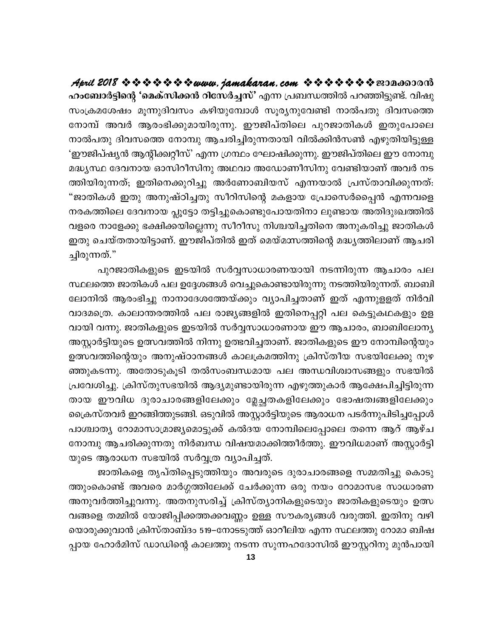ഹംബോർട്ടിന്റെ 'മെക്സിക്കൻ റിസേർച്ചസ്' എന്ന പ്രബന്ധത്തിൽ പറഞ്ഞിട്ടുണ്ട്. വിഷു സംക്രമശേഷം മൂന്നുദിവസം കഴിയുമ്പോൾ സൂര്യനുവേണ്ടി നാൽപതു ദിവസത്തെ നോമ്പ് അവർ ആരംഭിക്കുമായിരുന്നു. ഈജിപ്തിലെ പുറജാതികൾ ഇതുപോലെ നാൽപതു ദിവസത്തെ നോമ്പു ആചരിച്ചിരുന്നതായി വിൽക്കിൻസൺ എഴുതിയിട്ടുള്ള 'ഈജിപ്ഷ്യൻ ആന്റിക്ക്വറ്റീസ്' എന്ന ഗ്രന്ഥം ഘോഷിക്കുന്നു. ഈജിപ്തിലെ ഈ നോമ്പു മദ്ധ്യസ്ഥ ദേവനായ ഓസിറീസിനു അഥവാ അഡോണീസിനു വേണ്ടിയാണ് അവർ നട ത്തിയിരുന്നത്; ഇതിനെക്കുറിച്ചു അർണോബിയസ് എന്നയാൽ പ്രസ്താവിക്കുന്നത്: "ജാതികൾ ഇതു അനുഷ്ഠിച്ചതു സീറിസിന്റെ മകളായ പ്രോസെർപ്പൈൻ എന്നവളെ നരകത്തിലെ ദേവനായ പ്ലൂട്ടോ തട്ടിച്ചുകൊണ്ടുപോയതിനാ ലുണ്ടായ അതിദുഃഖത്തിൽ വളരെ നാളേക്കു ഭക്ഷിക്കയില്ലെന്നു സീറീസു നിശ്ചയിച്ചതിനെ അനുകരിച്ചു ജാതികൾ ഇതു ചെയ്തതായിട്ടാണ്. ഈജിപ്തിൽ ഇത് മെയ്മാസത്തിന്റെ മദ്ധ്യത്തിലാണ് ആചരി ച്ചിരുന്നത്."

പുറജാതികളുടെ ഇടയിൽ സർവ്വസാധാരണയായി നടന്നിരുന്ന ആചാരം പല സ്ഥലത്തെ ജാതികൾ പല ഉദ്ദേശങ്ങൾ വെച്ചുകൊണ്ടായിരുന്നു നടത്തിയിരുന്നത്. ബാബി ലോനിൽ ആരംഭിച്ചു നാനാദേശത്തേയ്ക്കും വ്യാപിച്ചതാണ് ഇത് എന്നുളളത് നിർവി വാദമത്രെ. കാലാന്തരത്തിൽ പല രാജ്യങ്ങളിൽ ഇതിനെപ്പറ്റി പല കെട്ടുകഥകളും ഉള വായി വന്നു. ജാതികളുടെ ഇടയിൽ സർവ്വസാധാരണായ ഈ ആചാരം, ബാബിലോന്യ അസ്റ്റാർട്ടിയുടെ ഉത്സവത്തിൽ നിന്നു ഉത്ഭവിച്ചതാണ്. ജാതികളുടെ ഈ നോമ്പിന്റെയും ഉത്സവത്തിന്റെയും അനുഷ്ഠാനങ്ങൾ കാലക്രമത്തിനു ക്രിസ്തീയ സഭയിലേക്കു നുഴ ഞ്ഞുകടന്നു. അതോടുകൂടി തൽസംബന്ധമായ പല അന്ധവിശ്വാസങ്ങളും സഭയിൽ പ്രവേശിച്ചു. ക്രിസ്തുസഭയിൽ ആദ്യമുണ്ടായിരുന്ന എഴുത്തുകാർ ആക്ഷേപിച്ചിട്ടിരുന്ന തായ ഈവിധ ദുരാചാരങ്ങളിലേക്കും മ്ലേച്ഛതകളിലേക്കും ഭോഷത്വങ്ങളിലേക്കും ക്രൈസ്തവർ ഇറങ്ങിത്തുടങ്ങി. ഒടുവിൽ അസ്റ്റാർട്ടിയുടെ ആരാധന പടർന്നുപിടിച്ചപ്പോൾ പാശ്ചാതൃ റോമാസാമ്രാജ്യമൊട്ടുക്ക് കൽദയ നോമ്പിലെപ്പോലെ തന്നെ ആറ് ആഴ്ച നോമ്പു ആചരിക്കുന്നതു നിർബന്ധ വിഷയമാക്കിത്തീർത്തു. ഈവിധമാണ് അസ്റ്റാർട്ടി യുടെ ആരാധന സഭയിൽ സർവ്വത്ര വ്യാപിച്ചത്.

ജാതികളെ തൃപ്തിപ്പെടുത്തിയും അവരുടെ ദുരാചാരങ്ങളെ സമ്മതിച്ചു കൊടു ത്തുംകൊണ്ട് അവരെ മാർഗ്ഗത്തിലേക്ക് ചേർക്കുന്ന ഒരു നയം റോമാസഭ സാധാരണ അനുവർത്തിച്ചുവന്നു. അതനുസരിച്ച് ക്രിസ്ത്യാനികളുടെയും ജാതികളുടെയും ഉത്സ വങ്ങളെ തമ്മിൽ യോജിപ്പിക്കത്തക്കവണ്ണം ഉള്ള സൗകര്യങ്ങൾ വരുത്തി. ഇതിനു വഴി യൊരുക്കുവാൻ ക്രിസ്താബ്ദം 519–നോടടുത്ത് ഓറീലിയ എന്ന സ്ഥലത്തു റോമാ ബിഷ പ്പായ ഹോർമിസ് ഡാഡിന്റെ കാലത്തു നടന്ന സുന്നഹദോസിൽ ഈസ്റ്ററിനു മുൻപായി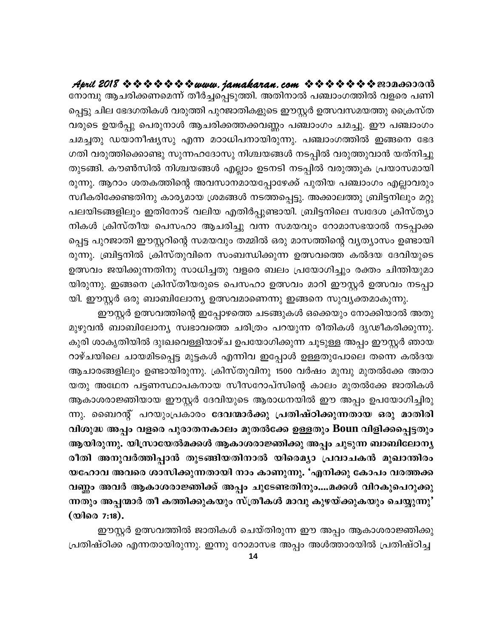നോമ്പു ആചരിക്കണമെന്ന് തീർച്ചപ്പെടുത്തി. അതിനാൽ പഞ്ചാംഗത്തിൽ വളരെ പണി പ്പെട്ടു ചില ഭേദഗതികൾ വരുത്തി പുറജാതികളുടെ ഈസ്റ്റർ ഉത്സവസമയത്തു ക്രൈസ്ത വരുടെ ഉയർപ്പു പെരുനാൾ ആചരിക്കത്തക്കവണ്ണം പഞ്ചാംഗം ചമച്ചു. ഈ പഞ്ചാംഗം ചമച്ചതു ഡയാനീഷ്യസു എന്ന മഠാധിപനായിരുന്നു. പഞ്ചാംഗത്തിൽ ഇങ്ങനെ ഭേദ ഗതി വരുത്തിക്കൊണ്ടു സുന്നഹദോസു നിശ്ചയങ്ങൾ നടപ്പിൽ വരുത്തുവാൻ യത്നിച്ചു തുടങ്ങി. കൗൺസിൽ നിശ്ചയങ്ങൾ എല്ലാം ഉടനടി നടപ്പിൽ വരുത്തുക പ്രയാസമായി രുന്നു. ആറാം ശതകത്തിന്റെ അവസാനമായപ്പോഴേക്ക് പുതിയ പഞ്ചാംഗം എല്ലാവരും സ്വീകരിക്കേണ്ടതിനു കാര്യമായ ശ്രമങ്ങൾ നടത്തപ്പെട്ടു. അക്കാലത്തു ബ്രിട്ടനിലും മറ്റു പലയിടങ്ങളിലും ഇതിനോട് വലിയ എതിർപ്പുണ്ടായി. ബ്രിട്ടനിലെ സ്വദേശ ക്രിസ്ത്യാ നികൾ ക്രിസ്തീയ പെസഹാ ആചരിച്ചു വന്ന സമയവും റോമാസഭയാൽ നടപ്പാക്ക പ്പെട്ട പുറജാതി ഈസ്റ്ററിന്റെ സമയവും തമ്മിൽ ഒരു മാസത്തിന്റെ വ്യത്യാസം ഉണ്ടായി രുന്നു. ബ്രിട്ടനിൽ ക്രിസ്തുവിനെ സംബന്ധിക്കുന്ന ഉത്സവത്തെ കൽദയ ദേവിയുടെ ഉത്സവം ജയിക്കുന്നതിനു സാധിച്ചതു വളരെ ബലം പ്രയോഗിച്ചും രക്തം ചിന്തിയുമാ യിരുന്നു. ഇങ്ങനെ ക്രിസ്തീയരുടെ പെസഹാ ഉത്സവം മാറി ഈസ്റ്റർ ഉത്സവം നടപ്പാ യി. ഈസ്റ്റർ ഒരു ബാബിലോന്യ ഉത്സവമാണെന്നു ഇങ്ങനെ സുവ്യക്തമാകുന്നു.

ഈസ്റ്റർ ഉത്സവത്തിന്റെ ഇപ്പോഴത്തെ ചടങ്ങുകൾ ഒക്കെയും നോക്കിയാൽ അതു മുഴുവൻ ബാബിലോന്യ സ്വഭാവത്തെ ചരിത്രം പറയുന്ന രീതികൾ ദൃഢീകരിക്കുന്നു. കുരി ശാകൃതിയിൽ ദുഃഖവെള്ളിയാഴ്ച ഉപയോഗിക്കുന്ന ചൂടുള്ള അപ്പം ഈസ്റ്റർ ഞായ റാഴ്ചയിലെ ചായമിടപ്പെട്ട മുട്ടകൾ എന്നിവ ഇപ്പോൾ ഉള്ളതുപോലെ തന്നെ കൽദയ ആചാരങ്ങളിലും ഉണ്ടായിരുന്നു. ക്രിസ്തുവിനു 1500 വർഷം മുമ്പു മുതൽക്കേ അതാ യതു അഥേന പട്ടണസ്ഥാപകനായ സീസറോപ്സിന്റെ കാലം മുതൽക്കേ ജാതികൾ ആകാശരാജ്ഞിയായ ഈസ്റ്റർ ദേവിയുടെ ആരാധനയിൽ ഈ അപ്പം ഉപയോഗിച്ചിരു ന്നു. ബൈറന്റ് പറയുംപ്രകാരം ദേവന്മാർക്കു പ്രതിഷ്ഠിക്കുന്നതായ ഒരു മാതിരി വിശുദ്ധ അപ്പം വളരെ പുരാതനകാലം മുതൽക്കേ ഉള്ളതും Boun വിളിക്കപ്പെട്ടതും ആയിരുന്നു. യിസ്രായേൽമക്കൾ ആകാശരാജ്ഞിക്കു അപ്പം ചുടുന്ന ബാബിലോന്യ രീതി അനുവർത്തിപ്പാൻ തുടങ്ങിയതിനാൽ യിരെമ്യാ പ്രവാചകൻ മുഖാന്തിരം യഹോവ അവരെ ശാസിക്കുന്നതായി നാം കാണുന്നു. 'എനിക്കു കോപം വരത്തക്ക വണ്ണം അവർ ആകാശരാജ്ഞിക്ക് അപ്പം ചുടേണ്ടതിനും....മക്കൾ വിറകുപെറുക്കു ന്നതും അപ്പന്മാർ തീ കത്തിക്കുകയും സ്ത്രീകൾ മാവു കുഴയ്ക്കുകയും ചെയ്യുന്നു' (യിരെ 7:18).

ഈസ്റ്റർ ഉത്സവത്തിൽ ജാതികൾ ചെയ്തിരുന്ന ഈ അപ്പം ആകാശരാജ്ഞിക്കു പ്രതിഷ്ഠിക്ക എന്നതായിരുന്നു. ഇന്നു റോമാസഭ അപ്പം അൾത്താരയിൽ പ്രതിഷ്ഠിച്ച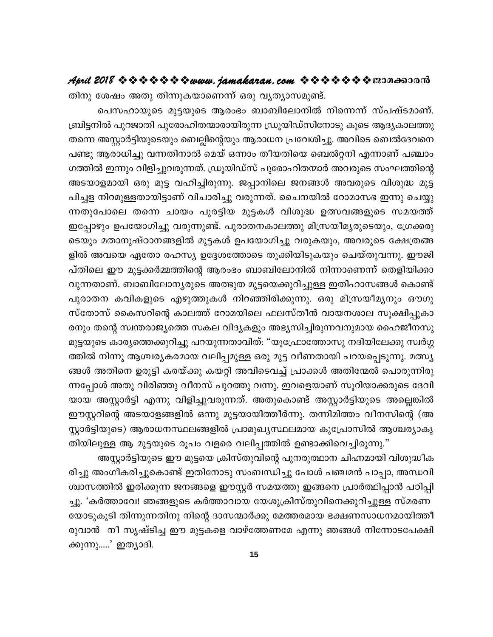തിനു ശേഷം അതു തിന്നുകയാണെന്ന് ഒരു വൃത്യാസമുണ്ട്.

പെസഹായുടെ മുട്ടയുടെ ആരംഭം ബാബിലോനിൽ നിന്നെന്ന് സ്പഷ്ടമാണ്. ബ്രിട്ടനിൽ പുറജാതി പുരോഹിതന്മാരായിരുന്ന ഡ്രൂയിഡ്സിനോടു കൂടെ ആദ്യകാലത്തു തന്നെ അസ്റ്റാർട്ടിയുടെയും ബെല്ലിന്റെയും ആരാധന പ്രവേശിച്ചു. അവിടെ ബെൽദേവനെ പണ്ടു ആരാധിച്ചു വന്നതിനാൽ മെയ് ഒന്നാം തീയതിയെ ബെൽറ്റനി എന്നാണ് പഞ്ചാം ഗത്തിൽ ഇന്നും വിളിച്ചുവരുന്നത്. ഡ്രൂയിഡ്സ് പുരോഹിതന്മാർ അവരുടെ സംഘത്തിന്റെ അടയാളമായി ഒരു മുട്ട വഹിച്ചിരുന്നു. ജപ്പാനിലെ ജനങ്ങൾ അവരുടെ വിശുദ്ധ മുട്ട പിച്ചള നിറമുള്ളതായിട്ടാണ് വിചാരിച്ചു വരുന്നത്. ചൈനയിൽ റോമാസഭ ഇന്നു ചെയ്യു ന്നതുപോലെ തന്നെ ചായം പുരട്ടിയ മുട്ടകൾ വിശുദ്ധ ഉത്സവങ്ങളുടെ സമയത്ത് ഇപ്പോഴും ഉപയോഗിച്ചു വരുന്നുണ്ട്. പുരാതനകാലത്തു മിസ്രയീമൃരുടെയും, ഗ്രേക്കരു ടെയും മതാനുഷ്ഠാനങ്ങളിൽ മുട്ടകൾ ഉപയോഗിച്ചു വരുകയും, അവരുടെ ക്ഷേത്രങ്ങ ളിൽ അവയെ ഏതോ രഹസ്യ ഉദ്ദേശത്തോടെ തൂക്കിയിടുകയും ചെയ്തുവന്നു. ഈജി പ്തിലെ ഈ മുട്ടക്കർമ്മത്തിന്റെ ആരംഭം ബാബിലോനിൽ നിന്നാണെന്ന് തെളിയിക്കാ വുന്നതാണ്. ബാബിലോന്യരുടെ അത്ഭുത മുട്ടയെക്കുറിച്ചുള്ള ഇതിഹാസങ്ങൾ കൊണ്ട് പുരാതന കവികളുടെ എഴുത്തുകൾ നിറഞ്ഞിരിക്കുന്നു. ഒരു മിസ്രയീമൃനും ഔഗു സ്തോസ് കൈസറിന്റെ കാലത്ത് റോമയിലെ ഫലസ്തീൻ വായനശാല സൂക്ഷിപ്പുകാ രനും തന്റെ സ്വന്തരാജ്യത്തെ സകല വിദ്യകളും അഭ്യസിച്ചിരുന്നവനുമായ ഹൈജീനസു മുട്ടയുടെ കാര്യത്തെക്കുറിച്ചു പറയുന്നതാവിത്: "യൂഫ്രോത്തോസു നദിയിലേക്കു സ്വർഗ്ഗ ത്തിൽ നിന്നു ആശ്ചര്യകരമായ വലിപ്പമുള്ള ഒരു മുട്ട വീണതായി പറയപ്പെടുന്നു. മത്സ്യ ങ്ങൾ അതിനെ ഉരുട്ടി കരയ്ക്കു കയറ്റി അവിടെവച്ച് പ്രാക്കൾ അതിന്മേൽ പൊരുന്നിരു ന്നപ്പോൾ അതു വിരിഞ്ഞു വീനസ് പുറത്തു വന്നു. ഇവളെയാണ് സൂറിയാക്കരുടെ ദേവി യായ അസ്റ്റാർട്ടി എന്നു വിളിച്ചുവരുന്നത്. അതുകൊണ്ട് അസ്റ്റാർട്ടിയുടെ അല്ലെങ്കിൽ ഈസ്റ്ററിന്റെ അടയാളങ്ങളിൽ ഒന്നു മുട്ടയായിത്തീർന്നു. തന്നിമിത്തം വീനസിന്റെ (അ സ്റ്റാർട്ടിയുടെ) ആരാധനസ്ഥലങ്ങളിൽ പ്രാമുഖ്യസ്ഥലമായ കുപ്രോസിൽ ആശ്ചര്യാകൃ തിയിലുള്ള ആ മുട്ടയുടെ രൂപം വളരെ വലിപ്പത്തിൽ ഉണ്ടാക്കിവെച്ചിരുന്നു."

അസ്റ്റാർട്ടിയുടെ ഈ മുട്ടയെ ക്രിസ്തുവിന്റെ പുനരുത്ഥാന ചിഹ്നമായി വിശുദ്ധീക രിച്ചു അംഗീകരിച്ചുകൊണ്ട് ഇതിനോടു സംബന്ധിച്ചു പോൾ പഞ്ചമൻ പാപ്പാ, അന്ധവി ശ്വാസത്തിൽ ഇരിക്കുന്ന ജനങ്ങളെ ഈസ്റ്റർ സമയത്തു ഇങ്ങനെ പ്രാർത്ഥിപ്പാൻ പഠിപ്പി ച്ചു. 'കർത്താവേ! ഞങ്ങളുടെ കർത്താവായ യേശുക്രിസ്തുവിനെക്കുറിച്ചുള്ള സ്മരണ യോടുകൂടി തിന്നുന്നതിനു നിന്റെ ദാസന്മാർക്കു മേത്തരമായ ഭക്ഷണസാധനമായിത്തീ രുവാൻ നീ സൃഷ്ടിച്ച ഈ മുട്ടകളെ വാഴ്ത്തേണമേ എന്നു ഞങ്ങൾ നിന്നോടപേക്ഷി ക്കുന്നു.....' ഇത്യാദി.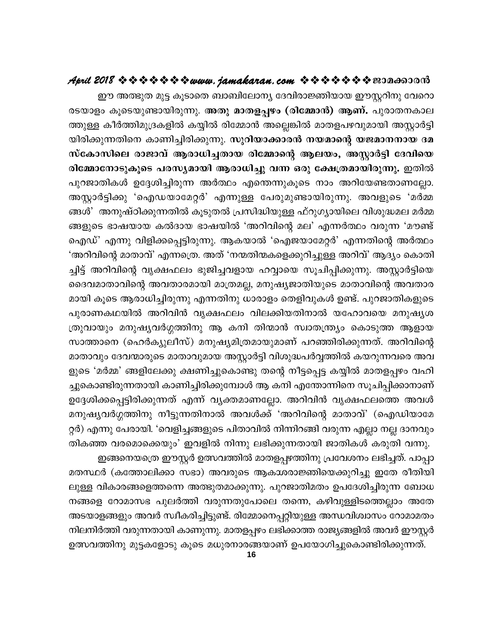ഈ അത്ഭുത മുട്ട കൂടാതെ ബാബിലോന്യ ദേവിരാജ്ഞിയായ ഈസ്റ്ററിനു വേറൊ രടയാളം കൂടെയുണ്ടായിരുന്നു. അതു മാതളപ്പഴം (രിമ്മോൻ) ആണ്. പുരാതനകാല ത്തുള്ള കീർത്തിമുദ്രകളിൽ കയ്യിൽ രിമ്മോൻ അല്ലെങ്കിൽ മാതളപഴവുമായി അസ്റ്റാർട്ടി യിരിക്കുന്നതിനെ കാണിച്ചിരിക്കുന്നു. സു**റിയാക്കാരൻ നയമാന്റെ യജമാനനായ ദമ** സ്കോസിലെ രാജാവ് ആരാധിച്ചതായ രിമ്മോന്റെ ആലയം, അസ്റ്റാർട്ടി ദേവിയെ രിമ്മോനോടുകൂടെ പരസ്യമായി ആരാധിച്ചു വന്ന ഒരു ക്ഷേത്രമായിരുന്നു. ഇതിൽ പുറജാതികൾ ഉദ്ദേശിച്ചിരുന്ന അർത്ഥം എന്തെന്നുകൂടെ നാം അറിയേണ്ടതാണല്ലോ. അസ്റ്റാർട്ടിക്കു 'ഐഡയാമേറ്റർ' എന്നുള്ള പേരുമുണ്ടായിരുന്നു. അവളുടെ 'മർമ്മ ങ്ങൾ' അനുഷ്ഠിക്കുന്നതിൽ കൂടുതൽ പ്രസിദ്ധിയുള്ള ഫ്റുഗ്യായിലെ വിശുദ്ധമല മർമ്മ ങ്ങളുടെ ഭാഷയായ കൽദായ ഭാഷയിൽ 'അറിവിന്റെ മല' എന്നർത്ഥം വരുന്ന 'മൗണ്ട് ഐഡ്' എന്നു വിളിക്കപ്പെട്ടിരുന്നു. ആകയാൽ 'ഐജയാമേറ്റർ' എന്നതിന്റെ അർത്ഥം 'അറിവിന്റെ മാതാവ്' എന്നത്രെ. അത് 'നന്മതിന്മകളെക്കുറിച്ചുള്ള അറിവ്' ആദ്യം കൊതി ച്ചിട്ട് അറിവിന്റെ വൃക്ഷഫലം ഭുജിച്ചവളായ ഹവ്വായെ സൂചിപ്പിക്കുന്നു. അസ്റ്റാർട്ടിയെ ദൈവമാതാവിന്റെ അവതാരമായി മാത്രമല്ല, മനുഷ്യജാതിയുടെ മാതാവിന്റെ അവതാര മായി കൂടെ ആരാധിച്ചിരുന്നു എന്നതിനു ധാരാളം തെളിവുകൾ ഉണ്ട്. പുറജാതികളുടെ പുരാണകഥയിൽ അറിവിൻ വൃക്ഷഫലം വിലക്കിയതിനാൽ യഹോവയെ മനുഷൃശ ത്രുവായും മനുഷ്യവർഗ്ഗത്തിനു ആ കനി തിന്മാൻ സ്വാതന്ത്ര്യം കൊടുത്ത ആളായ സാത്താനെ (ഹെർക്യുലീസ്) മനുഷ്യമിത്രമായുമാണ് പറഞ്ഞിരിക്കുന്നത്. അറിവിന്റെ മാതാവും ദേവന്മാരുടെ മാതാവുമായ അസ്റ്റാർട്ടി വിശുദ്ധപർവ്വത്തിൽ കയറുന്നവരെ അവ ളുടെ 'മർമ്മ' ങ്ങളിലേക്കു ക്ഷണിച്ചുകൊണ്ടു തന്റെ നീട്ടപ്പെട്ട കയ്യിൽ മാതളപ്പഴം വഹി ച്ചുകൊണ്ടിരുന്നതായി കാണിച്ചിരിക്കുമ്പോൾ ആ കനി എന്തോന്നിനെ സൂചിപ്പിക്കാനാണ് ഉദ്ദേശിക്കപ്പെട്ടിരിക്കുന്നത് എന്ന് വ്യക്തമാണല്ലോ. അറിവിൻ വൃക്ഷഫലത്തെ അവൾ മനുഷ്യവർഗ്ഗത്തിനു നീട്ടുന്നതിനാൽ അവൾക്ക് 'അറിവിന്റെ മാതാവ്' (ഐഡിയാമേ റ്റർ) എന്നു പേരായി. 'വെളിച്ചങ്ങളുടെ പിതാവിൽ നിന്നിറങ്ങി വരുന്ന എല്ലാ നല്ല ദാനവും തികഞ്ഞ വരമൊക്കെയും' ഇവളിൽ നിന്നു ലഭിക്കുന്നതായി ജാതികൾ കരുതി വന്നു.

. ഇങ്ങനെയത്രെ ഈസ്റ്റർ ഉത്സവത്തിൽ മാതളപ്പഴത്തിനു പ്രവേശനം ലഭിച്ചത്. പാപ്പാ മതസ്ഥർ (കത്തോലിക്കാ സഭാ) അവരുടെ ആകാശരാജ്ഞിയെക്കുറിച്ചു ഇതേ രീതിയി ലുള്ള വികാരങ്ങളെത്തന്നെ അത്ഭുതമാക്കുന്നു. പുറജാതിമതം ഉപദേശിച്ചിരുന്ന ബോധ നങ്ങളെ റോമാസഭ പുലർത്തി വരുന്നതുപോലെ തന്നെ, കഴിവുള്ളിടത്തെല്ലാം അതേ അടയാളങ്ങളും അവർ സ്വീകരിച്ചിട്ടുണ്ട്. രിമ്മോനെപ്പറ്റിയുള്ള അന്ധവിശ്വാസം റോമാമതം നിലനിർത്തി വരുന്നതായി കാണുന്നു. മാതളപ്പഴം ലഭിക്കാത്ത രാജ്യങ്ങളിൽ അവർ ഈസ്റ്റർ ഉത്സവത്തിനു മുട്ടകളോടു കൂടെ മധുരനാരങ്ങയാണ് ഉപയോഗിച്ചുകൊണ്ടിരിക്കുന്നത്.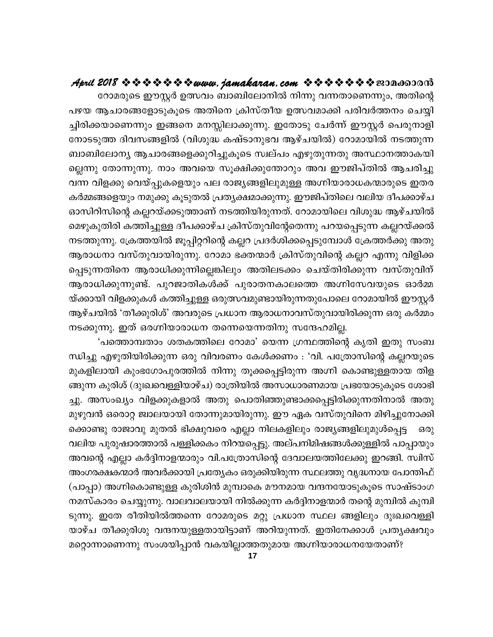റോമരുടെ ഈസ്റ്റർ ഉത്സവം ബാബിലോനിൽ നിന്നു വന്നതാണെന്നും, അതിന്റെ പഴയ ആചാരങ്ങളോടുകൂടെ അതിനെ ക്രിസ്തീയ ഉത്സവമാക്കി പരിവർത്തനം ചെയ്യി ച്ചിരിക്കയാണെന്നും ഇങ്ങനെ മനസ്സിലാക്കുന്നു. ഇതോടു ചേർന്ന് ഈസ്റ്റർ പെരുനാളി നോടടുത്ത ദിവസങ്ങളിൽ (വിശുദ്ധ കഷ്ടാനുഭവ ആഴ്ചയിൽ) റോമായിൽ നടത്തുന്ന ബാബിലോന്യ ആചാരങ്ങളെക്കുറിച്ചുകൂടെ സ്ഥല്പം എഴുതുന്നതു അസ്ഥാനത്താകയി ല്ലെന്നു തോന്നുന്നു. നാം അവയെ സൂക്ഷിക്കുന്തോറും അവ ഈജിപ്തിൽ ആചരിച്ചു വന്ന വിളക്കു വെയ്പ്പുകളെയും പല രാജ്യങ്ങളിലുമുള്ള അഗ്നിയാരാധകന്മാരുടെ ഇതര കർമ്മങ്ങളെയും നമുക്കു കൂടുതൽ പ്രത്യക്ഷമാക്കുന്നു. ഈജിപ്തിലെ വലിയ ദീപക്കാഴ്ച ഓസിറിസിന്റെ കല്ലറയ്ക്കടുത്താണ് നടത്തിയിരുന്നത്. റോമായിലെ വിശുദ്ധ ആഴ്ചയിൽ മെഴുകുതിരി കത്തിച്ചുള്ള ദീപക്കാഴ്ച ക്രിസ്തുവിന്റേതെന്നു പറയപ്പെടുന്ന കല്ലറയ്ക്കൽ നടത്തുന്നു. ക്രേത്തയിൽ ജൂപ്പിറ്ററിന്റെ കല്ലറ പ്രദർശിക്കപ്പെടുമ്പോൾ ക്രേത്തർക്കു അതു ആരാധനാ വസ്തുവായിരുന്നു. റോമാ ഭക്തന്മാർ ക്രിസ്തുവിന്റെ കല്ലറ എന്നു വിളിക്ക പ്പെടുന്നതിനെ ആരാധിക്കുന്നില്ലെങ്കിലും അതിലടക്കം ചെയ്തിരിക്കുന്ന വസ്തുവിന് ആരാധിക്കുന്നുണ്ട്. പുറജാതികൾക്ക് പുരാതനകാലത്തെ അഗ്നിസേവയുടെ ഓർമ്മ യ്ക്കായി വിളക്കുകൾ കത്തിച്ചുള്ള ഒരുത്സവമുണ്ടായിരുന്നതുപോലെ റോമായിൽ ഈസ്റ്റർ ആഴ്ചയിൽ 'തീക്കുരിശ്' അവരുടെ പ്രധാന ആരാധനാവസ്തുവായിരിക്കുന്ന ഒരു കർമ്മം നടക്കുന്നു. ഇത് ഒരഗ്നിയാരാധന തന്നെയെന്നതിനു സന്ദേഹമില്ല.

'പത്തൊമ്പതാം ശതകത്തിലെ റോമാ' യെന്ന ഗ്രന്ഥത്തിന്റെ കൃതി ഇതു സംബ ന്ധിച്ചു എഴുതിയിരിക്കുന്ന ഒരു വിവരണം കേൾക്കണം : 'വി. പത്രോസിന്റെ കല്ലറയുടെ മുകളിലായി കുംഭഗോപുരത്തിൽ നിന്നു തൂക്കപ്പെട്ടിരുന്ന അഗ്നി കൊണ്ടുള്ളതായ തിള ങ്ങുന്ന കുരിശ് (ദുഃഖവെള്ളിയാഴ്ച) രാത്രിയിൽ അസാധാരണമായ പ്രഭയോടുകൂടെ ശോഭി ച്ചു. അസംഖ്യം വിളക്കുകളാൽ അതു പൊതിഞ്ഞുണ്ടാക്കപ്പെട്ടിരിക്കുന്നതിനാൽ അതു മുഴുവൻ ഒരൊറ്റ ജ്വാലയായി തോന്നുമായിരുന്നു. ഈ ഏക വസ്തുവിനെ മിഴിച്ചുനോക്കി ക്കൊണ്ടു രാജാവു മുതൽ ഭിക്ഷുവരെ എല്ലാ നിലകളിലും രാജ്യങ്ങളിലുമുൾപ്പെട്ട ഒരു വലിയ പുരുഷാരത്താൽ പള്ളിക്കകം നിറയപ്പെട്ടു. അല്പനിമിഷങ്ങൾക്കുള്ളിൽ പാപ്പായും അവന്റെ എല്ലാ കർദ്ദിനാളന്മാരും വി.പത്രോസിന്റെ ദേവാലയത്തിലേക്കു ഇറങ്ങി. സ്വിസ് അംഗരക്ഷകന്മാർ അവർക്കായി പ്രത്യേകം ഒരുക്കിയിരുന്ന സ്ഥലത്തു വൃദ്ധനായ പോന്തിഫ് (പാപ്പാ) അഗ്നികൊണ്ടുള്ള കുരിശിൻ മുമ്പാകെ മൗനമായ വന്ദനയോടുകൂടെ സാഷ്ടാംഗ നമസ്കാരം ചെയ്യുന്നു. വാലവാലയായി നിൽക്കുന്ന കർദ്ദിനാളന്മാർ തന്റെ മുമ്പിൽ കുമ്പി ടുന്നു. ഇതേ രീതിയിൽത്തന്നെ റോമരുടെ മറ്റു പ്രധാന സ്ഥല ങ്ങളിലും ദുഃഖവെള്ളി യാഴ്ച തീക്കുരിശു വന്ദനയുള്ളതായിട്ടാണ് അറിയുന്നത്. ഇതിനേക്കാൾ പ്രതൃക്ഷവും മറ്റൊന്നാണെന്നു സംശയിപ്പാൻ വകയില്ലാത്തതുമായ അഗ്നിയാരാധനയേതാണ്?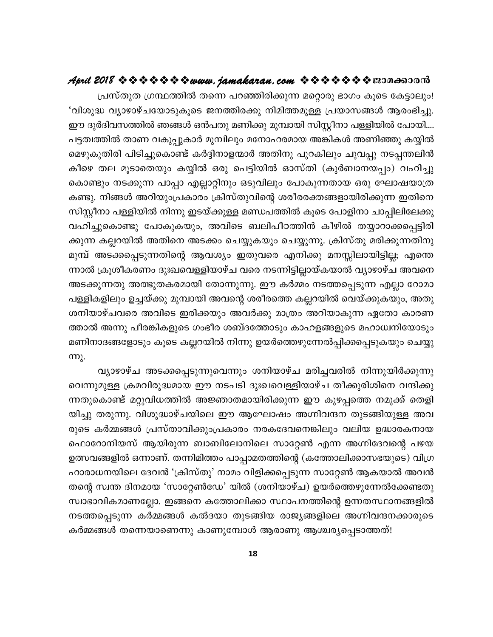പ്രസ്തുത ഗ്രന്ഥത്തിൽ തന്നെ പറഞ്ഞിരിക്കുന്ന മറ്റൊരു ഭാഗം കൂടെ കേട്ടാലും! 'വിശുദ്ധ വ്യാഴാഴ്ചയോടുകൂടെ ജനത്തിരക്കു നിമിത്തമുള്ള പ്രയാസങ്ങൾ ആരംഭിച്ചു. ഈ ദുർദിവസത്തിൽ ഞങ്ങൾ ഒൻപതു മണിക്കു മുമ്പായി സിസ്റ്റീനാ പള്ളിയിൽ പോയി.... പട്ടത്വത്തിൽ താണ വകുപ്പുകാർ മുമ്പിലും മനോഹരമായ അങ്കികൾ അണിഞ്ഞു കയ്യിൽ മെഴുകുതിരി പിടിച്ചുകൊണ്ട് കർദ്ദിനാളന്മാർ അതിനു പുറകിലും ചുവപ്പു നടപ്പന്തലിൻ കീഴെ തല മൂടാതെയും കയ്യിൽ ഒരു പെട്ടിയിൽ ഓസ്തി (കുർബാനയപ്പം) വഹിച്ചു കൊണ്ടും നടക്കുന്ന പാപ്പാ എല്ലാറ്റിനും ഒടുവിലും പോകുന്നതായ ഒരു ഘോഷയാത്ര കണ്ടു. നിങ്ങൾ അറിയുംപ്രകാരം ക്രിസ്തുവിന്റെ ശരീരരക്തങ്ങളായിരിക്കുന്ന ഇതിനെ ്സിസ്റ്റീനാ പള്ളിയിൽ നിന്നു ഇടയ്ക്കുള്ള മണ്ഡപത്തിൽ കൂടെ പോളിനാ ചാപ്പിലിലേക്കു വഹിച്ചുകൊണ്ടു പോകുകയും, അവിടെ ബലിപീഠത്തിൻ കീഴിൽ തയ്യാറാക്കപ്പെട്ടിരി ക്കുന്ന കല്ലറയിൽ അതിനെ അടക്കം ചെയ്യുകയും ചെയ്യുന്നു. ക്രിസ്തു മരിക്കുന്നതിനു മുമ്പ് അടക്കപ്പെടുന്നതിന്റെ ആവശ്യം ഇതുവരെ എനിക്കു മനസ്സിലായിട്ടില്ല; എന്തെ ന്നാൽ ക്രൂശീകരണം ദുഃഖവെള്ളിയാഴ്ച വരെ നടന്നിട്ടില്ലായ്കയാൽ വ്യാഴാഴ്ച അവനെ അടക്കുന്നതു അത്ഭുതകരമായി തോന്നുന്നു. ഈ കർമ്മം നടത്തപ്പെടുന്ന എല്ലാ റോമാ പള്ളികളിലും ഉച്ചയ്ക്കു മുമ്പായി അവന്റെ ശരീരത്തെ കല്ലറയിൽ വെയ്ക്കുകയും, അതു ശനിയാഴ്ചവരെ അവിടെ ഇരിക്കയും അവർക്കു മാത്രം അറിയാകുന്ന ഏതോ കാരണ ത്താൽ അന്നു പീരങ്കികളുടെ ഗംഭീര ശബ്ദത്തോടും കാഹളങ്ങളുടെ മഹാധ്വനിയോടും മണിനാദങ്ങളോടും കൂടെ കല്ലറയിൽ നിന്നു ഉയർത്തെഴുന്നേൽപ്പിക്കപ്പെടുകയും ചെയ്യു  $m<sub>k</sub>$ .

വ്യാഴാഴ്ച അടക്കപ്പെടുന്നുവെന്നും ശനിയാഴ്ച മരിച്ചവരിൽ നിന്നുയിർക്കുന്നു വെന്നുമുള്ള ക്രമവിരുദ്ധമായ ഈ നടപടി ദുഃഖവെള്ളിയാഴ്ച തീക്കുരിശിനെ വന്ദിക്കു ന്നതുകൊണ്ട് മറ്റുവിധത്തിൽ അജ്ഞാതമായിരിക്കുന്ന ഈ കുഴപ്പത്തെ നമുക്ക് തെളി യിച്ചു തരുന്നു. വിശുദ്ധാഴ്ചയിലെ ഈ ആഘോഷം അഗ്നിവന്ദന തുടങ്ങിയുള്ള അവ രുടെ കർമ്മങ്ങൾ പ്രസ്താവിക്കുംപ്രകാരം നരകദേവനെങ്കിലും വലിയ ഉദ്ധാരകനായ ഫൊറോനിയസ് ആയിരുന്ന ബാബിലോനിലെ സാറ്റേൺ എന്ന അഗ്നിദേവന്റെ പഴയ ഉത്സവങ്ങളിൽ ഒന്നാണ്. തന്നിമിത്തം പാപ്പാമതത്തിന്റെ (കത്തോലിക്കാസഭയുടെ) വിഗ്ര ഹാരാധനയിലെ ദേവൻ 'ക്രിസ്തു' നാമം വിളിക്കപ്പെടുന്ന സാറ്റേൺ ആകയാൽ അവൻ തന്റെ സ്വന്ത ദിനമായ 'സാറ്റേൺഡേ' യിൽ (ശനിയാഴ്ച) ഉയർത്തെഴുന്നേൽക്കേണ്ടതു സ്വാഭാവികമാണല്ലോ. ഇങ്ങനെ കത്തോലിക്കാ സ്ഥാപനത്തിന്റെ ഉന്നതസ്ഥാനങ്ങളിൽ നടത്തപ്പെടുന്ന കർമ്മങ്ങൾ കൽദയാ തുടങ്ങിയ രാജ്യങ്ങളിലെ അഗ്നിവന്ദനക്കാരുടെ കർമ്മങ്ങൾ തന്നെയാണെന്നു കാണുമ്പോൾ ആരാണു ആശ്ചര്യപ്പെടാത്തത്!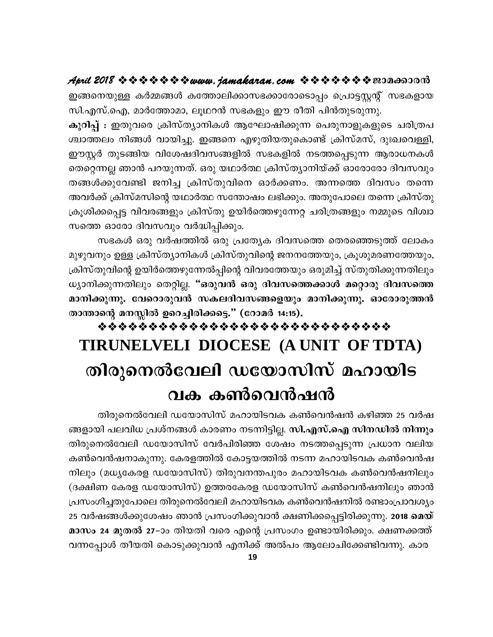ഇങ്ങനെയുള്ള കർമ്മങ്ങൾ കത്തോലിക്കാസഭക്കാരോടൊപ്പം പ്രൊട്ടസ്റ്റന്റ് സഭകളായ സി.എസ്.ഐ, മാർത്തോമാ, ലൂഥറൻ സഭകളും ഈ രീതി പിൻതുടരുന്നു.

കുറിപ്പ് : ഇതുവരെ ക്രിസ്ത്യാനികൾ ആഘോഷിക്കുന്ന പെരുനാളുകളുടെ ചരിത്രപ ശ്ചാത്തലം നിങ്ങൾ വായിച്ചു. ഇങ്ങനെ എഴുതിയതുകൊണ്ട് ക്രിസ്മസ്, ദുഃഖവെള്ളി, ഈസ്റ്റർ തുടങ്ങിയ വിശേഷദിവസങ്ങളിൽ സഭകളിൽ നടത്തപ്പെടുന്ന ആരാധനകൾ തെറ്റെന്നല്ല ഞാൻ പറയുന്നത്. ഒരു യഥാർത്ഥ ക്രിസ്ത്യാനിയ്ക്ക് ഓരോരോ ദിവസവും തങ്ങൾക്കുവേണ്ടി ജനിച്ച ക്രിസ്തുവിനെ ഓർക്കണം. അന്നത്തെ ദിവസം തന്നെ അവർക്ക് ക്രിസ്മസിന്റെ യഥാർത്ഥ സന്തോഷം ലഭിക്കും. അതുപോലെ തന്നെ ക്രിസ്തു ക്രൂശിക്കപ്പെട്ട വിവരങ്ങളും ക്രിസ്തു ഉയിർത്തെഴുന്നേറ്റ ചരിത്രങ്ങളും നമ്മുടെ വിശ്വാ സത്തെ ഓരോ ദിവസവും വർദ്ധിപ്പിക്കും.

സഭകൾ ഒരു വർഷത്തിൽ ഒരു പ്രത്യേക ദിവസത്തെ തെരഞ്ഞെടുത്ത് ലോകം മുഴുവനും ഉള്ള ക്രിസ്ത്യാനികൾ ക്രിസ്തുവിന്റെ ജനനത്തേയും, ക്രൂശുമരണത്തേയും, ക്രിസ്തുവിന്റെ ഉയിർത്തെഴുന്നേൽപ്പിന്റെ വിവരത്തേയും ഒരുമിച്ച് സ്തുതിക്കുന്നതിലും ധ്യാനിക്കുന്നതിലും തെറ്റില്ല. "ഒരുവൻ ഒരു ദിവസത്തെക്കാൾ മറ്റൊരു ദിവസത്തെ മാനിക്കുന്നു. വേറൊരുവൻ സകലദിവസങ്ങളെയും മാനിക്കുന്നു. ഓരോരുത്തൻ താന്താന്റെ മനസ്സിൽ ഉറെച്ചിരിക്കട്ടെ." (റോമർ 14:15).

# \*\*\*\*\*\*\*\*\*\*\*\*\*\*\*\*\*\*\*\*\*\*\*\*\*\*\*\*\*\* TIRUNELVELI DIOCESE (A UNIT OF TDTA) തിരുനെൽവേലി ഡയോസിസ് മഹായിട വക കൺവെൻഷൻ

തിരുനെൽവേലി ഡയോസിസ് മഹായിടവക കൺവെൻഷൻ കഴിഞ്ഞ 25 വർഷ ങ്ങളായി പലവിധ പ്രശ്നങ്ങൾ കാരണം നടന്നിട്ടില്ല. സി.എസ്.ഐ സിനഡിൽ നിന്നും തിരുനെൽവേലി ഡയോസിസ് വേർപിരിഞ്ഞ ശേഷം നടത്തപ്പെടുന്ന പ്രധാന വലിയ കൺവെൻഷനാകുന്നു. കേരളത്തിൽ കോട്ടയത്തിൽ നടന്ന മഹായിടവക കൺവെൻഷ നിലും (മധൃകേരള ഡയോസിസ്) തിരുവനന്തപുരം മഹായിടവക കൺവെൻഷനിലും (ദക്ഷിണ കേരള ഡയോസിസ്) ഉത്തരകേരള ഡയോസിസ് കൺവെൻഷനിലും ഞാൻ പ്രസംഗിച്ചതുപോലെ തിരുനെൽവേലി മഹായിടവക കൺവെൻഷനിൽ രണ്ടാംപ്രാവശ്യം 25 വർഷങ്ങൾക്കുശേഷം ഞാൻ പ്രസംഗിക്കുവാൻ ക്ഷണിക്കപ്പെട്ടിരിക്കുന്നു. **2018 മെയ്** മാസം 24 മുതൽ 27–ാം തിയതി വരെ എന്റെ പ്രസംഗം ഉണ്ടായിരിക്കും. ക്ഷണക്കത്ത് വന്നപ്പോൾ തീയതി കൊടുക്കുവാൻ എനിക്ക് അൽപം ആലോചിക്കേണ്ടിവന്നു. കാര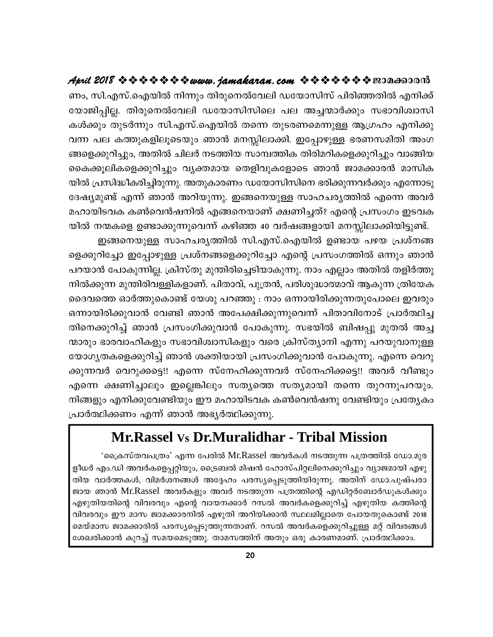ണം, സി.എസ്.ഐയിൽ നിന്നും തിരുനെൽവേലി ഡയോസിസ് പിരിഞ്ഞതിൽ എനിക്ക് യോജിപ്പില്ല. തിരുനെൽവേലി ഡയോസിസിലെ പല അച്ചന്മാർക്കും സഭാവിശ്വാസി കൾക്കും തുടർന്നും സി.എസ്.ഐയിൽ തന്നെ തുടരണമെന്നുള്ള ആഗ്രഹം എനിക്കു വന്ന പല കത്തുകളിലൂടെയും ഞാൻ മനസ്സിലാക്കി. ഇപ്പോഴുള്ള ഭരണസമിതി അംഗ ങ്ങളെക്കുറിച്ചും, അതിൽ ചിലർ നടത്തിയ സാമ്പത്തിക തിരിമറികളെക്കുറിച്ചും വാങ്ങിയ കൈക്കൂലികളെക്കുറിച്ചും വ്യക്തമായ തെളിവുകളോടെ ഞാൻ ജാമക്കാരൻ മാസിക യിൽ പ്രസിദ്ധീകരിച്ചിരുന്നു. അതുകാരണം ഡയോസിസിനെ ഭരിക്കുന്നവർക്കും എന്നോടു ദേഷ്യമുണ്ട് എന്ന് ഞാൻ അറിയുന്നു. ഇങ്ങനെയുള്ള സാഹചര്യത്തിൽ എന്നെ അവർ മഹായിടവക കൺവെൻഷനിൽ എങ്ങനെയാണ് ക്ഷണിച്ചത്? എന്റെ പ്രസംഗം ഇടവക യിൽ നന്മകളെ ഉണ്ടാക്കുന്നുവെന്ന് കഴിഞ്ഞ 40 വർഷങ്ങളായി മനസ്സിലാക്കിയിട്ടുണ്ട്.

ഇങ്ങനെയുള്ള സാഹചര്യത്തിൽ സി.എസ്.ഐയിൽ ഉണ്ടായ പഴയ പ്രശ്നങ്ങ ളെക്കുറിച്ചോ ഇപ്പോഴുള്ള പ്രശ്നങ്ങളെക്കുറിച്ചോ എന്റെ പ്രസംഗത്തിൽ ഒന്നും ഞാൻ പറയാൻ പോകുന്നില്ല. ക്രിസ്തു മുന്തിരിച്ചെടിയാകുന്നു. നാം എല്ലാം അതിൽ തളിർത്തു നിൽക്കുന്ന മുന്തിരിവള്ളികളാണ്. പിതാവ്, പുത്രൻ, പരിശുദ്ധാത്മാവ് ആകുന്ന ത്രിയേക ദൈവത്തെ ഓർത്തുകൊണ്ട് യേശു പറഞ്ഞു : നാം ഒന്നായിരിക്കുന്നതുപോലെ ഇവരും ഒന്നായിരിക്കുവാൻ വേണ്ടി ഞാൻ അപേക്ഷിക്കുന്നുവെന്ന് പിതാവിനോട് പ്രാർത്ഥിച്ച തിനെക്കുറിച്ച് ഞാൻ പ്രസംഗിക്കുവാൻ പോകുന്നു. സഭയിൽ ബിഷപ്പു മുതൽ അച്ച ന്മാരും ഭാരവാഹികളും സഭാവിശ്വാസികളും വരെ ക്രിസ്ത്യാനി എന്നു പറയുവാനുള്ള യോഗ്യതകളെക്കുറിച്ച് ഞാൻ ശക്തിയായി പ്രസംഗിക്കുവാൻ പോകുന്നു. എന്നെ വെറു ക്കുന്നവർ വെറുക്കട്ടെ!! എന്നെ സ്നേഹിക്കുന്നവർ സ്നേഹിക്കട്ടെ!! അവർ വീണ്ടും എന്നെ ക്ഷണിച്ചാലും ഇല്ലെങ്കിലും സത്യത്തെ സത്യമായി തന്നെ തുറന്നുപറയും. നിങ്ങളും എനിക്കുവേണ്ടിയും ഈ മഹായിടവക കൺവെൻഷനു വേണ്ടിയും പ്രത്യേകം പ്രാർത്ഥിക്കണം എന്ന് ഞാൻ അഭ്യർത്ഥിക്കുന്നു.

#### Mr.Rassel vs Dr.Muralidhar - Tribal Mission

'പ്രൈസ്തവപത്രം' എന്ന പേരിൽ Mr.Rassel അവർകൾ നടത്തുന്ന പത്രത്തിൽ ഡോ.മുര ളീധർ എം.ഡി അവർകളെപ്പറ്റിയും, ട്രൈബൽ മിഷൻ ഹോസ്പിറ്റലിനെക്കുറിച്ചും വ്യാജമായി എഴു തിയ വാർത്തകൾ, വിമർശനങ്ങൾ അദ്ദേഹം പരസ്യപ്പെടുത്തിയിരുന്നു. അതിന് ഡോ.പുഷ്പരാ ജായ ഞാൻ Mr.Rassel അവർകളും അവർ നടത്തുന്ന പത്രത്തിന്റെ എഡിറ്റർബോർഡുകൾക്കും എഴുതിയതിന്റെ വിവരവും എന്റെ വായനക്കാർ റസൽ അവർകളെക്കുറിച്ച് എഴുതിയ കത്തിന്റെ വിവരവും ഈ മാസ ജാമക്കാരനിൽ എഴുതി അറിയിക്കാൻ സ്ഥലമില്ലാതെ പോയതുകൊണ്ട് 2018 മെയ്മാസ ജാമക്കാരിൽ പരസ്യപ്പെടുത്തുന്നതാണ്. റസൽ അവർകളെക്കുറിച്ചുള്ള മറ്റ് വിവരങ്ങൾ ശേഖരിക്കാൻ കുറച്ച് സമയമെടുത്തു. താമസത്തിന് അതും ഒരു കാരണമാണ്. പ്രാർത്ഥിക്കാം.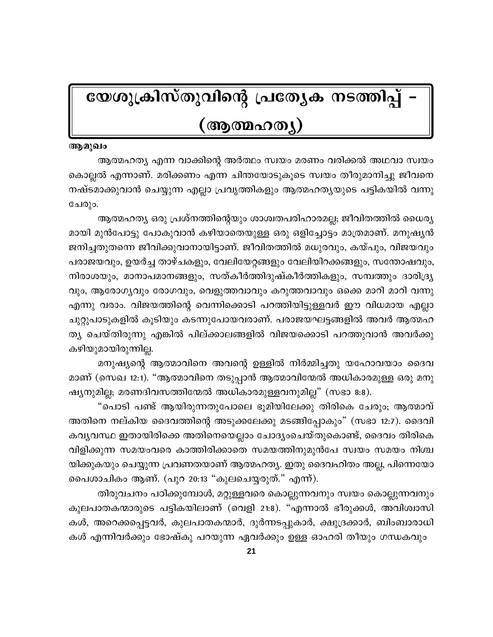# യേശുക്രിസ്തുവിന്റെ പ്രത്യേക നടത്തിപ്പ്

#### (ആത്മഹത്യ)

#### ആമുഖം

ആത്മഹത്യ എന്ന വാക്കിന്റെ അർത്ഥം സ്വയം മരണം വരിക്കൽ അഥവാ സ്വയം കൊല്ലൽ എന്നാണ്. മരിക്കണം എന്ന ചിന്തയോടുകൂടെ സ്വയം തീരുമാനിച്ചു ജീവനെ നഷ്ടമാക്കുവാൻ ചെയ്യുന്ന എല്ലാ പ്രവൃത്തികളും ആത്മഹത്യയുടെ പട്ടികയിൽ വന്നു ചേരും.

ആത്മഹത്യ ഒരു പ്രശ്നത്തിന്റെയും ശാശ്വതപരിഹാരമല്ല; ജീവിതത്തിൽ ധൈര്യ മായി മുൻപോട്ടു പോകുവാൻ കഴിയാതെയുള്ള ഒരു ഒളിച്ചോട്ടം മാത്രമാണ്. മനുഷ്യൻ ജനിച്ചതുതന്നെ ജീവിക്കുവാനായിട്ടാണ്. ജീവിതത്തിൽ മധുരവും, കയ്പും, വിജയവും പരാജയവും, ഉയർച്ച താഴ്ചകളും, വേലിയേറ്റങ്ങളും വേലിയിറക്കങ്ങളും, സന്തോഷവും, നിരാശയും, മാനാപമാനങ്ങളും, സത്കീർത്തിദുഷ്കീർത്തികളും, സമ്പത്തും ദാരിദ്ര്യ വും, ആരോഗ്യവും രോഗവും, വെളുത്തവാവും കറുത്തവാവും ഒക്കെ മാറി മാറി വന്നു എന്നു വരാം. വിജയത്തിന്റെ വെന്നിക്കൊടി പറത്തിയിട്ടുള്ളവർ ഈ വിധമായ എല്ലാ ചുറ്റുപാടുകളിൽ കൂടിയും കടന്നുപോയവരാണ്. പരാജയഘട്ടങ്ങളിൽ അവർ ആത്മഹ ത്യ ചെയ്തിരുന്നു എങ്കിൽ പില്ക്കാലങ്ങളിൽ വിജയക്കൊടി പറത്തുവാൻ അവർക്കു കഴിയുമായിരുന്നില്ല.

മനുഷ്യന്റെ ആത്മാവിനെ അവന്റെ ഉള്ളിൽ നിർമ്മിച്ചതു യഹോവയാം ദൈവ മാണ് (സെഖ 12:1). "ആത്മാവിനെ തടുപ്പാൻ ആത്മാവിന്മേൽ അധികാരമുള്ള ഒരു മനു ഷ്യനുമില്ല; മരണദിവസത്തിന്മേൽ അധികാരമുള്ളവനുമില്ല" (സഭാ 8:8).

"പൊടി പണ്ട് ആയിരുന്നതുപോലെ ഭൂമിയിലേക്കു തിരികെ ചേരും; ആത്മാവ് അതിനെ നല്കിയ ദൈവത്തിന്റെ അടുക്കലേക്കു മടങ്ങിപ്പോകും" (സഭാ 12:7). ദൈവി കവ്യവസ്ഥ ഇതായിരിക്കെ അതിനെയെല്ലാം ചോദ്യംചെയ്തുകൊണ്ട്, ദൈവം തിരികെ വിളിക്കുന്ന സമയംവരെ കാത്തിരിക്കാതെ സമയത്തിനുമുൻപേ സ്വയം സമയം നിശ്ച യിക്കുകയും ചെയ്യുന്ന പ്രവണതയാണ് ആത്മഹത്യ. ഇതു ദൈവഹിതം അല്ല, പിന്നെയോ പൈശാചികം ആണ്. (പുറ 20:13 "കുലചെയ്യരുത്." എന്ന്).

തിരുവചനം പഠിക്കുമ്പോൾ, മറ്റുള്ളവരെ കൊല്ലുന്നവനും സ്വയം കൊല്ലുന്നവനും കുലപാതകന്മാരുടെ പട്ടികയിലാണ് (വെളി 21:8). "എന്നാൽ ഭീരുക്കൾ, അവിശ്വാസി കൾ, അറെക്കപ്പെട്ടവർ, കുലപാതകന്മാർ, ദുർന്നടപ്പുകാർ, ക്ഷുദ്രക്കാർ, ബിംബാരാധി കൾ എന്നിവർക്കും ഭോഷ്കു പറയുന്ന ഏവർക്കും ഉള്ള ഓഹരി തീയും ഗന്ധകവും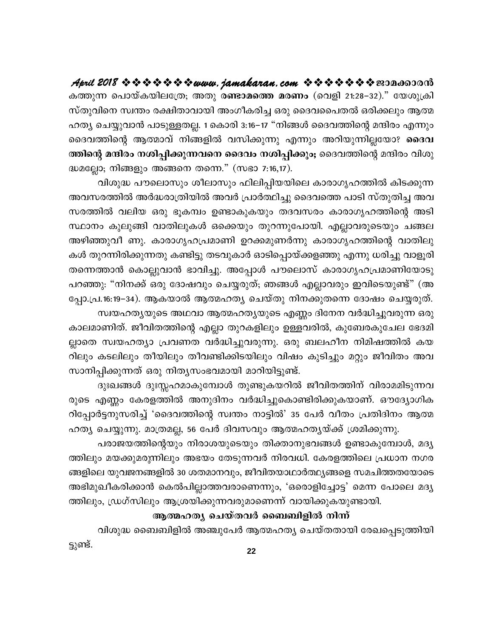കത്തുന്ന പൊയ്കയിലത്രേ; അതു ര**ണ്ടാമത്തെ മരണം** (വെളി 21:28–32)." യേശുക്രി സ്തുവിനെ സ്വന്തം രക്ഷിതാവായി അംഗീകരിച്ച ഒരു ദൈവപൈതൽ ഒരിക്കലും ആത്മ ഹത്യ ചെയ്യുവാൻ പാടുള്ളതല്ല. 1 കൊരി 3:16–17 "നിങ്ങൾ ദൈവത്തിന്റെ മന്ദിരം എന്നും ദൈവത്തിന്റെ ആത്മാവ് നിങ്ങളിൽ വസിക്കുന്നു എന്നും അറിയുന്നില്ലയോ? ദൈവ ത്തിന്റെ മന്ദിരം നശിപ്പിക്കുന്നവനെ ദൈവം നശിപ്പിക്കും; ദൈവത്തിന്റെ മന്ദിരം വിശു ദ്ധമല്ലോ; നിങ്ങളും അങ്ങനെ തന്നെ." (സഭാ 7:16,17).

വിശുദ്ധ പൗലൊസും ശീലാസും ഫിലിപ്പിയയിലെ കാരാഗൃഹത്തിൽ കിടക്കുന്ന അവസരത്തിൽ അർദ്ധരാത്രിയിൽ അവർ പ്രാർത്ഥിച്ചു ദൈവത്തെ പാടി സ്തുതിച്ച അവ സരത്തിൽ വലിയ ഒരു ഭൂകമ്പം ഉണ്ടാകുകയും തദവസരം കാരാഗൃഹത്തിന്റെ അടി സ്ഥാനം കുലുങ്ങി വാതിലുകൾ ഒക്കെയും തുറന്നുപോയി. എല്ലാവരുടെയും ചങ്ങല അഴിഞ്ഞുവീ ണു. കാരാഗൃഹപ്രമാണി ഉറക്കമുണർന്നു കാരാഗൃഹത്തിന്റെ വാതിലു കൾ തുറന്നിരിക്കുന്നതു കണ്ടിട്ടു തടവുകാർ ഓടിപ്പൊയ്ക്കളഞ്ഞു എന്നു ധരിച്ചു വാളൂരി തന്നെത്താൻ കൊല്ലുവാൻ ഭാവിച്ചു. അപ്പോൾ പൗലൊസ് കാരാഗൃഹപ്രമാണിയോടു പറഞ്ഞു: "നിനക്ക് ഒരു ദോഷവും ചെയ്യരുത്; ഞങ്ങൾ എല്ലാവരും ഇവിടെയുണ്ട്" (അ പ്പോ.പ്ര.16:19−34). ആകയാൽ ആത്മഹത്യ ചെയ്തു നിനക്കുതന്നെ ദോഷം ചെയ്യരുത്.

സ്വയഹത്യയുടെ അഥവാ ആത്മഹത്യയുടെ എണ്ണം ദിനേന വർദ്ധിച്ചുവരുന്ന ഒരു കാലമാണിത്. ജീവിതത്തിന്റെ എല്ലാ തുറകളിലും ഉള്ളവരിൽ, കുബേരകുചേല ഭേദമി ല്ലാതെ സ്വയഹത്യാ പ്രവണത വർദ്ധിച്ചുവരുന്നു. ഒരു ബലഹീന നിമിഷത്തിൽ കയ റിലും കടലിലും തീയിലും തീവണ്ടിക്കിടയിലും വിഷം കുടിച്ചും മറ്റും ജീവിതം അവ സാനിപ്പിക്കുന്നത് ഒരു നിതൃസംഭവമായി മാറിയിട്ടുണ്ട്.

ദുഃഖങ്ങൾ ദുഃസ്സഹമാകുമ്പോൾ തുണ്ടുകയറിൽ ജീവിതത്തിന് വിരാമമിടുന്നവ രുടെ എണ്ണം കേരളത്തിൽ അനുദിനം വർദ്ധിച്ചുകൊണ്ടിരിക്കുകയാണ്. ഔദ്യോഗിക റിപ്പോർട്ടനുസരിച്ച് 'ദൈവത്തിന്റെ സ്വന്തം നാട്ടിൽ' 35 പേർ വീതം പ്രതിദിനം ആത്മ ഹത്യ ചെയ്യുന്നു. മാത്രമല്ല, 56 പേർ ദിവസവും ആത്മഹത്യയ്ക്ക് ശ്രമിക്കുന്നു.

പരാജയത്തിന്റെയും നിരാശയുടെയും തിക്താനുഭവങ്ങൾ ഉണ്ടാകുമ്പോൾ, മദ്യ ത്തിലും മയക്കുമരുന്നിലും അഭയം തേടുന്നവർ നിരവധി. കേരളത്തിലെ പ്രധാന നഗര ങ്ങളിലെ യുവജനങ്ങളിൽ 30 ശതമാനവും, ജീവിതയാഥാർത്ഥ്യങ്ങളെ സമചിത്തതയോടെ അഭിമുഖീകരിക്കാൻ കെൽപില്ലാത്തവരാണെന്നും, 'ഒരൊളിച്ചോട്ട' മെന്ന പോലെ മദ്യ ത്തിലും, ഡ്രഗ്സിലും ആശ്രയിക്കുന്നവരുമാണെന്ന് വായിക്കുകയുണ്ടായി.

#### ആത്മഹത്യ ചെയ്തവർ ബൈബിളിൽ നിന്ന്

വിശുദ്ധ ബൈബിളിൽ അഞ്ചുപേർ ആത്മഹത്യ ചെയ്തതായി രേഖപ്പെടുത്തിയി ട്ടുണ്ട്.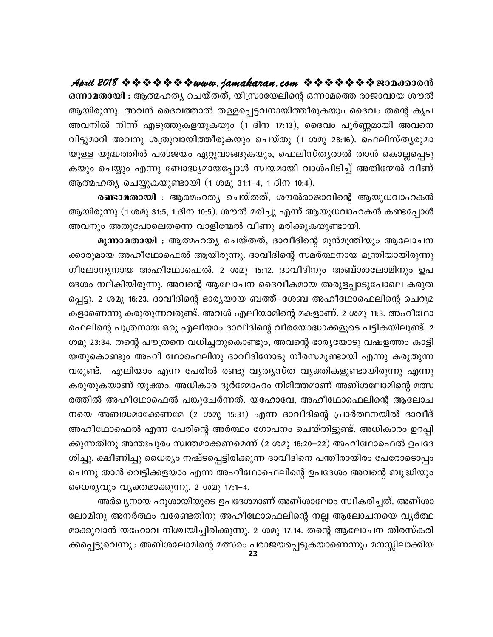ഒന്നാമതായി : ആത്മഹത്യ ചെയ്തത്, യിസ്രായേലിന്റെ ഒന്നാമത്തെ രാജാവായ ശൗൽ ആയിരുന്നു. അവൻ ദൈവത്താൽ തള്ളപ്പെട്ടവനായിത്തീരുകയും ദൈവം തന്റെ കൃപ അവനിൽ നിന്ന് എടുത്തുകളയുകയും (1 ദിന 17:13), ദൈവം പൂർണ്ണമായി അവനെ വിട്ടുമാറി അവനു ശത്രുവായിത്തീരുകയും ചെയ്തു (1 ശമു 28:16). ഫെലിസ്തൃരുമാ യുള്ള യുദ്ധത്തിൽ പരാജയം ഏറ്റുവാങ്ങുകയും, ഫെലിസ്ത്യരാൽ താൻ കൊല്ലപ്പെടു കയും ചെയ്യും എന്നു ബോദ്ധ്യമായപ്പോൾ സ്വയമായി വാൾപിടിച്ച് അതിന്മേൽ വീണ് ആത്മഹത്യ ചെയ്യുകയുണ്ടായി (1 ശമു 31:1–4, 1 ദിന 10:4).

രണ്ടാമതായി : ആത്മഹത്യ ചെയ്തത്, ശൗൽരാജാവിന്റെ ആയുധവാഹകൻ ആയിരുന്നു (1 ശമു 31:5, 1 ദിന 10:5). ശൗൽ മരിച്ചു എന്ന് ആയുധവാഹകൻ കണ്ടപ്പോൾ അവനും അതുപോലെതന്നെ വാളിന്മേൽ വീണു മരിക്കുകയുണ്ടായി.

മൂന്നാമതായി : ആത്മഹത്യ ചെയ്തത്, ദാവീദിന്റെ മുൻമന്ത്രിയും ആലോചന ക്കാരുമായ അഹീഥോഫെൽ ആയിരുന്നു. ദാവീദിന്റെ സമർത്ഥനായ മന്ത്രിയായിരുന്നു ഗീലോന്യനായ അഹീഥോഫെൽ. 2 ശമു 15:12. ദാവീദിനും അബ്ശാലോമിനും ഉപ ദേശം നല്കിയിരുന്നു. അവന്റെ ആലോചന ദൈവീകമായ അരുളപ്പാടുപോലെ കരുത പ്പെട്ടു. 2 ശമു 16:23. ദാവീദിന്റെ ഭാര്യയായ ബത്ത്–ശേബ അഹീഥോഫെലിന്റെ ചെറുമ കളാണെന്നു കരുതുന്നവരുണ്ട്. അവൾ എലീയാമിന്റെ മകളാണ്. 2 ശമു 11:3. അഹീഥോ ഫെലിന്റെ പുത്രനായ ഒരു എലീയാം ദാവീദിന്റെ വീരയോദ്ധാക്കളുടെ പട്ടികയിലുണ്ട്. 2 ശമു 23:34. തന്റെ പൗത്രനെ വധിച്ചതുകൊണ്ടും, അവന്റെ ഭാര്യയോടു വഷളത്തം കാട്ടി യതുകൊണ്ടും അഹീ ഥോഫെലിനു ദാവീദിനോടു നീരസമുണ്ടായി എന്നു കരുതുന്ന വരുണ്ട്. എലിയാം എന്ന പേരിൽ രണ്ടു വൃത്യസ്ത വൃക്തികളുണ്ടായിരുന്നു എന്നു കരുതുകയാണ് യുക്തം. അധികാര ദുർമ്മോഹം നിമിത്തമാണ് അബ്ശലോമിന്റെ മത്സ രത്തിൽ അഹീഥോഫെൽ പങ്കുചേർന്നത്. യഹോവേ, അഹീഥോഫെലിന്റെ ആലോച നയെ അബദ്ധമാക്കേണമേ (2 ശമു 15:31) എന്ന ദാവീദിന്റെ പ്രാർത്ഥനയിൽ ദാവീദ് അഹീഥോഫെൽ എന്ന പേരിന്റെ അർത്ഥം ഗോപനം ചെയ്തിട്ടുണ്ട്. അധികാരം ഉറപ്പി ക്കുന്നതിനു അന്തഃപുരം സ്വന്തമാക്കണമെന്ന് (2 ശമു 16:20–22) അഹീഥോഫെൽ ഉപദേ ശിച്ചു. ക്ഷീണിച്ചു ധൈര്യം നഷ്ടപ്പെട്ടിരിക്കുന്ന ദാവീദിനെ പന്തീരായിരം പേരോടൊപ്പം ചെന്നു താൻ വെട്ടിക്കളയാം എന്ന അഹീഥോഫെലിന്റെ ഉപദേശം അവന്റെ ബുദ്ധിയും ധൈര്യവും വൃക്തമാക്കുന്നു. 2 ശമു 17:1-4.

അർഖ്യനായ ഹൂശായിയുടെ ഉപദേശമാണ് അബ്ശാലോം സ്വീകരിച്ചത്. അബ്ശാ ലോമിനു അനർത്ഥം വരേണ്ടതിനു അഹീഥോഫെലിന്റെ നല്ല ആലോചനയെ വ്യർത്ഥ മാക്കുവാൻ യഹോവ നിശ്ചയിച്ചിരിക്കുന്നു. 2 ശമു 17:14. തന്റെ ആലോചന തിരസ്കരി ക്കപ്പെട്ടുവെന്നും അബ്ശലോമിന്റെ മത്സരം പരാജയപ്പെടുകയാണെന്നും മനസ്സിലാക്കിയ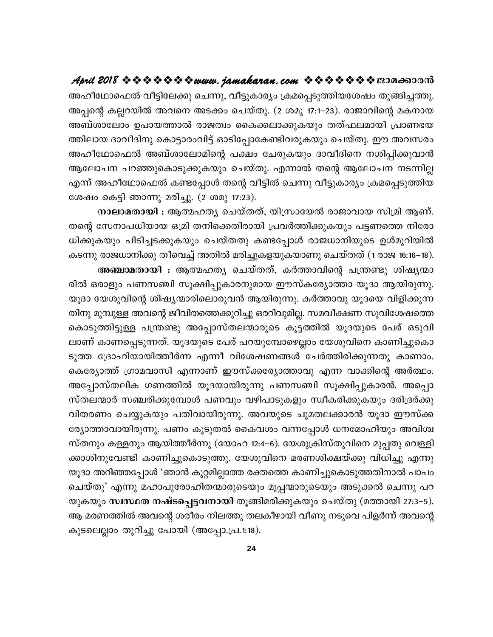അഹീഥോഫെൽ വീട്ടിലേക്കു ചെന്നു, വീട്ടുകാര്യം ക്രമപ്പെടുത്തിയശേഷം തൂങ്ങിച്ചത്തു. അപ്പന്റെ കല്ലറയിൽ അവനെ അടക്കം ചെയ്തു. (2 ശമു 17:1–23). രാജാവിന്റെ മകനായ അബ്ശാലോം ഉപായത്താൽ രാജത്വം കൈക്കലാക്കുകയും തത്ഫലമായി പ്രാണഭയ ത്തിലായ ദാവീദിനു കൊട്ടാരംവിട്ട് ഓടിപ്പോകേണ്ടിവരുകയും ചെയ്തു. ഈ അവസരം അഹീഥോഫെൽ അബ്ശാലോമിന്റെ പക്ഷം ചേരുകയും ദാവീദിനെ നശിപ്പിക്കുവാൻ ആലോചന പറഞ്ഞുകൊടുക്കുകയും ചെയ്തു. എന്നാൽ തന്റെ ആലോചന നടന്നില്ല എന്ന് അഹീഥോഫെൽ കണ്ടപ്പോൾ തന്റെ വീട്ടിൽ ചെന്നു വീട്ടുകാര്യം ക്രമപ്പെടുത്തിയ ശേഷം കെട്ടി ഞാന്നു മരിച്ചു. (2 ശമു 17:23).

നാലാമതായി : ആത്മഹത്യ ചെയ്തത്, യിസ്രായേൽ രാജാവായ സിമ്രി ആണ്. തന്റെ സേനാപധിയായ ഒമ്രി തനിക്കെതിരായി പ്രവർത്തിക്കുകയും പട്ടണത്തെ നിരോ ധിക്കുകയും പിടിച്ചടക്കുകയും ചെയ്തതു കണ്ടപ്പോൾ രാജധാനിയുടെ ഉൾമുറിയിൽ കടന്നു രാജധാനിക്കു തീവെച്ച് അതിൽ മരിച്ചുകളയുകയാണു ചെയ്തത് (1 രാജ 16:16–18). അഞ്ചാമതായി : ആത്മഹത്യ ചെയ്തത്, കർത്താവിന്റെ പന്ത്രണ്ടു ശിഷ്യന്മാ രിൽ ഒരാളും പണസഞ്ചി സൂക്ഷിപ്പുകാരനുമായ ഈസ്കര്യോത്താ യൂദാ ആയിരുന്നു. യൂദാ യേശുവിന്റെ ശിഷ്യന്മാരിലൊരുവൻ ആയിരുന്നു. കർത്താവു യൂദയെ വിളിക്കുന്ന തിനു മുമ്പുള്ള അവന്റെ ജീവിതത്തെക്കുറിച്ചു ഒരറിവുമില്ല. സമവീക്ഷണ സുവിശേഷത്തെ കൊടുത്തിട്ടുള്ള പന്ത്രണ്ടു അപ്പോസ്തലന്മാരുടെ കൂട്ടത്തിൽ യൂദയുടെ പേര് ഒടുവി ലാണ് കാണപ്പെടുന്നത്. യൂദയുടെ പേര് പറയുമ്പോഴെല്ലാം യേശുവിനെ കാണിച്ചുകൊ ടുത്ത ദ്രോഹിയായിത്തീർന്ന എന്നീ വിശേഷണങ്ങൾ ചേർത്തിരിക്കുന്നതു കാണാം. കെര്യോത്ത് ഗ്രാമവാസി എന്നാണ് ഈസ്ക്കര്യോത്താവു എന്ന വാക്കിന്റെ അർത്ഥം. അപ്പോസ്തലിക ഗണത്തിൽ യൂദയായിരുന്നു പണസഞ്ചി സൂക്ഷിപ്പുകാരൻ. അപ്പൊ സ്തലന്മാർ സഞ്ചരിക്കുമ്പോൾ പണവും വഴിപാടുകളും സ്വീകരിക്കുകയും ദരിദ്രർക്കു വിതരണം ചെയ്യുകയും പതിവായിരുന്നു. അവയുടെ ചുമതലക്കാരൻ യൂദാ ഈസ്ക്ക ര്യോത്താവായിരുന്നു. പണം കൂടുതൽ കൈവശം വന്നപ്പോൾ ധനമോഹിയും അവിശ്വ സ്തനും കള്ളനും ആയിത്തീർന്നു (യോഹ 12:4–6). യേശുക്രിസ്തുവിനെ മുപ്പതു വെള്ളി ക്കാശിനുവേണ്ടി കാണിച്ചുകൊടുത്തു. യേശുവിനെ മരണശിക്ഷയ്ക്കു വിധിച്ചു എന്നു യൂദാ അറിഞ്ഞപ്പോൾ 'ഞാൻ കുറ്റമില്ലാത്ത രക്തത്തെ കാണിച്ചുകൊടുത്തതിനാൽ പാപം ചെയ്തു' എന്നു മഹാപുരോഹിതന്മാരുടെയും മൂപ്പന്മാരുടെയും അടുക്കൽ ചെന്നു പറ യുകയും സ്ഥസ്ഥത നഷ്ടപ്പെട്ടവനായി തൂങ്ങിമരിക്കുകയും ചെയ്തു (മത്തായി 27:3–5). ആ മരണത്തിൽ അവന്റെ ശരീരം നിലത്തു തലകീഴായി വീണു നടുവെ പിളർന്ന് അവന്റെ കുടലെല്ലാം തുറിച്ചു പോയി (അപ്പോ.പ്ര.1:18).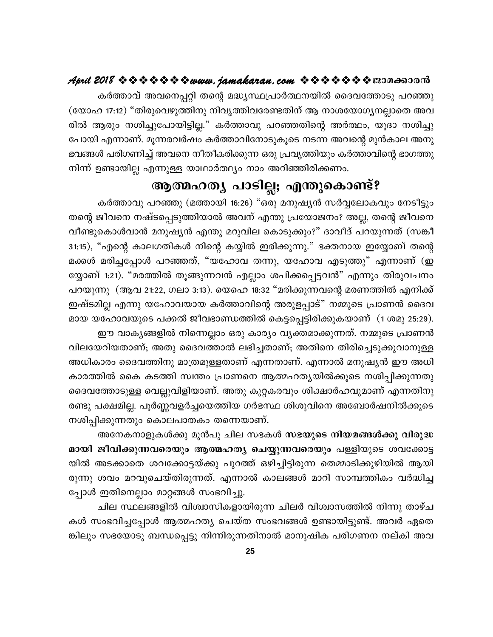കർത്താവ് അവനെപ്പറ്റി തന്റെ മദ്ധ്യസ്ഥപ്രാർത്ഥനയിൽ ദൈവത്തോടു പറഞ്ഞു (യോഹ 17:12) "തിരുവെഴുത്തിനു നിവൃത്തിവരേണ്ടതിന് ആ നാശയോഗൃനല്ലാതെ അവ രിൽ ആരും നശിച്ചുപോയിട്ടില്ല." കർത്താവു പറഞ്ഞതിന്റെ അർത്ഥം, യൂദാ നശിച്ചു പോയി എന്നാണ്. മൂന്നരവർഷം കർത്താവിനോടുകൂടെ നടന്ന അവന്റെ മുൻകാല അനു ഭവങ്ങൾ പരിഗണിച്ച് അവനെ നീതീകരിക്കുന്ന ഒരു പ്രവൃത്തിയും കർത്താവിന്റെ ഭാഗത്തു നിന്ന് ഉണ്ടായില്ല എന്നുള്ള യാഥാർത്ഥ്യം നാം അറിഞ്ഞിരിക്കണം.

#### ആത്മഹത്യ പാടില്ല; എന്തുകൊണ്ട്?

കർത്താവു പറഞ്ഞു (മത്തായി 16:26) "ഒരു മനുഷ്യൻ സർവ്വലോകവും നേടീട്ടും തന്റെ ജീവനെ നഷ്ടപ്പെടുത്തിയാൽ അവന് എന്തു പ്രയോജനം? അല്ല, തന്റെ ജീവനെ വീണ്ടുകൊൾവാൻ മനുഷ്യൻ എന്തു മറുവില കൊടുക്കും?" ദാവീദ് പറയുന്നത് (സങ്കീ 31:15), "എന്റെ കാലഗതികൾ നിന്റെ കയ്യിൽ ഇരിക്കുന്നു." ഭക്തനായ ഇയ്യോബ് തന്റെ മക്കൾ മരിച്ചപ്പോൾ പറഞ്ഞത്, "യഹോവ തന്നു, യഹോവ എടുത്തു" എന്നാണ് (ഇ യ്യോബ് 1:21). "മരത്തിൽ തൂങ്ങുന്നവൻ എല്ലാം ശപിക്കപ്പെട്ടവൻ" എന്നും തിരുവചനം പറയുന്നു (ആവ 21:22, ഗലാ 3:13). യെഹെ 18:32 "മരിക്കുന്നവന്റെ മരണത്തിൽ എനിക്ക് ഇഷ്ടമില്ല എന്നു യഹോവയായ കർത്താവിന്റെ അരുളപ്പാട്" നമ്മുടെ പ്രാണൻ ദൈവ മായ യഹോവയുടെ പക്കൽ ജീവഭാണ്ഡത്തിൽ കെട്ടപ്പെട്ടിരിക്കുകയാണ് (1 ശമു 25:29).

ഈ വാകൃങ്ങളിൽ നിന്നെല്ലാം ഒരു കാര്യം വൃക്തമാക്കുന്നത്. നമ്മുടെ പ്രാണൻ വിലയേറിയതാണ്; അതു ദൈവത്താൽ ലഭിച്ചതാണ്; അതിനെ തിരിച്ചെടുക്കുവാനുള്ള അധികാരം ദൈവത്തിനു മാത്രമുള്ളതാണ് എന്നതാണ്. എന്നാൽ മനുഷ്യൻ ഈ അധി കാരത്തിൽ കൈ കടത്തി സ്വന്തം പ്രാണനെ ആത്മഹത്യയിൽക്കൂടെ നശിപ്പിക്കുന്നതു ദൈവത്തോടുള്ള വെല്ലുവിളിയാണ്. അതു കുറ്റകരവും ശിക്ഷാർഹവുമാണ് എന്നതിനു രണ്ടു പക്ഷമില്ല. പൂർണ്ണവളർച്ചയെത്തിയ ഗർഭസ്ഥ ശിശുവിനെ അബോർഷനിൽക്കുടെ നശിപ്പിക്കുന്നതും കൊലപാതകം തന്നെയാണ്.

അനേകനാളുകൾക്കു മുൻപു ചില സഭകൾ സഭയുടെ നിയമങ്ങൾക്കു വിരുദ്ധ മായി ജീവിക്കുന്നവരെയും ആത്മഹത്യ ചെയ്യുന്നവരെയും പള്ളിയുടെ ശവക്കോട്ട യിൽ അടക്കാതെ ശവക്കോട്ടയ്ക്കു പുറത്ത് ഒഴിച്ചിട്ടിരുന്ന തെമ്മാടിക്കുഴിയിൽ ആയി രുന്നു ശവം മറവുചെയ്തിരുന്നത്. എന്നാൽ കാലങ്ങൾ മാറി സാമ്പത്തികം വർദ്ധിച്ച പ്പോൾ ഇതിനെല്ലാം മാറ്റങ്ങൾ സംഭവിച്ചു.

ചില സ്ഥലങ്ങളിൽ വിശ്വാസികളായിരുന്ന ചിലർ വിശ്വാസത്തിൽ നിന്നു താഴ്ച കൾ സംഭവിച്ചപ്പോൾ ആത്മഹത്യ ചെയ്ത സംഭവങ്ങൾ ഉണ്ടായിട്ടുണ്ട്. അവർ ഏതെ ങ്കിലും സഭയോടു ബന്ധപ്പെട്ടു നിന്നിരുന്നതിനാൽ മാനുഷിക പരിഗണന നല്കി അവ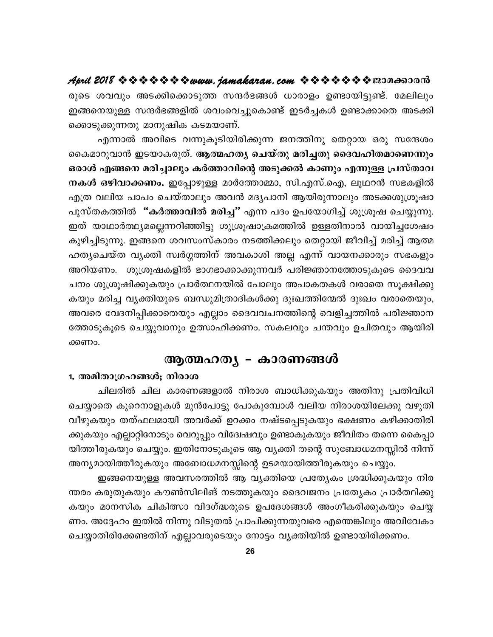രുടെ ശവവും അടക്കിക്കൊടുത്ത സന്ദർഭങ്ങൾ ധാരാളം ഉണ്ടായിട്ടുണ്ട്. മേലിലും ഇങ്ങനെയുള്ള സന്ദർഭങ്ങളിൽ ശവംവെച്ചുകൊണ്ട് ഇടർച്ചകൾ ഉണ്ടാക്കാതെ അടക്കി ക്കൊടുക്കുന്നതു മാനുഷിക കടമയാണ്.

എന്നാൽ അവിടെ വന്നുകൂടിയിരിക്കുന്ന ജനത്തിനു തെറ്റായ ഒരു സന്ദേശം കൈമാറുവാൻ ഇടയാകരുത്. ആത്മഹത്യ ചെയ്തു മരിച്ചതു ദൈവഹിതമാണെന്നും ഒരാൾ എങ്ങനെ മരിച്ചാലും കർത്താവിന്റെ അടുക്കൽ കാണും എന്നുള്ള പ്രസ്താവ നകൾ ഒഴിവാക്കണം. ഇപ്പോഴുള്ള മാർത്തോമ്മാ, സി.എസ്.ഐ, ലൂഥറൻ സഭകളിൽ എത്ര വലിയ പാപം ചെയ്താലും അവൻ മദൃപാനി ആയിരുന്നാലും അടക്കശുശ്രൂഷാ പുസ്തകത്തിൽ "കർത്താവിൽ മരിച്ച" എന്ന പദം ഉപയോഗിച്ച് ശുശ്രൂഷ ചെയ്യുന്നു. ഇത് യാഥാർത്ഥ്യമല്ലെന്നറിഞ്ഞിട്ടു ശുശ്രൂഷാക്രമത്തിൽ ഉള്ളതിനാൽ വായിച്ചശേഷം കുഴിച്ചിടുന്നു. ഇങ്ങനെ ശവസംസ്കാരം നടത്തിക്കലും തെറ്റായി ജീവിച്ച് മരിച്ച് ആത്മ ഹത്യചെയ്ത വ്യക്തി സ്വർഗ്ഗത്തിന് അവകാശി അല്ല എന്ന് വായനക്കാരും സഭകളും അറിയണം. ശുശ്രൂഷകളിൽ ഭാഗഭാക്കാക്കുന്നവർ പരിജ്ഞാനത്തോടുകൂടെ ദൈവവ ചനം ശുശ്രൂഷിക്കുകയും പ്രാർത്ഥനയിൽ പോലും അപാകതകൾ വരാതെ സൂക്ഷിക്കു കയും മരിച്ച വൃക്തിയുടെ ബന്ധുമിത്രാദികൾക്കു ദുഃഖത്തിന്മേൽ ദുഃഖം വരാതെയും, അവരെ വേദനിപ്പിക്കാതെയും എല്ലാം ദൈവവചനത്തിന്റെ വെളിച്ചത്തിൽ പരിജ്ഞാന ത്തോടുകൂടെ ചെയ്യുവാനും ഉത്സാഹിക്കണം. സകലവും ചന്തവും ഉചിതവും ആയിരി ക്കണം.

#### ആത്മഹത്യ – കാരണങ്ങൾ

#### 1. അമിതാഗ്രഹങ്ങൾ; നിരാശ

ചിലരിൽ ചില കാരണങ്ങളാൽ നിരാശ ബാധിക്കുകയും അതിനു പ്രതിവിധി ചെയ്യാതെ കുറെനാളുകൾ മുൻപോട്ടു പോകുമ്പോൾ വലിയ നിരാശയിലേക്കു വഴുതി വീഴുകയും തത്ഫലമായി അവർക്ക് ഉറക്കം നഷ്ടപ്പെടുകയും ഭക്ഷണം കഴിക്കാതിരി ക്കുകയും എല്ലാറ്റിനോടും വെറുപ്പും വിദ്വേഷവും ഉണ്ടാകുകയും ജീവിതം തന്നെ കൈപ്പാ യിത്തീരുകയും ചെയ്യും. ഇതിനോടുകൂടെ ആ വ്യക്തി തന്റെ സുബോധമനസ്സിൽ നിന്ന് അന്യമായിത്തീരുകയും അബോധമനസ്സിന്റെ ഉടമയായിത്തീരുകയും ചെയ്യും.

ഇങ്ങനെയുള്ള അവസരത്തിൽ ആ വ്യക്തിയെ പ്രത്യേകം ശ്രദ്ധിക്കുകയും നിര ന്തരം കരുതുകയും കൗൺസിലിങ് നടത്തുകയും ദൈവജനം പ്രത്യേകം പ്രാർത്ഥിക്കു കയും മാനസിക ചികിത്സാ വിദഗ്ദ്ധരുടെ ഉപദേശങ്ങൾ അംഗീകരിക്കുകയും ചെയ്യ ണം. അദ്ദേഹം ഇതിൽ നിന്നു വിടുതൽ പ്രാപിക്കുന്നതുവരെ എന്തെങ്കിലും അവിവേകം ചെയ്യാതിരിക്കേണ്ടതിന് എല്ലാവരുടെയും നോട്ടം വ്യക്തിയിൽ ഉണ്ടായിരിക്കണം.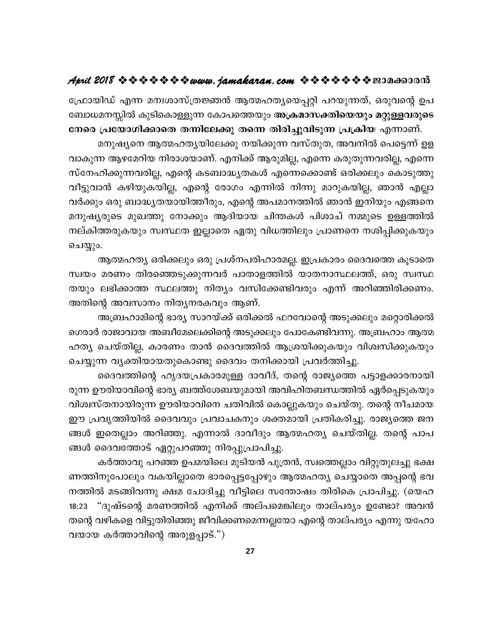ഫ്രോയിഡ് എന്ന മനഃശാസ്ത്രജ്ഞൻ ആത്മഹത്യയെപ്പറ്റി പറയുന്നത്, ഒരുവന്റെ ഉപ ബോധമനസ്സിൽ കുടികൊള്ളുന്ന കോപത്തെയും അക്രമാസക്തിയെയും മറ്റുള്ളവരുടെ നേരെ പ്രയോഗിക്കാതെ തന്നിലേക്കു തന്നെ തിരിച്ചുവിടുന്ന പ്രക്രിയ എന്നാണ്.

മനുഷ്യനെ ആത്മഹത്യയിലേക്കു നയിക്കുന്ന വസ്തുത, അവനിൽ പെട്ടെന്ന് ഉള വാകുന്ന ആഴമേറിയ നിരാശയാണ്. എനിക്ക് ആരുമില്ല, എന്നെ കരുതുന്നവരില്ല, എന്നെ സ്നേഹിക്കുന്നവരില്ല, എന്റെ കടബാദ്ധ്യതകൾ എന്നെക്കൊണ്ട് ഒരിക്കലും കൊടുത്തു വീട്ടുവാൻ കഴിയുകയില്ല, എന്റെ രോഗം എന്നിൽ നിന്നു മാറുകയില്ല, ഞാൻ എല്ലാ വർക്കും ഒരു ബാദ്ധ്യതയായിത്തീരും, എന്റെ അപമാനത്തിൽ ഞാൻ ഇനിയും എങ്ങനെ മനുഷ്യരുടെ മുഖത്തു നോക്കും ആദിയായ ചിന്തകൾ പിശാച് നമ്മുടെ ഉള്ളത്തിൽ നല്കിത്തരുകയും സ്വസ്ഥത ഇല്ലാതെ ഏതു വിധത്തിലും പ്രാണനെ നശിപ്പിക്കുകയും ചെയ്യും.

ആത്മഹത്യ ഒരിക്കലും ഒരു പ്രശ്നപരിഹാരമല്ല. ഇപ്രകാരം ദൈവത്തെ കൂടാതെ സ്വയം മരണം തിരഞ്ഞെടുക്കുന്നവർ പാതാളത്തിൽ യാതനാസ്ഥലത്ത്, ഒരു സ്വസ്ഥ തയും ലഭിക്കാത്ത സ്ഥലത്തു നിത്യം വസിക്കേണ്ടിവരും എന്ന് അറിഞ്ഞിരിക്കണം. അതിന്റെ അവസാനം നിതൃനരകവും ആണ്.

അബ്രഹാമിന്റെ ഭാര്യ സാറയ്ക്ക് ഒരിക്കൽ ഫറവോന്റെ അടുക്കലും മറ്റൊരിക്കൽ ഗെരാർ രാജാവായ അബീമേലെക്കിന്റെ അടുക്കലും പോകേണ്ടിവന്നു. അബ്രഹാം ആത്മ ഹത്യ ചെയ്തില്ല, കാരണം താൻ ദൈവത്തിൽ ആശ്രയിക്കുകയും വിശ്വസിക്കുകയും ചെയ്യുന്ന വ്യക്തിയായതുകൊണ്ടു ദൈവം തനിക്കായി പ്രവർത്തിച്ചു.

ദൈവത്തിന്റെ ഹൃദയപ്രകാരമുള്ള ദാവീദ്, തന്റെ രാജ്യത്തെ പട്ടാളക്കാരനായി രുന്ന ഊരിയാവിന്റെ ഭാര്യ ബത്ത്ശേബയുമായി അവിഹിതബന്ധത്തിൽ ഏർപ്പെടുകയും വിശ്വസ്തനായിരുന്ന ഊരിയാവിനെ ചതിവിൽ കൊല്ലുകയും ചെയ്തു. തന്റെ നീചമായ ഈ പ്രവൃത്തിയിൽ ദൈവവും പ്രവാചകനും ശക്തമായി പ്രതികരിച്ചു. രാജ്യത്തെ ജന ങ്ങൾ ഇതെല്ലാം അറിഞ്ഞു. എന്നാൽ ദാവീദും ആത്മഹത്യ ചെയ്തില്ല. തന്റെ പാപ ങ്ങൾ ദൈവത്തോട് ഏറ്റുപറഞ്ഞു നിരപ്പുപ്രാപിച്ചു.

കർത്താവു പറഞ്ഞ ഉപമയിലെ മുടിയൻ പുത്രൻ, സ്വത്തെല്ലാം വിറ്റുതുലച്ചു ഭക്ഷ ണത്തിനുപോലും വകയില്ലാതെ ഭാരപ്പെട്ടപ്പോഴും ആത്മഹത്യ ചെയ്യാതെ അപ്പന്റെ ഭവ നത്തിൽ മടങ്ങിവന്നു ക്ഷമ ചോദിച്ചു വീട്ടിലെ സന്തോഷം തിരികെ പ്രാപിച്ചു. (യെഹ "ദുഷ്ടന്റെ മരണത്തിൽ എനിക്ക് അല്പമെങ്കിലും താല്പര്യം ഉണ്ടോ? അവൻ  $18:23$ തന്റെ വഴികളെ വിട്ടുതിരിഞ്ഞു ജീവിക്കണമെന്നല്ലയോ എന്റെ താല്പര്യം എന്നു യഹോ വയായ കർത്താവിന്റെ അരുളപ്പാട്.")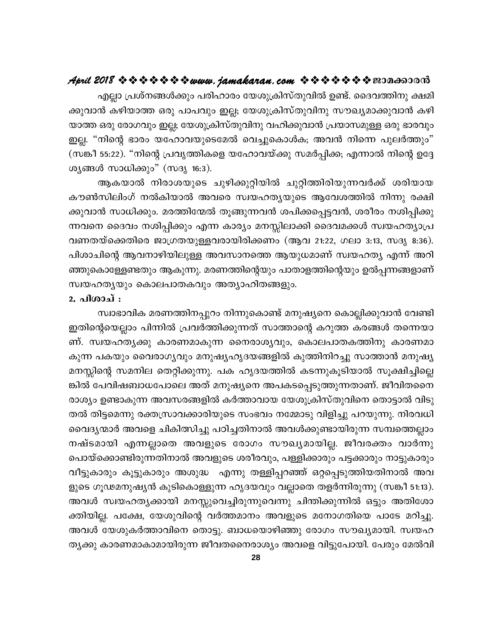എല്ലാ പ്രശ്നങ്ങൾക്കും പരിഹാരം യേശുക്രിസ്തുവിൽ ഉണ്ട്. ദൈവത്തിനു ക്ഷമി ക്കുവാൻ കഴിയാത്ത ഒരു പാപവും ഇല്ല; യേശുക്രിസ്തുവിനു സൗഖ്യമാക്കുവാൻ കഴി യാത്ത ഒരു രോഗവും ഇല്ല; യേശുക്രിസ്തുവിനു വഹിക്കുവാൻ പ്രയാസമുള്ള ഒരു ഭാരവും ഇല്ല. "നിന്റെ ഭാരം യഹോവയുടെമേൽ വെച്ചുകൊൾക; അവൻ നിന്നെ പുലർത്തും" (സങ്കീ 55:22). "നിന്റെ പ്രവൃത്തികളെ യഹോവയ്ക്കു സമർപ്പിക്ക; എന്നാൽ നിന്റെ ഉദ്ദേ ശ്യങ്ങൾ സാധിക്കും" (സദൃ 16:3).

ആകയാൽ നിരാശയുടെ ചുഴിക്കുറ്റിയിൽ ചുറ്റിത്തിരിയുന്നവർക്ക് ശരിയായ കൗൺസിലിംഗ് നൽകിയാൽ അവരെ സ്വയഹത്യയുടെ ആവേശത്തിൽ നിന്നു രക്ഷി ക്കുവാൻ സാധിക്കും. മരത്തിന്മേൽ തൂങ്ങുന്നവൻ ശപിക്കപ്പെട്ടവൻ, ശരീരം നശിപ്പിക്കു ന്നവനെ ദൈവം നശിപ്പിക്കും എന്ന കാര്യം മനസ്സിലാക്കി ദൈവമക്കൾ സ്വയഹത്യാപ്ര വണതയ്ക്കെതിരെ ജാഗ്രതയുള്ളവരായിരിക്കണം (ആവ 21:22, ഗലാ 3:13, സദൃ 8:36). പിശാചിന്റെ ആവനാഴിയിലുള്ള അവസാനത്തെ ആയുധമാണ് സ്വയഹത്യ എന്ന് അറി ഞ്ഞുകൊള്ളേണ്ടതും ആകുന്നു. മരണത്തിന്റെയും പാതാളത്തിന്റെയും ഉൽപ്പന്നങ്ങളാണ് സ്വയഹതൃയും കൊലപാതകവും അത്യാഹിതങ്ങളും.

#### 2. പിശാച് :

സ്വാഭാവിക മരണത്തിനപ്പുറം നിന്നുകൊണ്ട് മനുഷ്യനെ കൊല്ലിക്കുവാൻ വേണ്ടി ഇതിന്റെയെല്ലാം പിന്നിൽ പ്രവർത്തിക്കുന്നത് സാത്താന്റെ കറുത്ത കരങ്ങൾ തന്നെയാ ണ്. സ്വയഹതൃക്കു കാരണമാകുന്ന നൈരാശൃവും, കൊലപാതകത്തിനു കാരണമാ കുന്ന പകയും വൈരാഗൃവും മനുഷ്യഹൃദയങ്ങളിൽ കുത്തിനിറച്ചു സാത്താൻ മനുഷ്യ മനസ്സിന്റെ സമനില തെറ്റിക്കുന്നു. പക ഹൃദയത്തിൽ കടന്നുകൂടിയാൽ സൂക്ഷിച്ചില്ലെ ങ്കിൽ പേവിഷബാധപോലെ അത് മനുഷ്യനെ അപകടപ്പെടുത്തുന്നതാണ്. ജീവിതനൈ രാശ്യം ഉണ്ടാകുന്ന അവസരങ്ങളിൽ കർത്താവായ യേശുക്രിസ്തുവിനെ തൊട്ടാൽ വിടു തൽ തിട്ടമെന്നു രക്തസ്രാവക്കാരിയുടെ സംഭവം നമ്മോടു വിളിച്ചു പറയുന്നു. നിരവധി വൈദ്യന്മാർ അവളെ ചികിത്സിച്ചു പഠിച്ചതിനാൽ അവൾക്കുണ്ടായിരുന്ന സമ്പത്തെല്ലാം നഷ്ടമായി എന്നല്ലാതെ അവളുടെ രോഗം സൗഖ്യമായില്ല. ജീവരക്തം വാർന്നു പൊയ്ക്കൊണ്ടിരുന്നതിനാൽ അവളുടെ ശരീരവും, പള്ളിക്കാരും പട്ടക്കാരും നാട്ടുകാരും വീട്ടുകാരും കൂട്ടുകാരും അശുദ്ധ എന്നു തള്ളിപ്പറഞ്ഞ് ഒറ്റപ്പെടുത്തിയതിനാൽ അവ ളുടെ ഗൂഢമനുഷ്യൻ കുടികൊള്ളുന്ന ഹൃദയവും വല്ലാതെ തളർന്നിരുന്നു (സങ്കീ 51:13). അവൾ സ്വയഹത്യക്കായി മനസ്സുവെച്ചിരുന്നുവെന്നു ചിന്തിക്കുന്നിൽ ഒട്ടും അതിശോ ക്തിയില്ല. പക്ഷേ, യേശുവിന്റെ വർത്തമാനം അവളുടെ മനോഗതിയെ പാടേ മറിച്ചു. അവൾ യേശുകർത്താവിനെ തൊട്ടു. ബാധയൊഴിഞ്ഞു രോഗം സൗഖ്യമായി. സ്വയഹ തൃക്കു കാരണമാകാമായിരുന്ന ജീവതനൈരാശ്യം അവളെ വിട്ടുപോയി. പേരും മേൽവി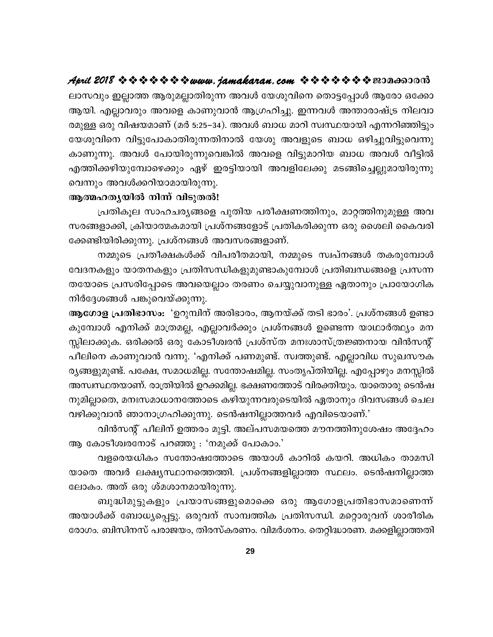ലാസവും ഇല്ലാത്ത ആരുമല്ലാതിരുന്ന അവൾ യേശുവിനെ തൊട്ടപ്പോൾ ആരോ ഒക്കോ ആയി. എല്ലാവരും അവളെ കാണുവാൻ ആഗ്രഹിച്ചു. ഇന്നവൾ അന്താരാഷ്ട്ര നിലവാ രമുള്ള ഒരു വിഷയമാണ് (മർ 5:25–34). അവൾ ബാധ മാറി സ്വസ്ഥയായി എന്നറിഞ്ഞിട്ടും യേശുവിനെ വിട്ടുപോകാതിരുന്നതിനാൽ യേശു അവളുടെ ബാധ ഒഴിച്ചുവിട്ടുവെന്നു കാണുന്നു. അവൾ പോയിരുന്നുവെങ്കിൽ അവളെ വിട്ടുമാറിയ ബാധ അവൾ വീട്ടിൽ എത്തിക്കഴിയുമ്പോഴെക്കും ഏഴ് ഇരട്ടിയായി അവളിലേക്കു മടങ്ങിച്ചെല്ലുമായിരുന്നു വെന്നും അവൾക്കറിയാമായിരുന്നു.

#### ആത്മഹതൃയിൽ നിന്ന് വിടുതൽ!

പ്രതികൂല സാഹചര്യങ്ങളെ പുതിയ പരീക്ഷണത്തിനും, മാറ്റത്തിനുമുള്ള അവ സരങ്ങളാക്കി, ക്രിയാത്മകമായി പ്രശ്നങ്ങളോട് പ്രതികരിക്കുന്ന ഒരു ശൈലി കൈവരി ക്കേണ്ടിയിരിക്കുന്നു. പ്രശ്നങ്ങൾ അവസരങ്ങളാണ്.

നമ്മുടെ പ്രതീക്ഷകൾക്ക് വിപരീതമായി, നമ്മുടെ സ്വപ്നങ്ങൾ തകരുമ്പോൾ വേദനകളും യാതനകളും പ്രതിസന്ധികളുമുണ്ടാകുമ്പോൾ പ്രതിബന്ധങ്ങളെ പ്രസന്ന തയോടെ പ്രസരിപ്പോടെ അവയെല്ലാം തരണം ചെയ്യുവാനുള്ള ഏതാനും പ്രായോഗിക നിർദ്ദേശങ്ങൾ പങ്കുവെയ്ക്കുന്നു.

ആഗോള പ്രതിഭാസം: 'ഉറുമ്പിന് അരിഭാരം, ആനയ്ക്ക് തടി ഭാരം'. പ്രശ്നങ്ങൾ ഉണ്ടാ കുമ്പോൾ എനിക്ക് മാത്രമല്ല, എല്ലാവർക്കും പ്രശ്നങ്ങൾ ഉണ്ടെന്ന യാഥാർത്ഥ്യം മന സ്സിലാക്കുക. ഒരിക്കൽ ഒരു കോടീശ്വരൻ പ്രശ്സ്ത മനഃശാസ്ത്രജ്ഞനായ വിൻസന്റ് പീലിനെ കാണുവാൻ വന്നു. 'എനിക്ക് പണമുണ്ട്. സ്വത്തുണ്ട്. എല്ലാവിധ സുഖസൗക ര്യങ്ങളുമുണ്ട്. പക്ഷേ, സമാധമില്ല. സന്തോഷമില്ല. സംതൃപ്തിയില്ല. എപ്പോഴും മനസ്സിൽ അസ്വസ്ഥതയാണ്. രാത്രിയിൽ ഉറക്കമില്ല. ഭക്ഷണത്തോട് വിരക്തിയും. യാതൊരു ടെൻഷ നുമില്ലാതെ, മനഃസമാധാനത്തോടെ കഴിയുന്നവരുടെയിൽ ഏതാനും ദിവസങ്ങൾ ചെല വഴിക്കുവാൻ ഞാനാഗ്രഹിക്കുന്നു. ടെൻഷനില്ലാത്തവർ എവിടെയാണ്.'

വിൻസന്റ് പീലിന് ഉത്തരം മുട്ടി. അല്പസമയത്തെ മൗനത്തിനുശേഷം അദ്ദേഹം ആ കോടീശ്വരനോട് പറഞ്ഞു : 'നമുക്ക് പോകാം.'

വളരെയധികം സന്തോഷത്തോടെ അയാൾ കാറിൽ കയറി. അധികം താമസി യാതെ അവർ ലക്ഷ്യസ്ഥാനത്തെത്തി. പ്രശ്നങ്ങളില്ലാത്ത സ്ഥലം. ടെൻഷനില്ലാത്ത ലോകം. അത് ഒരു ശ്മശാനമായിരുന്നു.

ബുദ്ധിമുട്ടുകളും പ്രയാസങ്ങളുമൊക്കെ ഒരു ആഗോളപ്രതിഭാസമാണെന്ന് അയാൾക്ക് ബോധൃപ്പെട്ടു. ഒരുവന് സാമ്പത്തിക പ്രതിസന്ധി. മറ്റൊരുവന് ശാരീരിക രോഗം. ബിസിനസ് പരാജയം, തിരസ്കരണം. വിമർശനം. തെറ്റിദ്ധാരണ. മക്കളില്ലാത്തതി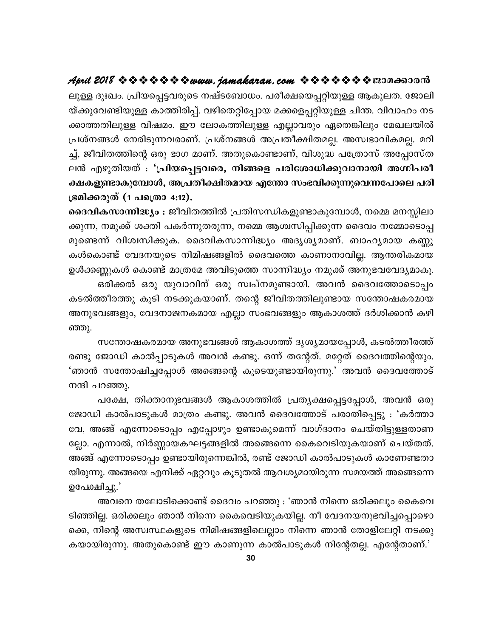ലുള്ള ദുഃഖം. പ്രിയപ്പെട്ടവരുടെ നഷ്ടബോധം. പരീക്ഷയെപ്പറ്റിയുള്ള ആകുലത. ജോലി യ്ക്കുവേണ്ടിയുള്ള കാത്തിരിപ്പ്. വഴിതെറ്റിപ്പോയ മക്കളെപ്പറ്റിയുള്ള ചിന്ത. വിവാഹം നട ക്കാത്തതിലുള്ള വിഷമം. ഈ ലോകത്തിലുള്ള എല്ലാവരും ഏതെങ്കിലും മേഖലയിൽ പ്രശ്നങ്ങൾ നേരിടുന്നവരാണ്. പ്രശ്നങ്ങൾ അപ്രതീക്ഷിതമല്ല. അസ്വഭാവികമല്ല. മറി ച്ച്, ജീവിതത്തിന്റെ ഒരു ഭാഗ മാണ്. അതുകൊണ്ടാണ്, വിശുദ്ധ പത്രോസ് അപ്പോസ്ത ലൻ എഴുതിയത് : 'പ്രിയപ്പെട്ടവരെ, നിങ്ങളെ പരിശോധിക്കുവാനായി അഗ്നിപരീ ക്ഷകളുണ്ടാകുമ്പോൾ, അപ്രതീക്ഷിതമായ എന്തോ സംഭവിക്കുന്നുവെന്നപോലെ പരി ഭ്രമിക്കരുത് (1 പ**്രൊ** 4:12).

ദൈവികസാന്നിദ്ധ്യം : ജീവിതത്തിൽ പ്രതിസന്ധികളുണ്ടാകുമ്പോൾ, നമ്മെ മനസ്സിലാ ക്കുന്ന, നമുക്ക് ശക്തി പകർന്നുതരുന്ന, നമ്മെ ആശ്വസിപ്പിക്കുന്ന ദൈവം നമ്മോടൊപ്പ മുണ്ടെന്ന് വിശ്വസിക്കുക. ദൈവികസാന്നിദ്ധ്യം അദൃശ്യമാണ്. ബാഹ്യമായ കണ്ണു കൾകൊണ്ട് വേദനയുടെ നിമിഷങ്ങളിൽ ദൈവത്തെ കാണാനാവില്ല. ആന്തരികമായ ഉൾക്കണ്ണുകൾ കൊണ്ട് മാത്രമേ അവിടുത്തെ സാന്നിദ്ധ്യം നമുക്ക് അനുഭവവേദ്യമാകൂ.

ഒരിക്കൽ ഒരു യുവാവിന് ഒരു സ്വപ്നമുണ്ടായി. അവൻ ദൈവത്തോടൊപ്പം കടൽത്തീരത്തു കൂടി നടക്കുകയാണ്. തന്റെ ജീവിതത്തിലുണ്ടായ സന്തോഷകരമായ അനുഭവങ്ങളും, വേദനാജനകമായ എല്ലാ സംഭവങ്ങളും ആകാശത്ത് ദർശിക്കാൻ കഴി ഞ്ഞു.

സന്തോഷകരമായ അനുഭവങ്ങൾ ആകാശത്ത് ദൃശ്യമായപ്പോൾ, കടൽത്തീരത്ത് രണ്ടു ജോഡി കാൽപ്പാടുകൾ അവൻ കണ്ടു. ഒന്ന് തന്റേത്. മറ്റേത് ദൈവത്തിന്റെയും. 'ഞാൻ സന്തോഷിച്ചപ്പോൾ അങ്ങെന്റെ കൂടെയുണ്ടായിരുന്നു.' അവൻ ദൈവത്തോട് നന്ദി പറഞ്ഞു.

പക്ഷേ, തിക്താനുഭവങ്ങൾ ആകാശത്തിൽ പ്രത്യക്ഷപ്പെട്ടപ്പോൾ, അവൻ ഒരു ജോഡി കാൽപാടുകൾ മാത്രം കണ്ടു. അവൻ ദൈവത്തോട് പരാതിപ്പെട്ടു : 'കർത്താ വേ, അങ്ങ് എന്നോടൊപ്പം എപ്പോഴും ഉണ്ടാകുമെന്ന് വാഗ്ദാനം ചെയ്തിട്ടുള്ളതാണ ല്ലോ. എന്നാൽ, നിർണ്ണായകഘട്ടങ്ങളിൽ അങ്ങെന്നെ കൈവെടിയുകയാണ് ചെയ്തത്. അങ്ങ് എന്നോടൊപ്പം ഉണ്ടായിരുന്നെങ്കിൽ, രണ്ട് ജോഡി കാൽപാടുകൾ കാണേണ്ടതാ യിരുന്നു. അങ്ങയെ എനിക്ക് ഏറ്റവും കൂടുതൽ ആവശ്യമായിരുന്ന സമയത്ത് അങ്ങെന്നെ ഉപേക്ഷിച്ചു.'

അവനെ തലോടിക്കൊണ്ട് ദൈവം പറഞ്ഞു : 'ഞാൻ നിന്നെ ഒരിക്കലും കൈവെ ടിഞ്ഞില്ല. ഒരിക്കലും ഞാൻ നിന്നെ കൈവെടിയുകയില്ല. നീ വേദനയനുഭവിച്ചപ്പൊഴൊ ക്കെ, നിന്റെ അസ്വസ്ഥകളുടെ നിമിഷങ്ങളിലെല്ലാം നിന്നെ ഞാൻ തോളിലേറ്റി നടക്കു കയായിരുന്നു. അതുകൊണ്ട് ഈ കാണുന്ന കാൽപാടുകൾ നിന്റേതല്ല. എന്റേതാണ്.'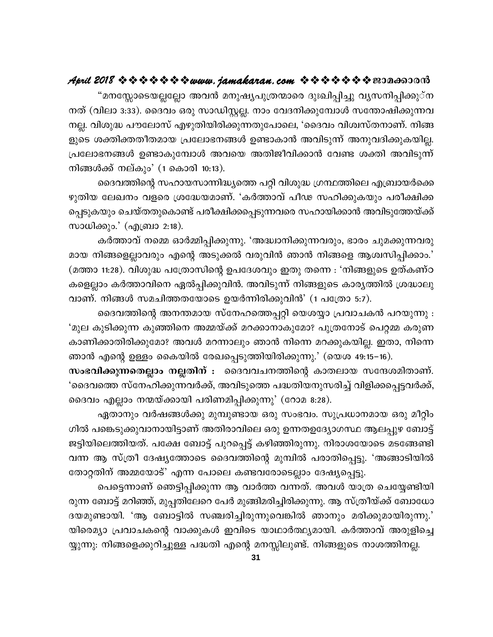"മനസ്സോടെയല്ലല്ലോ അവൻ മനുഷ്യപുത്രന്മാരെ ദുഃഖിപ്പിച്ചു വൃസനിപ്പിക്കു്ന നത് (വിലാ 3:33). ദൈവം ഒരു സാഡിസ്റ്റല്ല. നാം വേദനിക്കുമ്പോൾ സന്തോഷിക്കുന്നവ നല്ല. വിശുദ്ധ പൗലോസ് എഴുതിയിരിക്കുന്നതുപോലെ, 'ദൈവം വിശ്വസ്തനാണ്. നിങ്ങ ളുടെ ശക്തിക്തതീതമായ പ്രലോഭനങ്ങൾ ഉണ്ടാകാൻ അവിടുന്ന് അനുവദിക്കുകയില്ല. പ്രലോഭനങ്ങൾ ഉണ്ടാകുമ്പോൾ അവയെ അതിജീവിക്കാൻ വേണ്ട ശക്തി അവിടുന്ന് നിങ്ങൾക്ക് നല്കും' (1 കൊരി 10:13).

ദൈവത്തിന്റെ സഹായസാന്നിദ്ധ്യത്തെ പറ്റി വിശുദ്ധ ഗ്രന്ഥത്തിലെ എബ്രായർക്കെ ഴുതിയ ലേഖനം വളരെ ശ്രദ്ധേയമാണ്. 'കർത്താവ് പീഢ സഹിക്കുകയും പരീക്ഷിക്ക പ്പെടുകയും ചെയ്തതുകൊണ്ട് പരീക്ഷിക്കപ്പെടുന്നവരെ സഹായിക്കാൻ അവിടുത്തേയ്ക്ക് സാധിക്കും.' (എബ്രാ 2:18).

കർത്താവ് നമ്മെ ഓർമ്മിപ്പിക്കുന്നു. 'അദ്ധ്വാനിക്കുന്നവരും, ഭാരം ചുമക്കുന്നവരു മായ നിങ്ങളെല്ലാവരും എന്റെ അടുക്കൽ വരുവിൻ ഞാൻ നിങ്ങളെ ആശ്വസിപ്പിക്കാം.' (മത്താ 11:28). വിശുദ്ധ പത്രോസിന്റെ ഉപദേശവും ഇതു തന്നെ : 'നിങ്ങളുടെ ഉത്കണ്ഠ കളെല്ലാം കർത്താവിനെ ഏൽപ്പിക്കുവിൻ. അവിടുന്ന് നിങ്ങളുടെ കാര്യത്തിൽ ശ്രദ്ധാലു വാണ്. നിങ്ങൾ സമചിത്തതയോടെ ഉയർന്നിരിക്കുവിൻ' (1 പത്രോ 5:7).

ദൈവത്തിന്റെ അനന്തമായ സ്നേഹത്തെപ്പറ്റി യെശയ്യാ പ്രവാചകൻ പറയുന്നു : 'മുല കുടിക്കുന്ന കുഞ്ഞിനെ അമ്മയ്ക്ക് മറക്കാനാകുമോ? പുത്രനോട് പെറ്റമ്മ കരുണ കാണിക്കാതിരിക്കുമോ? അവൾ മറന്നാലും ഞാൻ നിന്നെ മറക്കുകയില്ല. ഇതാ, നിന്നെ ഞാൻ എന്റെ ഉള്ളം കൈയിൽ രേഖപ്പെടുത്തിയിരിക്കുന്നു.' (യെശ 49:15–16).

സംഭവിക്കുന്നതെല്ലാം നല്ലതിന് : ദൈവവചനത്തിന്റെ കാതലായ സന്ദേശമിതാണ്. 'ദൈവത്തെ സ്നേഹിക്കുന്നവർക്ക്, അവിടുത്തെ പദ്ധതിയനുസരിച്ച് വിളിക്കപ്പെട്ടവർക്ക്, ദൈവം എല്ലാം നന്മയ്ക്കായി പരിണമിപ്പിക്കുന്നു' (റോമ 8:28).

ഏതാനും വർഷങ്ങൾക്കു മുമ്പുണ്ടായ ഒരു സംഭവം. സുപ്രധാനമായ ഒരു മീറ്റിം ഗിൽ പങ്കെടുക്കുവാനായിട്ടാണ് അതിരാവിലെ ഒരു ഉന്നതഉദ്യോഗസ്ഥ ആലപ്പുഴ ബോട്ട് ജട്ടിയിലെത്തിയത്. പക്ഷേ ബോട്ട് പുറപ്പെട്ട് കഴിഞ്ഞിരുന്നു. നിരാശയോടെ മടങ്ങേണ്ടി വന്ന ആ സ്ത്രീ ദേഷ്യത്തോടെ ദൈവത്തിന്റെ മുമ്പിൽ പരാതിപ്പെട്ടു. 'അങ്ങാടിയിൽ തോറ്റതിന് അമ്മയോട്' എന്ന പോലെ കണ്ടവരോടെല്ലാം ദേഷ്യപ്പെട്ടു.

പെട്ടെന്നാണ് ഞെട്ടിപ്പിക്കുന്ന ആ വാർത്ത വന്നത്. അവൾ യാത്ര ചെയ്യേണ്ടിയി രുന്ന ബോട്ട് മറിഞ്ഞ്, മുപ്പതിലേറെ പേർ മുങ്ങിമരിച്ചിരിക്കുന്നു. ആ സ്ത്രീയ്ക്ക് ബോധോ ദയമുണ്ടായി. 'ആ ബോട്ടിൽ സഞ്ചരിച്ചിരുന്നുവെങ്കിൽ ഞാനും മരിക്കുമായിരുന്നു.' യിരെമ്യാ പ്രവാചകന്റെ വാക്കുകൾ ഇവിടെ യാഥാർത്ഥ്യമായി. കർത്താവ് അരുളിച്ചെ യ്യുന്നു: നിങ്ങളെക്കുറിച്ചുള്ള പദ്ധതി എന്റെ മനസ്സിലുണ്ട്. നിങ്ങളുടെ നാശത്തിനല്ല.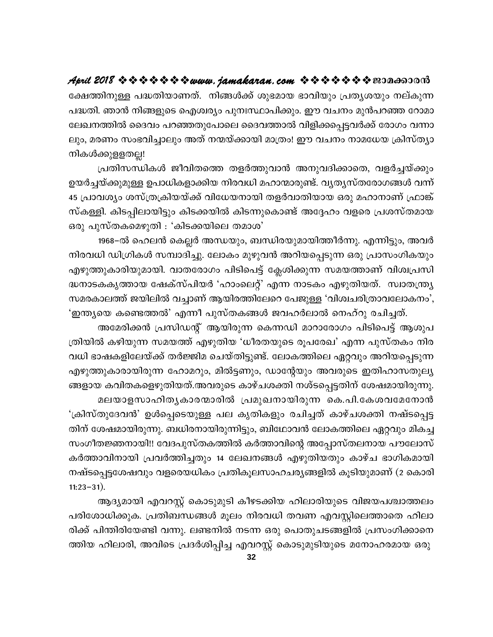ക്ഷേത്തിനുള്ള പദ്ധതിയാണത്. നിങ്ങൾക്ക് ശുഭമായ ഭാവിയും പ്രത്യശയും നല്കുന്ന പദ്ധതി. ഞാൻ നിങ്ങളുടെ ഐശ്വര്യം പുനഃസ്ഥാപിക്കും. ഈ വചനം മുൻപറഞ്ഞ റോമാ ലേഖനത്തിൽ ദൈവം പറഞ്ഞതുപോലെ ദൈവത്താൽ വിളിക്കപ്പെട്ടവർക്ക് രോഗം വന്നാ ലും, മരണം സംഭവിച്ചാലും അത് നന്മയ്ക്കായി മാത്രം! ഈ വചനം നാമധേയ ക്രിസ്തൃാ നികൾക്കുളളതല്ല!

പ്രതിസന്ധികൾ ജീവിതത്തെ തളർത്തുവാൻ അനുവദിക്കാതെ, വളർച്ചയ്ക്കും ഉയർച്ചയ്ക്കുമുള്ള ഉപാധികളാക്കിയ നിരവധി മഹാന്മാരുണ്ട്. വൃതൃസ്തരോഗങ്ങൾ വന്ന് 45 പ്രാവശ്യം ശസ്ത്രക്രിയയ്ക്ക് വിധേയനായി തളർവാതിയായ ഒരു മഹാനാണ് ഫ്രാങ്ക് സ്കള്ളി. കിടപ്പിലായിട്ടും കിടക്കയിൽ കിടന്നുകൊണ്ട് അദ്ദേഹം വളരെ പ്രശസ്തമായ ഒരു പുസ്തകമെഴുതി : 'കിടക്കയിലെ തമാശ'

1968–ൽ ഹെലൻ കെല്ലർ അന്ധയും, ബന്ധിരയുമായിത്തീർന്നു. എന്നിട്ടും, അവർ നിരവധി ഡിഗ്രികൾ സമ്പാദിച്ചു. ലോകം മുഴുവൻ അറിയപ്പെടുന്ന ഒരു പ്രാസംഗികയും എഴുത്തുകാരിയുമായി. വാതരോഗം പിടിപെട്ട് ക്ലേശിക്കുന്ന സമയത്താണ് വിശ്വപ്രസി ദ്ധനാടകകൃത്തായ ഷേക്സ്പിയർ 'ഹാംലെറ്റ്' എന്ന നാടകം എഴുതിയത്. സ്വാതന്ത്ര്യ സമരകാലത്ത് ജയിലിൽ വച്ചാണ് ആയിരത്തിലേറെ പേജുള്ള 'വിശ്വചരിത്രാവലോകനം', 'ഇന്ത്യയെ കണ്ടെത്തൽ' എന്നീ പുസ്തകങ്ങൾ ജവഹർലാൽ നെഹ്റു രചിച്ചത്.

അമേരിക്കൻ പ്രസിഡന്റ് ആയിരുന്ന കെന്നഡി മാറാരോഗം പിടിപെട്ട് ആശുപ ത്രിയിൽ കഴിയുന്ന സമയത്ത് എഴുതിയ 'ധീരതയുടെ രൂപരേഖ' എന്ന പുസ്തകം നിര വധി ഭാഷകളിലേയ്ക്ക് തർജ്ജിമ ചെയ്തിട്ടുണ്ട്. ലോകത്തിലെ ഏറ്റവും അറിയപ്പെടുന്ന എഴുത്തുകാരായിരുന്ന ഹോമറും, മിൽട്ടണും, ഡാന്റേയും അവരുടെ ഇതിഹാസതുല്യ ങ്ങളായ കവിതകളെഴുതിയത്.അവരുടെ കാഴ്ചശക്തി നശ്ടപ്പെട്ടതിന് ശേഷമായിരുന്നു. മലയാളസാഹിതൃകാരന്മാരിൽ പ്രമുഖനായിരുന്ന കെ.പി.കേശവമേനോൻ 'ക്രിസ്തുദേവൻ' ഉൾപ്പെടെയുള്ള പല കൃതികളും രചിച്ചത് കാഴ്ചശക്തി നഷ്ടപ്പെട്ട തിന് ശേഷമായിരുന്നു. ബധിരനായിരുന്നിട്ടും, ബിഥോവൻ ലോകത്തിലെ ഏറ്റവും മികച്ച സംഗീതജ്ഞനായി!! വേദപുസ്തകത്തിൽ കർത്താവിന്റെ അപ്പോസ്തലനായ പൗലോസ് കർത്താവിനായി പ്രവർത്തിച്ചതും 14 ലേഖനങ്ങൾ എഴുതിയതും കാഴ്ച ഭാഗികമായി നഷ്ടപ്പെട്ടശേഷവും വളരെയധികം പ്രതികൂലസാഹചര്യങ്ങളിൽ കൂടിയുമാണ് (2 കൊരി  $11:23-31$ ).

ആദ്യമായി എവറസ്റ്റ് കൊടുമുടി കീഴടക്കിയ ഹിലാരിയുടെ വിജയപശ്ചാത്തലം പരിശോധിക്കുക. പ്രതിബന്ധങ്ങൾ മൂലം നിരവധി തവണ എവസ്റ്റിലെത്താതെ ഹിലാ രിക്ക് പിന്തിരിയേണ്ടി വന്നു. ലണ്ടനിൽ നടന്ന ഒരു പൊതുചടങ്ങളിൽ പ്രസംഗിക്കാനെ ത്തിയ ഹിലാരി, അവിടെ പ്രദർശിപ്പിച്ച എവറസ്റ്റ് കൊടുമുടിയുടെ മനോഹരമായ ഒരു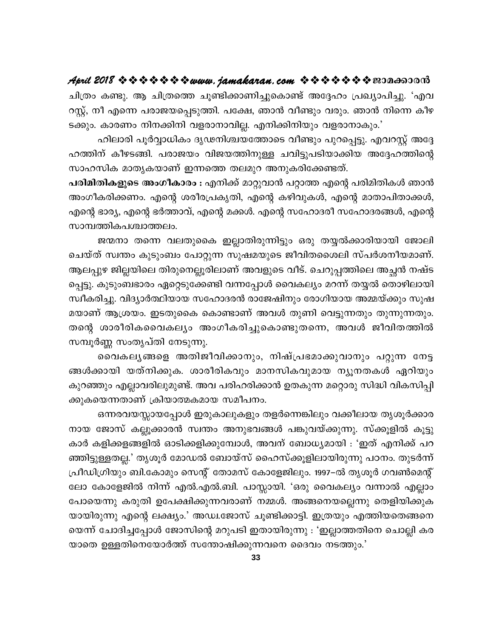ചിത്രം കണ്ടു. ആ ചിത്രത്തെ ചൂണ്ടിക്കാണിച്ചുകൊണ്ട് അദ്ദേഹം പ്രഖ്യാപിച്ചു. 'എവ റസ്റ്റ്, നീ എന്നെ പരാജയപ്പെടുത്തി. പക്ഷേ, ഞാൻ വീണ്ടും വരും. ഞാൻ നിന്നെ കീഴ ടക്കും. കാരണം നിനക്കിനി വളരാനാവില്ല. എനിക്കിനിയും വളരാനാകും.'

ഹിലാരി പൂർവ്വാധികം ദൃഢനിശ്ചയത്തോടെ വീണ്ടും പുറപ്പെട്ടു. എവറസ്റ്റ് അദ്ദേ ഹത്തിന് കീഴടങ്ങി. പരാജയം വിജയത്തിനുള്ള ചവിട്ടുപടിയാക്കിയ അദ്ദേഹത്തിന്റെ സാഹസിക മാതൃകയാണ് ഇന്നത്തെ തലമുറ അനുകരിക്കേണ്ടത്.

പരിമിതികളുടെ അംഗീകാരം : എനിക്ക് മാറ്റുവാൻ പറ്റാത്ത എന്റെ പരിമിതികൾ ഞാൻ അംഗീകരിക്കണം. എന്റെ ശരീരപ്രകൃതി, എന്റെ കഴിവുകൾ, എന്റെ മാതാപിതാക്കൾ, എന്റെ ഭാര്യ, എന്റെ ഭർത്താവ്, എന്റെ മക്കൾ. എന്റെ സഹോദരീ സഹോദരങ്ങൾ, എന്റെ സാമ്പത്തികപശ്ചാത്തലം.

ജന്മനാ തന്നെ വലതുകൈ ഇല്ലാതിരുന്നിട്ടും ഒരു തയ്യൽക്കാരിയായി ജോലി ചെയ്ത് സ്വന്തം കുടുംബം പോറ്റുന്ന സുഷമയുടെ ജീവിതശൈലി സ്പർശനീയമാണ്. ആലപ്പുഴ ജില്ലയിലെ തിരുനെല്ലൂരിലാണ് അവളുടെ വീട്. ചെറുപ്പത്തിലെ അച്ഛൻ നഷ്ട പ്പെട്ടു. കുടുംബഭാരം ഏറ്റെടുക്കേണ്ടി വന്നപ്പോൾ വൈകല്യം മറന്ന് തയ്യൽ തൊഴിലായി സ്വീകരിച്ചു. വിദ്യാർത്ഥിയായ സഹോദരൻ രാജേഷിനും രോഗിയായ അമ്മയ്ക്കും സുഷ മയാണ് ആശ്രയം. ഇടതുകൈ കൊണ്ടാണ് അവൾ തുണി വെട്ടുന്നതും തുന്നുന്നതും. തന്റെ ശാരീരികവൈകല്യം അംഗീകരിച്ചുകൊണ്ടുതന്നെ, അവൾ ജീവിതത്തിൽ സമ്പൂർണ്ണ സംതൃപ്തി നേടുന്നു.

വൈകലൃങ്ങളെ അതിജീവിക്കാനും, നിഷ്പ്രഭമാക്കുവാനും പറ്റുന്ന നേട്ട ങ്ങൾക്കായി യത്നിക്കുക. ശാരീരികവും മാനസികവുമായ ന്യൂനതകൾ ഏറിയും കുറഞ്ഞും എല്ലാവരിലുമുണ്ട്. അവ പരിഹരിക്കാൻ ഉതകുന്ന മറ്റൊരു സിദ്ധി വികസിപ്പി ക്കുകയെന്നതാണ് ക്രിയാത്മകമായ സമീപനം.

ഒന്നരവയസ്സായപ്പോൾ ഇരുകാലുകളും തളർന്നെങ്കിലും വക്കീലായ തൃശൂർക്കാര നായ ജോസ് കല്ലൂക്കാരൻ സ്വന്തം അനുഭവങ്ങൾ പങ്കുവയ്ക്കുന്നു. സ്ക്കൂളിൽ കൂട്ടു കാർ കളിക്കളങ്ങളിൽ ഓടിക്കളിക്കുമ്പോൾ, അവന് ബോധ്യമായി : 'ഇത് എനിക്ക് പറ ഞ്ഞിട്ടുള്ളതല്ല.' തൃശൂർ മോഡൽ ബോയ്സ് ഹൈസ്ക്കൂളിലായിരുന്നു പഠനം. തുടർന്ന് പ്രീഡിഗ്രിയും ബി.കോമും സെന്റ് തോമസ് കോളേജിലും. 1997–ൽ തൃശൂർ ഗവൺമെന്റ് ലോ കോളേജിൽ നിന്ന് എൽ.എൽ.ബി. പാസ്സായി. 'ഒരു വൈകല്യം വന്നാൽ എല്ലാം പോയെന്നു കരുതി ഉപേക്ഷിക്കുന്നവരാണ് നമ്മൾ. അങ്ങനെയല്ലെന്നു തെളിയിക്കുക യായിരുന്നു എന്റെ ലക്ഷ്യം.' അഡ്വ.ജോസ് ചൂണ്ടിക്കാട്ടി. ഇത്രയും എത്തിയതെങ്ങനെ യെന്ന് ചോദിച്ചപ്പോൾ ജോസിന്റെ മറുപടി ഇതായിരുന്നു : 'ഇല്ലാത്തതിനെ ചൊല്ലി കര യാതെ ഉള്ളതിനെയോർത്ത് സന്തോഷിക്കുന്നവനെ ദൈവം നടത്തും.'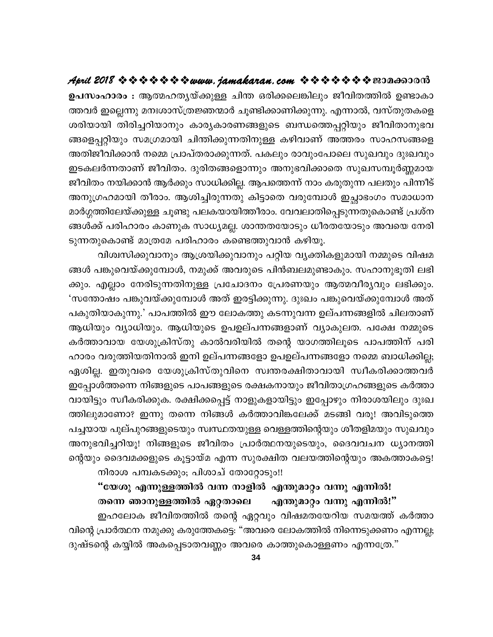ഉപസംഹാരം : ആത്മഹതൃയ്ക്കുള്ള ചിന്ത ഒരിക്കലെങ്കിലും ജീവിതത്തിൽ ഉണ്ടാകാ ത്തവർ ഇല്ലെന്നു മനഃശാസ്ത്രജ്ഞന്മാർ ചൂണ്ടിക്കാണിക്കുന്നു. എന്നാൽ, വസ്തുതകളെ ശരിയായി തിരിച്ചറിയാനും കാര്യകാരണങ്ങളുടെ ബന്ധത്തെപ്പറ്റിയും ജീവിതാനുഭവ ങ്ങളെപ്പറ്റിയും സമഗ്രമായി ചിന്തിക്കുന്നതിനുള്ള കഴിവാണ് അത്തരം സാഹസങ്ങളെ അതിജീവിക്കാൻ നമ്മെ പ്രാപ്തരാക്കുന്നത്. പകലും രാവുംപോലെ സുഖവും ദുഃഖവും ഇടകലർന്നതാണ് ജീവിതം. ദുരിതങ്ങളൊന്നും അനുഭവിക്കാതെ സുഖസമ്പൂർണ്ണമായ ജീവിതം നയിക്കാൻ ആർക്കും സാധിക്കില്ല. ആപത്തെന്ന് നാം കരുതുന്ന പലതും പിന്നീട് അനുഗ്രഹമായി തീരാം. ആശിച്ചിരുന്നതു കിട്ടാതെ വരുമ്പോൾ ഇച്ഛാഭംഗം സമാധാന മാർഗ്ഗത്തിലേയ്ക്കുള്ള ചൂണ്ടു പലകയായിത്തീരാം. വേവലാതിപ്പെടുന്നതുകൊണ്ട് പ്രശ്ന ങ്ങൾക്ക് പരിഹാരം കാണുക സാധ്യമല്ല. ശാന്തതയോടും ധീരതയോടും അവയെ നേരി ടുന്നതുകൊണ്ട് മാത്രമേ പരിഹാരം കണ്ടെത്തുവാൻ കഴിയൂ.

വിശ്വസിക്കുവാനും ആശ്രയിക്കുവാനും പറ്റിയ വ്യക്തികളുമായി നമ്മുടെ വിഷമ ങ്ങൾ പങ്കുവെയ്ക്കുമ്പോൾ, നമുക്ക് അവരുടെ പിൻബലമുണ്ടാകും. സഹാനുഭൂതി ലഭി ക്കും. എല്ലാം നേരിടുന്നതിനുള്ള പ്രചോദനം പ്രേരണയും ആത്മവീര്യവും ലഭിക്കും. 'സന്തോഷം പങ്കുവയ്ക്കുമ്പോൾ അത് ഇരട്ടിക്കുന്നു. ദുഃഖം പങ്കുവെയ്ക്കുമ്പോൾ അത് പകുതിയാകുന്നു.' പാപത്തിൽ ഈ ലോകത്തു കടന്നുവന്ന ഉല്പന്നങ്ങളിൽ ചിലതാണ് ആധിയും വ്യാധിയും. ആധിയുടെ ഉപഉല്പന്നങ്ങളാണ് വ്യാകുലത. പക്ഷേ നമ്മുടെ കർത്താവായ യേശുക്രിസ്തു കാൽവരിയിൽ തന്റെ യാഗത്തിലൂടെ പാപത്തിന് പരി ഹാരം വരുത്തിയതിനാൽ ഇനി ഉല്പന്നങ്ങളോ ഉപഉല്പന്നങ്ങളോ നമ്മെ ബാധിക്കില്ല; ഏശില്ല. ഇതുവരെ യേശുക്രിസ്തുവിനെ സ്വന്തരക്ഷിതാവായി സ്വീകരിക്കാത്തവർ ഇപ്പോൾത്തന്നെ നിങ്ങളുടെ പാപങ്ങളുടെ രക്ഷകനായും ജീവിതാഗ്രഹങ്ങളുടെ കർത്താ വായിട്ടും സ്വീകരിക്കുക. രക്ഷിക്കപ്പെട്ട് നാളുകളായിട്ടും ഇപ്പോഴും നിരാശയിലും ദുഃഖ ത്തിലുമാണോ? ഇന്നു തന്നെ നിങ്ങൾ കർത്താവിങ്കലേക്ക് മടങ്ങി വരൂ! അവിടുത്തെ പച്ചയായ പുല്പുറങ്ങളുടെയും സ്വസ്ഥതയുള്ള വെള്ളത്തിന്റെയും ശീതളിമയും സുഖവും അനുഭവിച്ചറിയൂ! നിങ്ങളുടെ ജീവിതം പ്രാർത്ഥനയുടെയും, ദൈവവചന ധ്യാനത്തി ന്റെയും ദൈവമക്കളുടെ കൂട്ടായ്മ എന്ന സുരക്ഷിത വലയത്തിന്റെയും അകത്താകട്ടെ! നിരാശ പമ്പകടക്കും; പിശാച് തോറ്റോടും!!

"യേശു എന്നുള്ളത്തിൽ വന്ന നാളിൽ എന്തുമാറ്റം വന്നു എന്നിൽ! തന്നെ ഞാനുള്ളത്തിൽ ഏറ്റതാലെ എന്തുമാറ്റം വന്നു എന്നിൽ!"

ഇഹലോക ജീവിതത്തിൽ തന്റെ ഏറ്റവും വിഷമതയേറിയ സമയത്ത് കർത്താ വിന്റെ പ്രാർത്ഥന നമുക്കു കരുത്തേകട്ടെ: "അവരെ ലോകത്തിൽ നിന്നെടുക്കണം എന്നല്ല; ദുഷ്ടന്റെ കയ്യിൽ അകപ്പെടാതവണ്ണം അവരെ കാത്തുകൊള്ളണം എന്നത്രേ."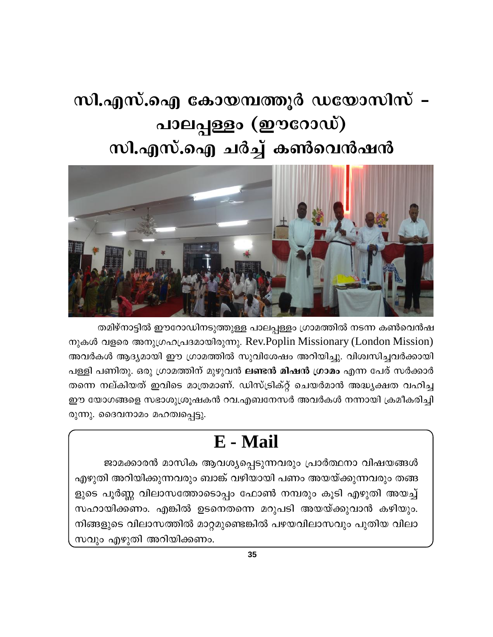# സി.എസ്.ഐ കോയമ്പത്തൂർ ഡയോസിസ് – പാലപ്പള്ളം (ഈറോഡ്) സി.എസ്.ഐ ചർച്ച് കൺവെൻഷൻ



തമിഴ്നാട്ടിൽ ഈറോഡിനടുത്തുള്ള പാലപ്പള്ളം ഗ്രാമത്തിൽ നടന്ന കൺവെൻഷ നുകൾ വളരെ അനുഗ്രഹപ്രദമായിരുന്നു. Rev.Poplin Missionary (London Mission) അവർകൾ ആദ്യമായി ഈ ഗ്രാമത്തിൽ സുവിശേഷം അറിയിച്ചു. വിശ്വസിച്ചവർക്കായി പള്ളി പണിതു. ഒരു ഗ്രാമത്തിന് മുഴുവൻ **ലണ്ടൻ മിഷൻ ഗ്രാമം** എന്ന പേര് സർക്കാർ തന്നെ നല്കിയത് ഇവിടെ മാത്രമാണ്. ഡിസ്ട്രിക്റ്റ് ചെയർമാൻ അദ്ധ്യക്ഷത വഹിച്ച ഈ യോഗങ്ങളെ സഭാശുശ്രൂഷകൻ റവ.എബനേസർ അവർകൾ നന്നായി ക്രമീകരിച്ചി രുന്നു. ദൈവനാമം മഹത്വപ്പെട്ടു.

# E - Mail

ജാമക്കാരൻ മാസിക ആവശ്യപ്പെടുന്നവരും പ്രാർത്ഥനാ വിഷയങ്ങൾ എഴുതി അറിയിക്കുന്നവരും ബാങ്ക് വഴിയായി പണം അയയ്ക്കുന്നവരും തങ്ങ ളുടെ പൂർണ്ണ വിലാസത്തോടൊപ്പം ഫോൺ നമ്പരും കൂടി എഴുതി അയച്ച് സഹായിക്കണം. എങ്കിൽ ഉടനെതന്നെ മറുപടി അയയ്ക്കുവാൻ കഴിയും. നിങ്ങളുടെ വിലാസത്തിൽ മാറ്റമുണ്ടെങ്കിൽ പഴയവിലാസവും പുതിയ വിലാ സവും എഴുതി അറിയിക്കണം.